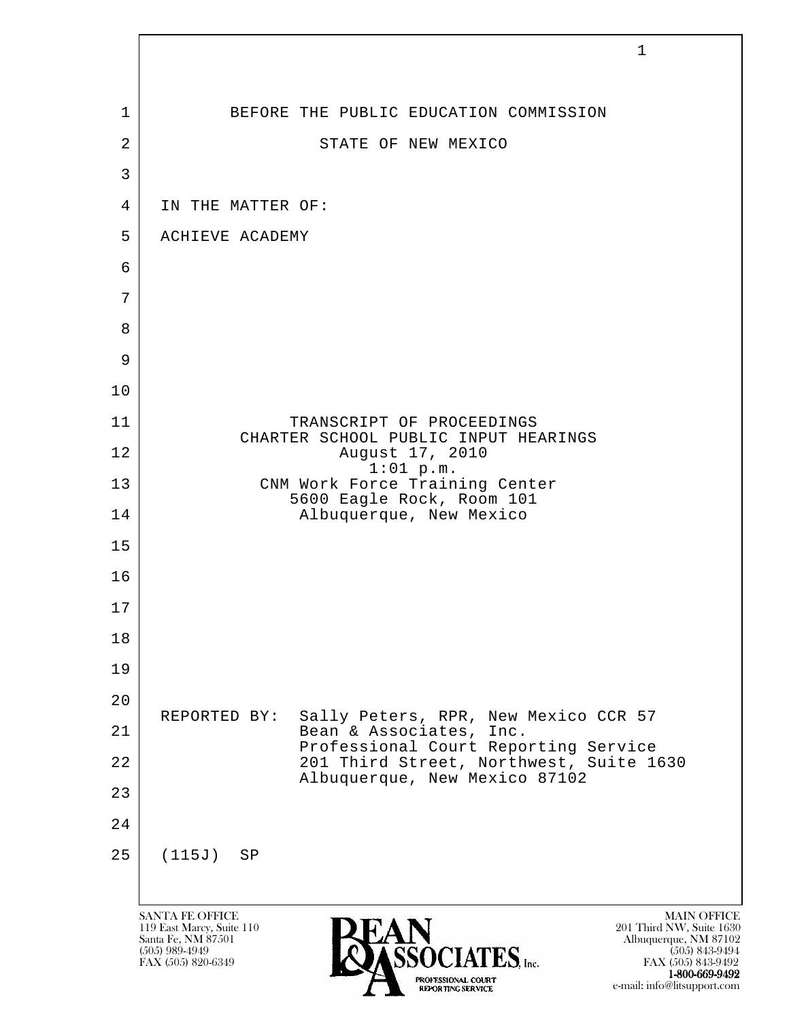|                | $\mathbf{1}$                                                                                                                                                                                                                                                                        |
|----------------|-------------------------------------------------------------------------------------------------------------------------------------------------------------------------------------------------------------------------------------------------------------------------------------|
|                |                                                                                                                                                                                                                                                                                     |
| 1              | BEFORE THE PUBLIC EDUCATION COMMISSION                                                                                                                                                                                                                                              |
| $\overline{2}$ | STATE OF NEW MEXICO                                                                                                                                                                                                                                                                 |
| 3              |                                                                                                                                                                                                                                                                                     |
| $\overline{4}$ | IN THE MATTER OF:                                                                                                                                                                                                                                                                   |
| 5              | ACHIEVE ACADEMY                                                                                                                                                                                                                                                                     |
| 6              |                                                                                                                                                                                                                                                                                     |
| 7<br>8         |                                                                                                                                                                                                                                                                                     |
| 9              |                                                                                                                                                                                                                                                                                     |
| 10             |                                                                                                                                                                                                                                                                                     |
| 11             | TRANSCRIPT OF PROCEEDINGS                                                                                                                                                                                                                                                           |
| 12             | CHARTER SCHOOL PUBLIC INPUT HEARINGS<br>August 17, 2010                                                                                                                                                                                                                             |
| 13             | $1:01$ p.m.<br>CNM Work Force Training Center                                                                                                                                                                                                                                       |
| 14             | 5600 Eagle Rock, Room 101<br>Albuquerque, New Mexico                                                                                                                                                                                                                                |
| 15             |                                                                                                                                                                                                                                                                                     |
| 16             |                                                                                                                                                                                                                                                                                     |
| 17             |                                                                                                                                                                                                                                                                                     |
| 18             |                                                                                                                                                                                                                                                                                     |
| 19             |                                                                                                                                                                                                                                                                                     |
| 20             | Sally Peters, RPR, New Mexico CCR 57<br>REPORTED BY:                                                                                                                                                                                                                                |
| 21             | Bean & Associates, Inc.<br>Professional Court Reporting Service                                                                                                                                                                                                                     |
| 22             | 201 Third Street, Northwest, Suite 1630<br>Albuquerque, New Mexico 87102                                                                                                                                                                                                            |
| 23             |                                                                                                                                                                                                                                                                                     |
| 24             |                                                                                                                                                                                                                                                                                     |
| 25             | (115J)<br>SP                                                                                                                                                                                                                                                                        |
|                |                                                                                                                                                                                                                                                                                     |
|                | <b>SANTA FE OFFICE</b><br><b>MAIN OFFICE</b><br>201 Third NW, Suite 1630<br>119 East Marcy, Suite 110<br>Santa Fe, NM 87501<br>Albuquerque, NM 87102<br>$(505)$ 989-4949<br>$(505)$ 843-9494<br>$\textrm{TES}$ , Inc.<br>FAX (505) 820-6349<br>FAX (505) 843-9492<br>1-800-669-9492 |

e-mail: info@litsupport.com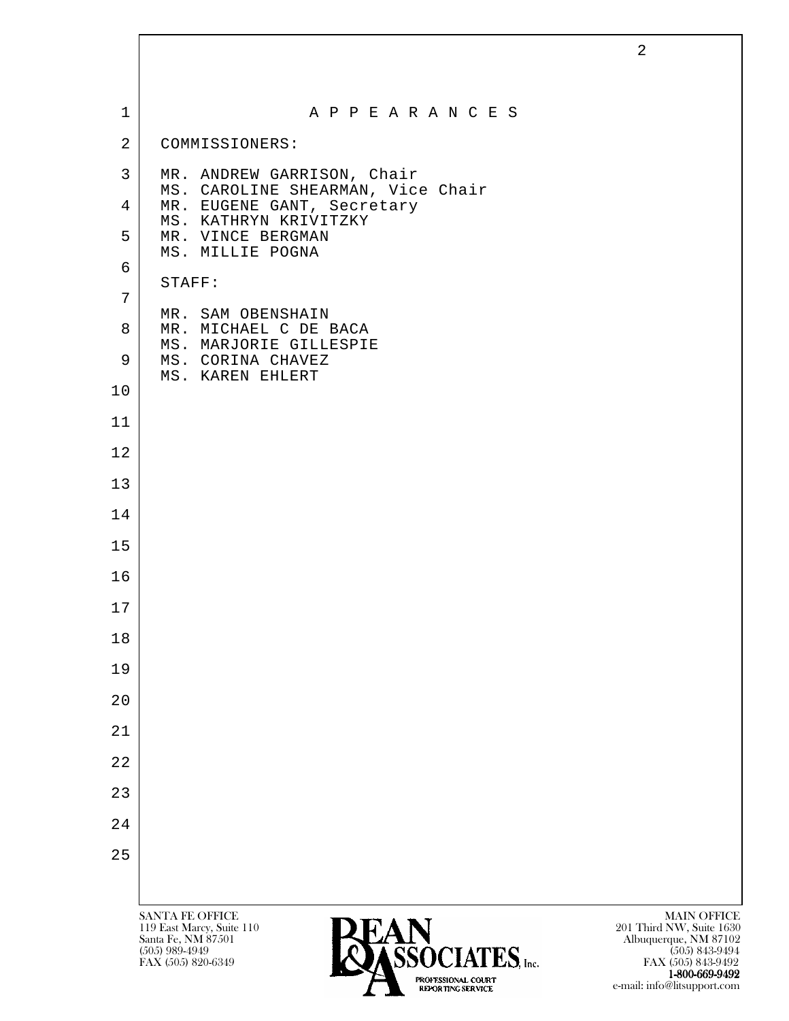|                |                                                                 | $\overline{2}$                          |
|----------------|-----------------------------------------------------------------|-----------------------------------------|
|                |                                                                 |                                         |
| $\mathbf{1}$   | A P P E A R A N C E S                                           |                                         |
| $\overline{2}$ | COMMISSIONERS:                                                  |                                         |
| $\mathbf{3}$   | MR. ANDREW GARRISON, Chair<br>MS. CAROLINE SHEARMAN, Vice Chair |                                         |
| $\overline{4}$ | MR. EUGENE GANT, Secretary<br>MS. KATHRYN KRIVITZKY             |                                         |
| 5              | MR. VINCE BERGMAN<br>MS. MILLIE POGNA                           |                                         |
| 6              | STAFF:                                                          |                                         |
| 7              | MR. SAM OBENSHAIN                                               |                                         |
| 8              | MR. MICHAEL C DE BACA<br>MS. MARJORIE GILLESPIE                 |                                         |
| 9              | MS. CORINA CHAVEZ<br>MS. KAREN EHLERT                           |                                         |
| 10             |                                                                 |                                         |
| 11             |                                                                 |                                         |
| 12             |                                                                 |                                         |
| 13             |                                                                 |                                         |
| 14             |                                                                 |                                         |
| 15             |                                                                 |                                         |
| 16             |                                                                 |                                         |
| 17             |                                                                 |                                         |
| 18             |                                                                 |                                         |
| 19             |                                                                 |                                         |
| 20             |                                                                 |                                         |
| 21             |                                                                 |                                         |
| 22             |                                                                 |                                         |
| 23             |                                                                 |                                         |
| 24             |                                                                 |                                         |
| 25             |                                                                 |                                         |
|                |                                                                 |                                         |
|                | <b>SANTA FE OFFICE</b><br>DEAN<br>119 East Marcy, Suite 110     | MAIN OFFICE<br>201 Third NW, Suite 1630 |

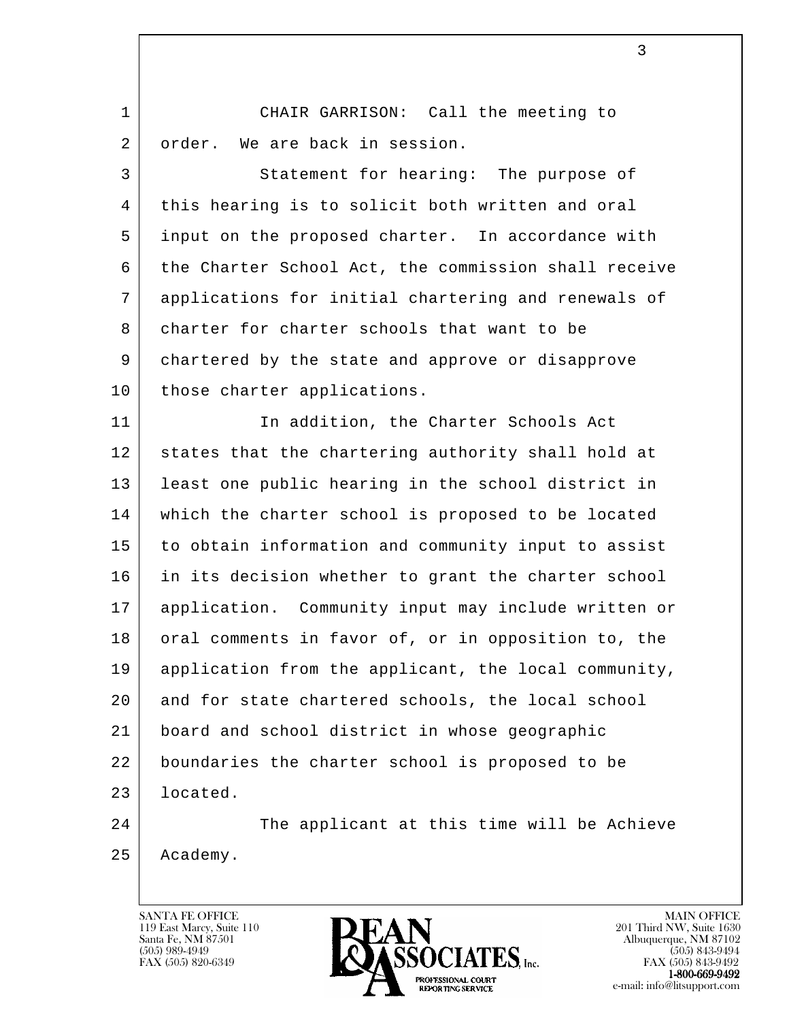1 CHAIR GARRISON: Call the meeting to 2 | order. We are back in session.

3 Statement for hearing: The purpose of 4 | this hearing is to solicit both written and oral 5 input on the proposed charter. In accordance with 6 the Charter School Act, the commission shall receive 7 applications for initial chartering and renewals of 8 charter for charter schools that want to be 9 chartered by the state and approve or disapprove 10 | those charter applications.

11 In addition, the Charter Schools Act 12 states that the chartering authority shall hold at 13 | least one public hearing in the school district in 14 which the charter school is proposed to be located 15 to obtain information and community input to assist 16 in its decision whether to grant the charter school 17 application. Community input may include written or 18 | oral comments in favor of, or in opposition to, the 19 application from the applicant, the local community, 20 and for state chartered schools, the local school 21 board and school district in whose geographic 22 boundaries the charter school is proposed to be 23 located.

l 

24 The applicant at this time will be Achieve 25 Academy.

119 East Marcy, Suite 110<br>Santa Fe, NM 87501



FAX (505) 843-9492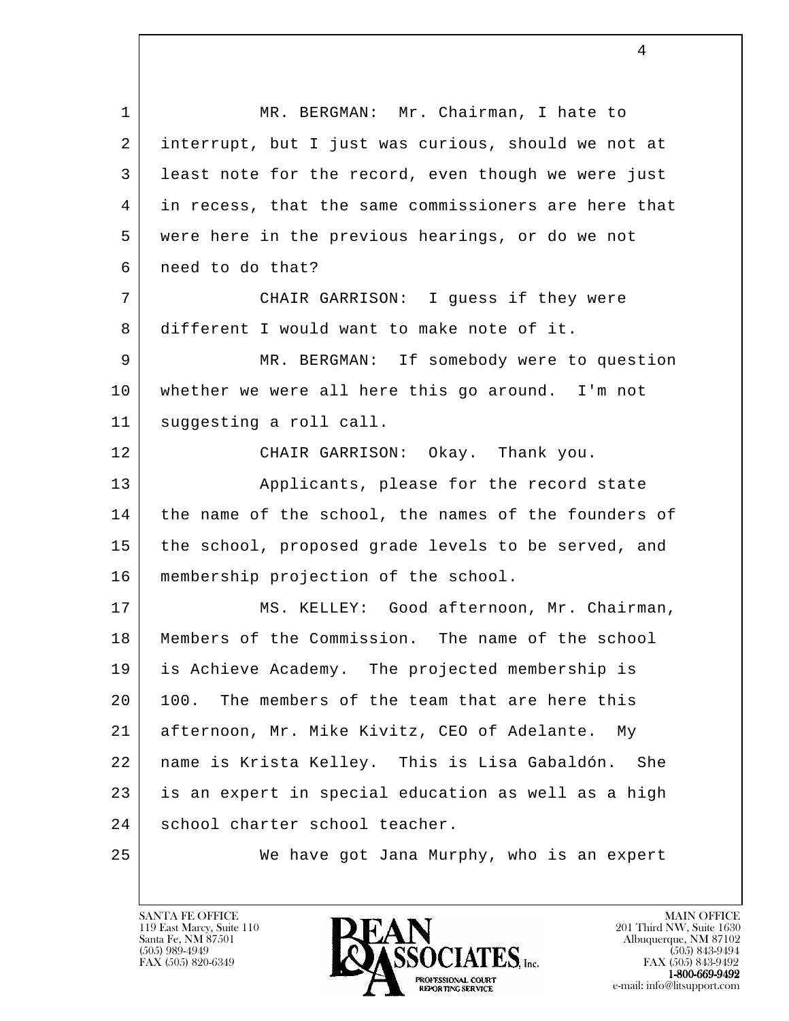l 1 | MR. BERGMAN: Mr. Chairman, I hate to 2 interrupt, but I just was curious, should we not at 3 least note for the record, even though we were just 4 in recess, that the same commissioners are here that 5 were here in the previous hearings, or do we not 6 need to do that? 7 CHAIR GARRISON: I guess if they were 8 different I would want to make note of it. 9 MR. BERGMAN: If somebody were to question 10 whether we were all here this go around. I'm not 11 suggesting a roll call. 12 CHAIR GARRISON: Okay. Thank you. 13 | Applicants, please for the record state 14 | the name of the school, the names of the founders of 15 the school, proposed grade levels to be served, and 16 membership projection of the school. 17 | MS. KELLEY: Good afternoon, Mr. Chairman, 18 | Members of the Commission. The name of the school 19 is Achieve Academy. The projected membership is 20 100. The members of the team that are here this 21 afternoon, Mr. Mike Kivitz, CEO of Adelante. My 22 name is Krista Kelley. This is Lisa Gabaldón. She 23 | is an expert in special education as well as a high 24 school charter school teacher. 25 We have got Jana Murphy, who is an expert

119 East Marcy, Suite 110<br>Santa Fe, NM 87501

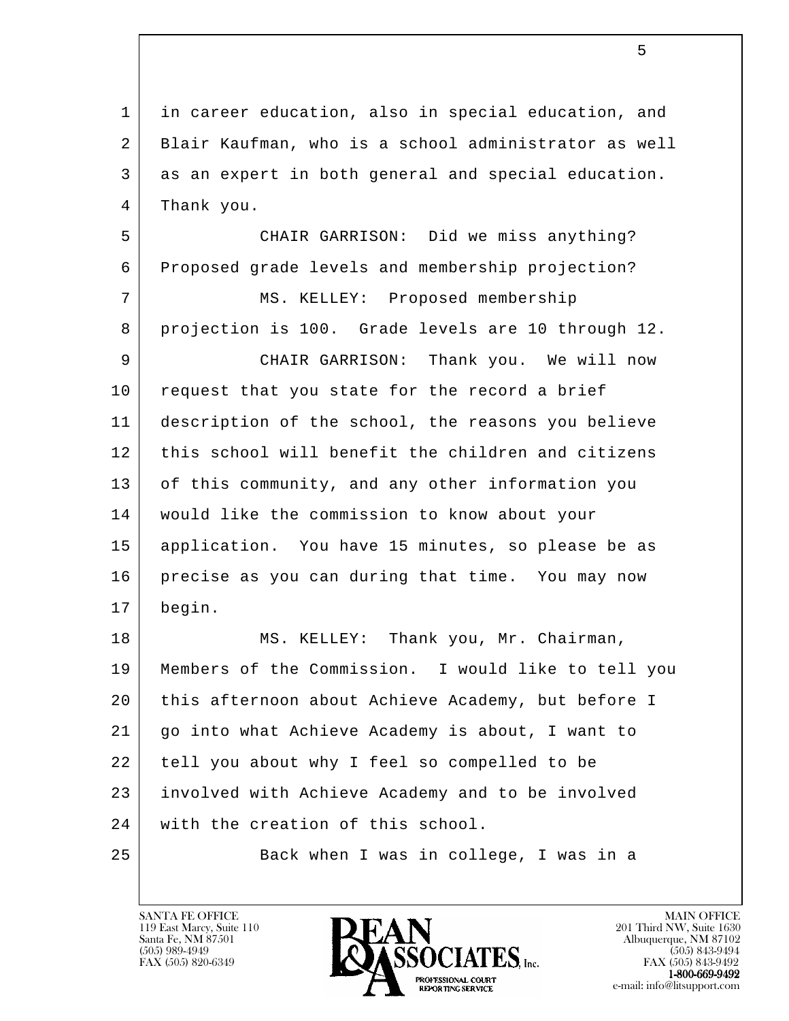l 1 | in career education, also in special education, and 2 Blair Kaufman, who is a school administrator as well 3 as an expert in both general and special education. 4 Thank you. 5 CHAIR GARRISON: Did we miss anything? 6 Proposed grade levels and membership projection? 7 | MS. KELLEY: Proposed membership 8 projection is 100. Grade levels are 10 through 12. 9 CHAIR GARRISON: Thank you. We will now 10 | request that you state for the record a brief 11 description of the school, the reasons you believe 12 this school will benefit the children and citizens 13 of this community, and any other information you 14 would like the commission to know about your 15 application. You have 15 minutes, so please be as 16 precise as you can during that time. You may now 17 begin. 18 MS. KELLEY: Thank you, Mr. Chairman, 19 Members of the Commission. I would like to tell you 20 this afternoon about Achieve Academy, but before I 21 go into what Achieve Academy is about, I want to 22 tell you about why I feel so compelled to be 23 involved with Achieve Academy and to be involved 24 with the creation of this school. 25 Back when I was in college, I was in a

119 East Marcy, Suite 110<br>Santa Fe, NM 87501



FAX (505) 843-9492 e-mail: info@litsupport.com

 $\sim$  5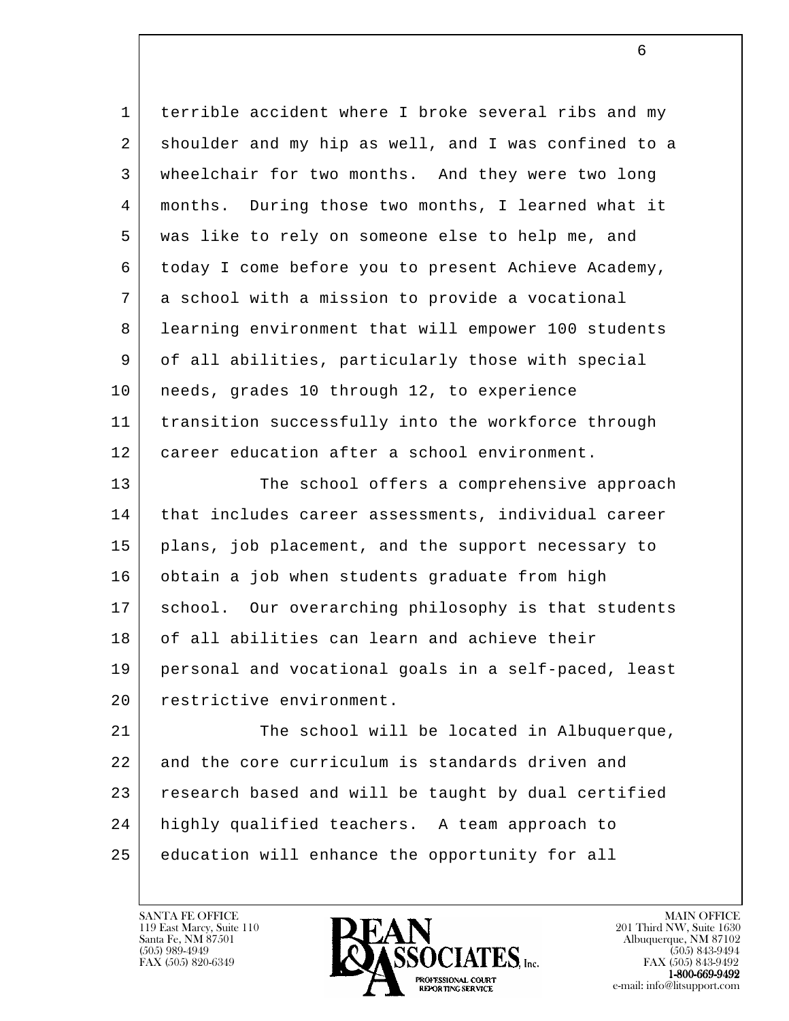| $\mathbf 1$ | terrible accident where I broke several ribs and my  |
|-------------|------------------------------------------------------|
| 2           | shoulder and my hip as well, and I was confined to a |
| 3           | wheelchair for two months. And they were two long    |
| 4           | months. During those two months, I learned what it   |
| 5           | was like to rely on someone else to help me, and     |
| 6           | today I come before you to present Achieve Academy,  |
| 7           | a school with a mission to provide a vocational      |
| 8           | learning environment that will empower 100 students  |
| 9           | of all abilities, particularly those with special    |
| 10          | needs, grades 10 through 12, to experience           |
| 11          | transition successfully into the workforce through   |
| 12          | career education after a school environment.         |
| 13          | The school offers a comprehensive approach           |
| 14          | that includes career assessments, individual career  |
| 15          | plans, job placement, and the support necessary to   |
| 16          | obtain a job when students graduate from high        |
| 17          | school. Our overarching philosophy is that students  |
| 18          | of all abilities can learn and achieve their         |
| 19          | personal and vocational goals in a self-paced, least |
| 20          | restrictive environment.                             |
| 21          | The school will be located in Albuquerque,           |
| 22          | and the core curriculum is standards driven and      |
| 23          | research based and will be taught by dual certified  |
| 24          | highly qualified teachers. A team approach to        |
| 25          | education will enhance the opportunity for all       |

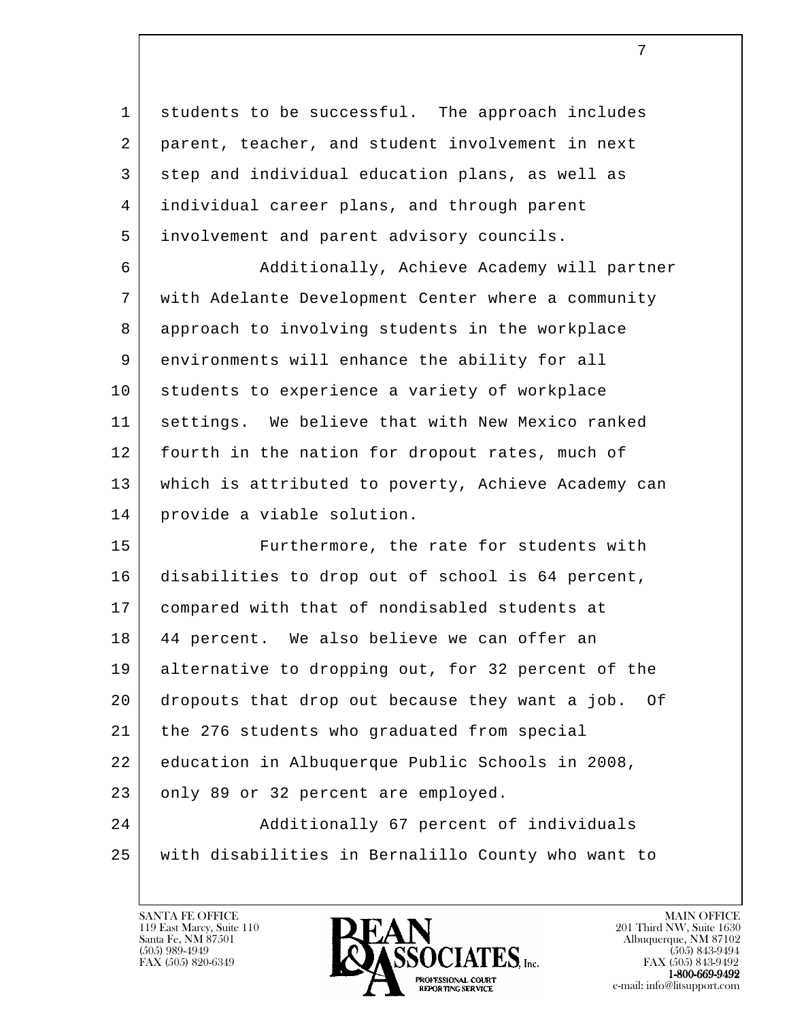1 students to be successful. The approach includes 2 parent, teacher, and student involvement in next 3 step and individual education plans, as well as 4 individual career plans, and through parent 5 involvement and parent advisory councils.

6 | Additionally, Achieve Academy will partner 7 with Adelante Development Center where a community 8 approach to involving students in the workplace 9 environments will enhance the ability for all 10 students to experience a variety of workplace 11 settings. We believe that with New Mexico ranked 12 | fourth in the nation for dropout rates, much of 13 which is attributed to poverty, Achieve Academy can 14 provide a viable solution.

l 15 | Furthermore, the rate for students with 16 disabilities to drop out of school is 64 percent, 17 compared with that of nondisabled students at 18 44 percent. We also believe we can offer an 19 alternative to dropping out, for 32 percent of the 20 dropouts that drop out because they want a job. Of 21 | the 276 students who graduated from special 22 education in Albuquerque Public Schools in 2008, 23 only 89 or 32 percent are employed. 24 | Additionally 67 percent of individuals 25 with disabilities in Bernalillo County who want to

119 East Marcy, Suite 110<br>Santa Fe, NM 87501

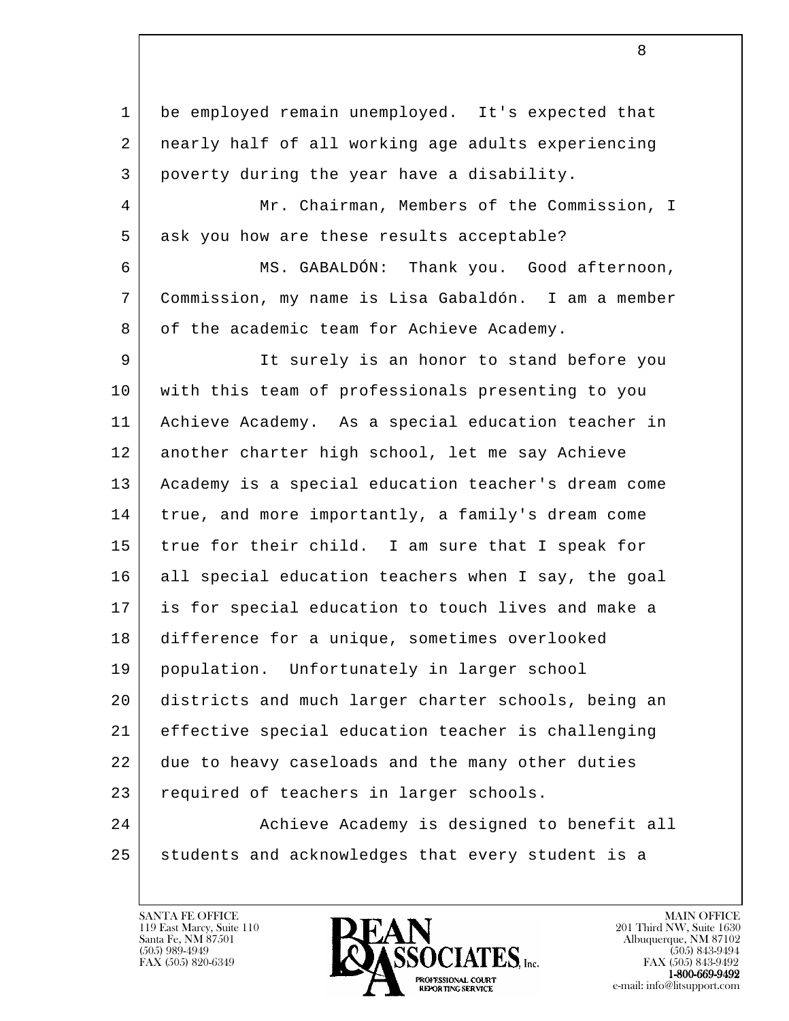l 1 be employed remain unemployed. It's expected that 2 nearly half of all working age adults experiencing 3 poverty during the year have a disability. 4 Mr. Chairman, Members of the Commission, I 5 ask you how are these results acceptable? 6 MS. GABALDÓN: Thank you. Good afternoon, 7 Commission, my name is Lisa Gabaldón. I am a member 8 of the academic team for Achieve Academy. 9 It surely is an honor to stand before you 10 with this team of professionals presenting to you 11 Achieve Academy. As a special education teacher in 12 another charter high school, let me say Achieve 13 Academy is a special education teacher's dream come 14 true, and more importantly, a family's dream come 15 true for their child. I am sure that I speak for 16 all special education teachers when I say, the goal 17 is for special education to touch lives and make a 18 difference for a unique, sometimes overlooked 19 population. Unfortunately in larger school 20 districts and much larger charter schools, being an 21 effective special education teacher is challenging 22 due to heavy caseloads and the many other duties 23 required of teachers in larger schools. 24 | Achieve Academy is designed to benefit all 25 students and acknowledges that every student is a

119 East Marcy, Suite 110<br>Santa Fe, NM 87501



FAX (505) 843-9492 e-mail: info@litsupport.com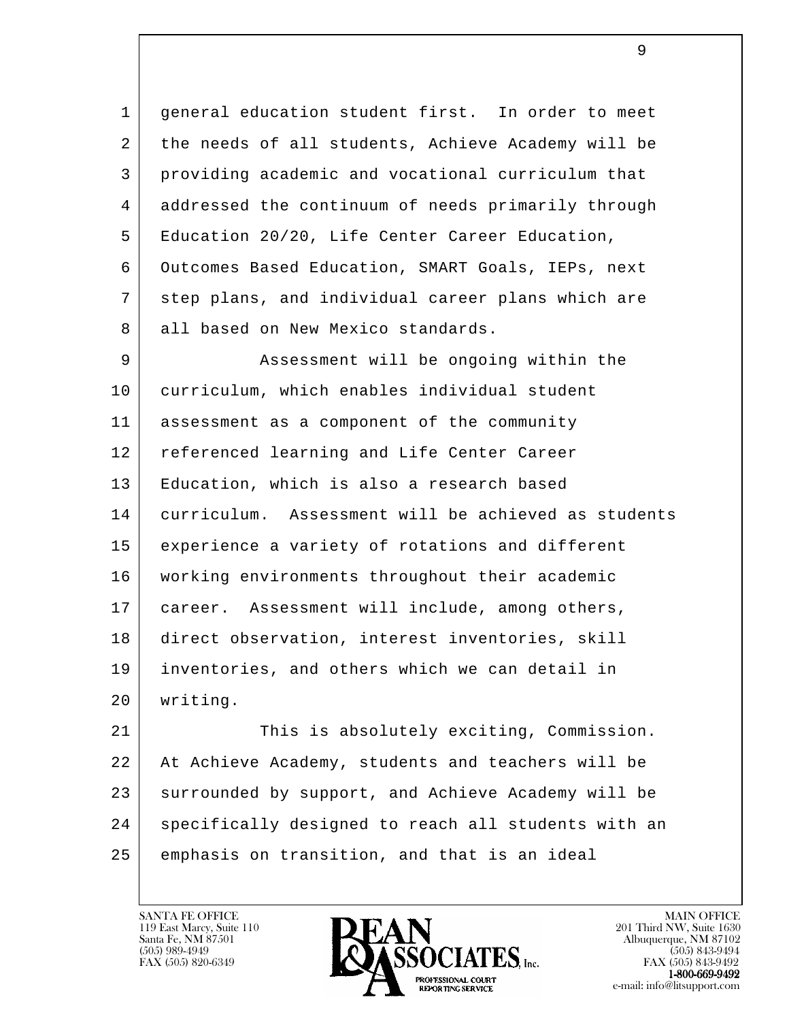1 general education student first. In order to meet 2 the needs of all students, Achieve Academy will be 3 providing academic and vocational curriculum that 4 addressed the continuum of needs primarily through 5 Education 20/20, Life Center Career Education, 6 Outcomes Based Education, SMART Goals, IEPs, next 7 step plans, and individual career plans which are 8 all based on New Mexico standards.

9 | Assessment will be ongoing within the 10 curriculum, which enables individual student 11 assessment as a component of the community 12 | referenced learning and Life Center Career 13 Education, which is also a research based 14 curriculum. Assessment will be achieved as students 15 experience a variety of rotations and different 16 working environments throughout their academic 17 career. Assessment will include, among others, 18 direct observation, interest inventories, skill 19 inventories, and others which we can detail in 20 writing.

l 21 This is absolutely exciting, Commission. 22 At Achieve Academy, students and teachers will be 23 surrounded by support, and Achieve Academy will be 24 specifically designed to reach all students with an 25 emphasis on transition, and that is an ideal

119 East Marcy, Suite 110<br>Santa Fe, NM 87501

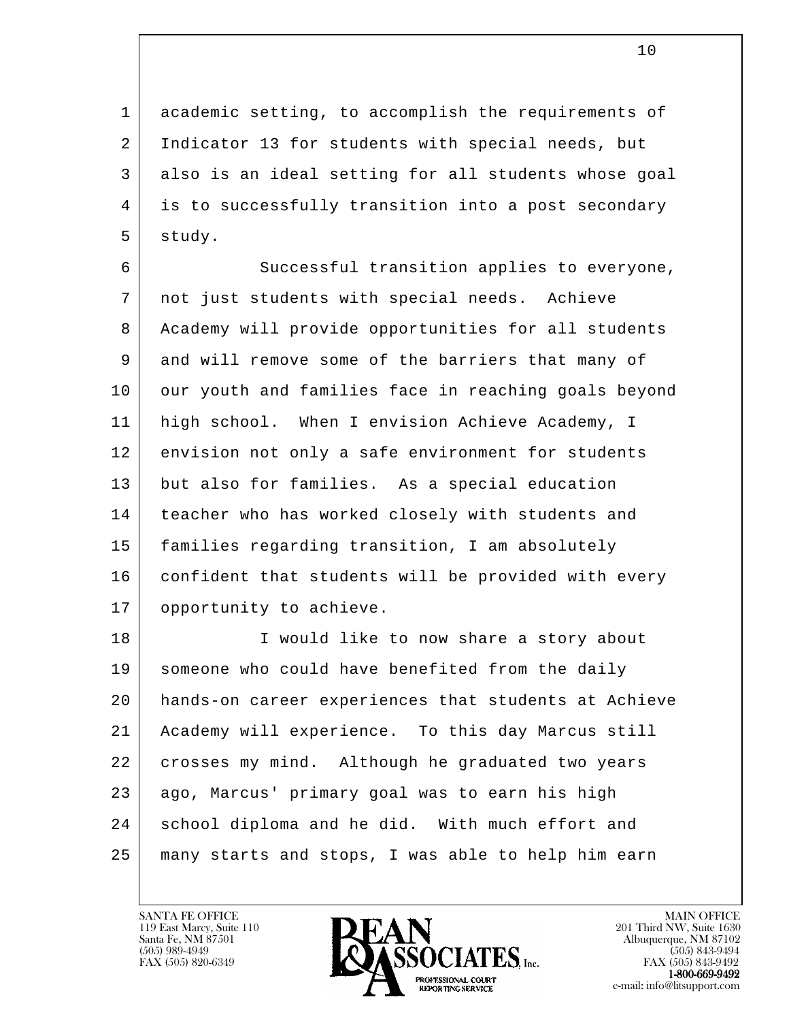1 academic setting, to accomplish the requirements of 2 Indicator 13 for students with special needs, but 3 also is an ideal setting for all students whose goal 4 is to successfully transition into a post secondary 5 study.

 6 Successful transition applies to everyone, 7 not just students with special needs. Achieve 8 Academy will provide opportunities for all students 9 and will remove some of the barriers that many of 10 our youth and families face in reaching goals beyond 11 high school. When I envision Achieve Academy, I 12 envision not only a safe environment for students 13 but also for families. As a special education 14 teacher who has worked closely with students and 15 families regarding transition, I am absolutely 16 confident that students will be provided with every 17 opportunity to achieve.

l 18 I would like to now share a story about 19 someone who could have benefited from the daily 20 hands-on career experiences that students at Achieve 21 Academy will experience. To this day Marcus still 22 crosses my mind. Although he graduated two years 23 ago, Marcus' primary goal was to earn his high 24 school diploma and he did. With much effort and 25 many starts and stops, I was able to help him earn

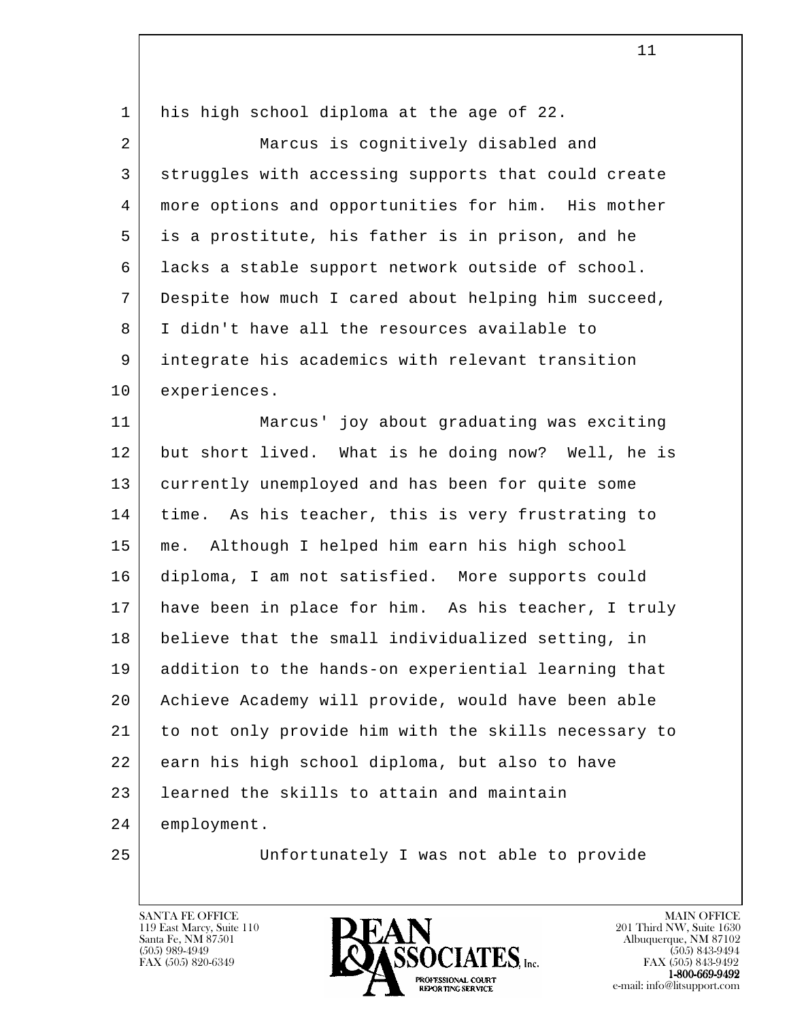| 1  | his high school diploma at the age of 22.            |
|----|------------------------------------------------------|
| 2  | Marcus is cognitively disabled and                   |
| 3  | struggles with accessing supports that could create  |
| 4  | more options and opportunities for him. His mother   |
| 5  | is a prostitute, his father is in prison, and he     |
| 6  | lacks a stable support network outside of school.    |
| 7  | Despite how much I cared about helping him succeed,  |
| 8  | I didn't have all the resources available to         |
| 9  | integrate his academics with relevant transition     |
| 10 | experiences.                                         |
| 11 | Marcus' joy about graduating was exciting            |
| 12 | but short lived. What is he doing now? Well, he is   |
| 13 | currently unemployed and has been for quite some     |
| 14 | time. As his teacher, this is very frustrating to    |
| 15 | Although I helped him earn his high school<br>me.    |
| 16 | diploma, I am not satisfied. More supports could     |
| 17 | have been in place for him. As his teacher, I truly  |
| 18 | believe that the small individualized setting, in    |
| 19 | addition to the hands-on experiential learning that  |
| 20 | Achieve Academy will provide, would have been able   |
| 21 | to not only provide him with the skills necessary to |
| 22 | earn his high school diploma, but also to have       |
| 23 | learned the skills to attain and maintain            |
| 24 | employment.                                          |
| 25 | Unfortunately I was not able to provide              |

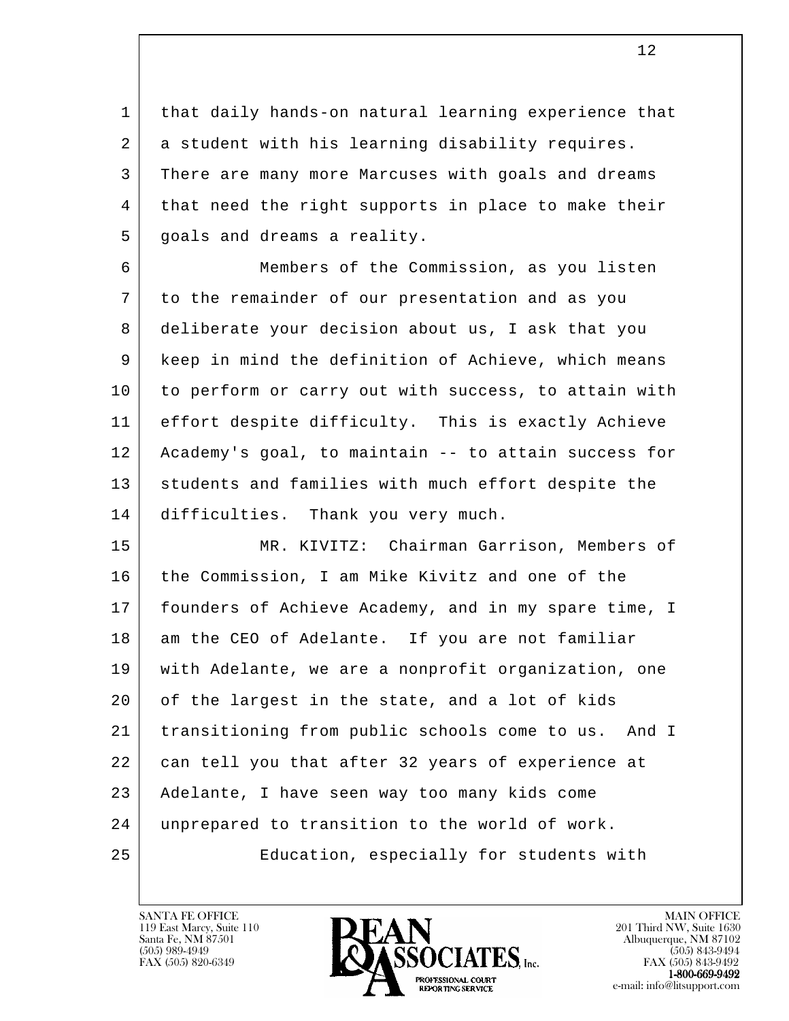1 | that daily hands-on natural learning experience that 2 a student with his learning disability requires. 3 There are many more Marcuses with goals and dreams 4 | that need the right supports in place to make their 5 goals and dreams a reality.

 6 Members of the Commission, as you listen 7 to the remainder of our presentation and as you 8 deliberate your decision about us, I ask that you 9 keep in mind the definition of Achieve, which means 10 to perform or carry out with success, to attain with 11 effort despite difficulty. This is exactly Achieve 12 Academy's goal, to maintain -- to attain success for 13 students and families with much effort despite the 14 difficulties. Thank you very much.

l 15 MR. KIVITZ: Chairman Garrison, Members of 16 the Commission, I am Mike Kivitz and one of the 17 founders of Achieve Academy, and in my spare time, I 18 am the CEO of Adelante. If you are not familiar 19 with Adelante, we are a nonprofit organization, one 20 of the largest in the state, and a lot of kids 21 transitioning from public schools come to us. And I 22 can tell you that after 32 years of experience at 23 Adelante, I have seen way too many kids come 24 unprepared to transition to the world of work. 25 Education, especially for students with

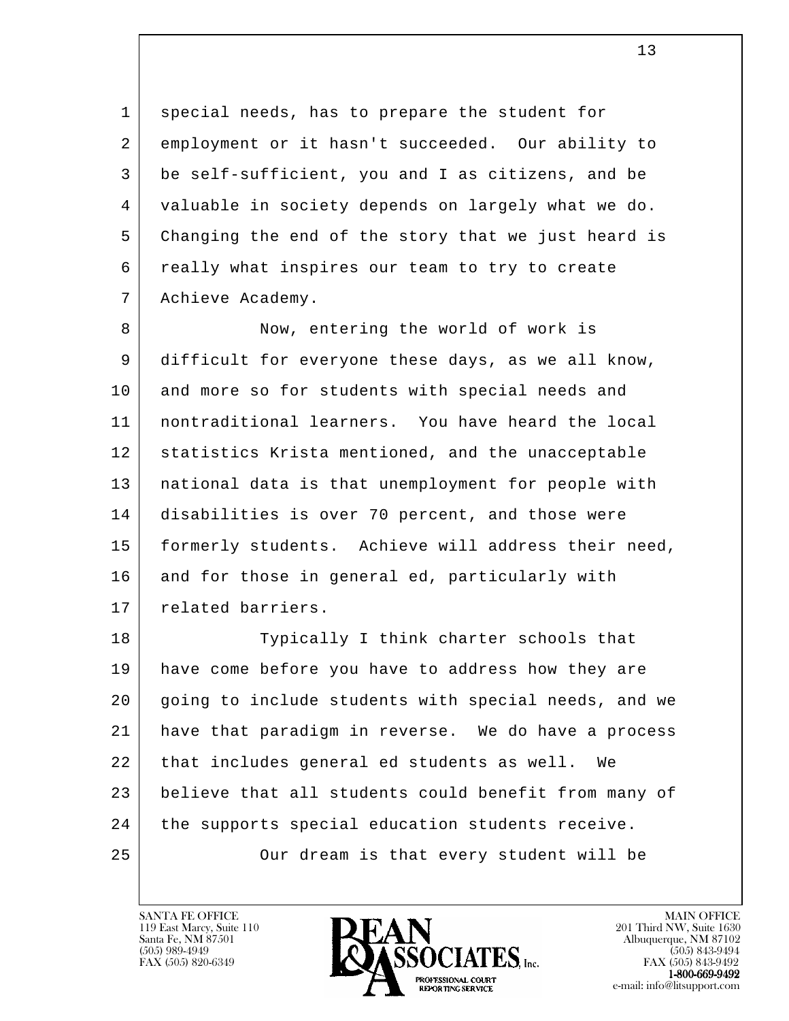1 special needs, has to prepare the student for 2 employment or it hasn't succeeded. Our ability to 3 be self-sufficient, you and I as citizens, and be 4 valuable in society depends on largely what we do. 5 Changing the end of the story that we just heard is 6 really what inspires our team to try to create 7 Achieve Academy.

8 Now, entering the world of work is 9 difficult for everyone these days, as we all know, 10 and more so for students with special needs and 11 nontraditional learners. You have heard the local 12 | statistics Krista mentioned, and the unacceptable 13 national data is that unemployment for people with 14 disabilities is over 70 percent, and those were 15 | formerly students. Achieve will address their need, 16 and for those in general ed, particularly with 17 | related barriers.

l 18 Typically I think charter schools that 19 have come before you have to address how they are 20 going to include students with special needs, and we 21 have that paradigm in reverse. We do have a process 22 that includes general ed students as well. We 23 believe that all students could benefit from many of 24 the supports special education students receive. 25 Our dream is that every student will be

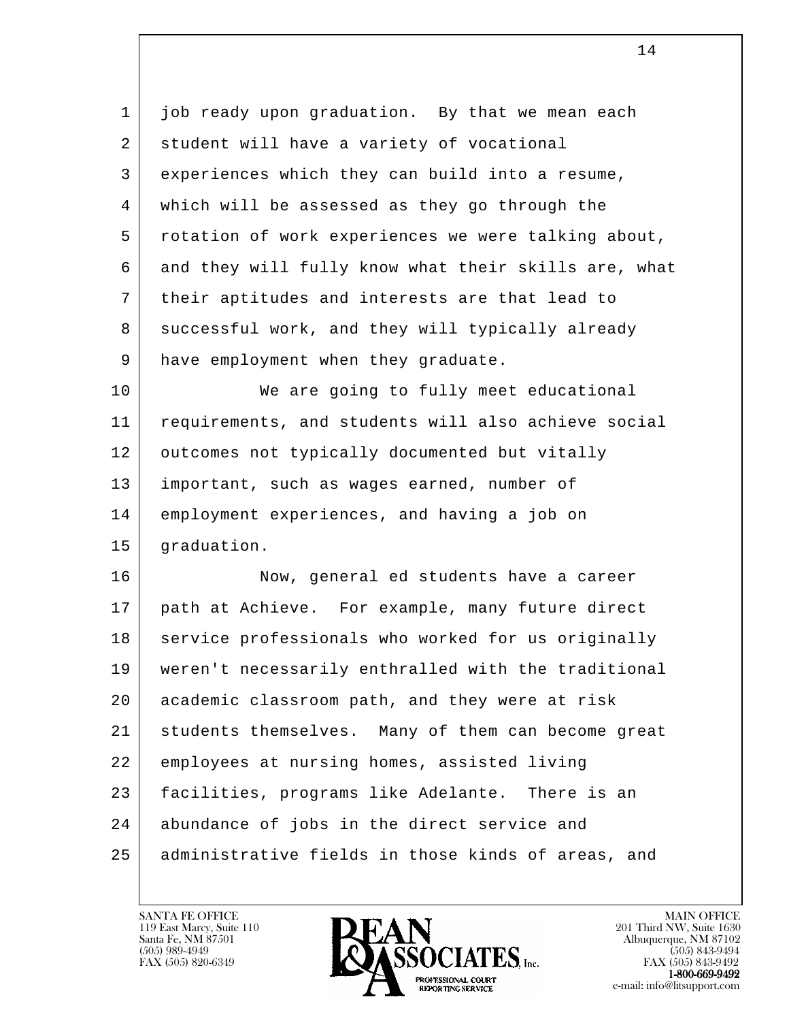l 1 job ready upon graduation. By that we mean each 2 student will have a variety of vocational 3 experiences which they can build into a resume, 4 which will be assessed as they go through the 5 rotation of work experiences we were talking about, 6 and they will fully know what their skills are, what 7 their aptitudes and interests are that lead to 8 successful work, and they will typically already 9 | have employment when they graduate. 10 We are going to fully meet educational 11 requirements, and students will also achieve social 12 | outcomes not typically documented but vitally 13 important, such as wages earned, number of 14 employment experiences, and having a job on 15 graduation. 16 Now, general ed students have a career 17 path at Achieve. For example, many future direct 18 service professionals who worked for us originally 19 weren't necessarily enthralled with the traditional 20 academic classroom path, and they were at risk 21 students themselves. Many of them can become great 22 employees at nursing homes, assisted living 23 | facilities, programs like Adelante. There is an 24 abundance of jobs in the direct service and 25 administrative fields in those kinds of areas, and

119 East Marcy, Suite 110<br>Santa Fe, NM 87501

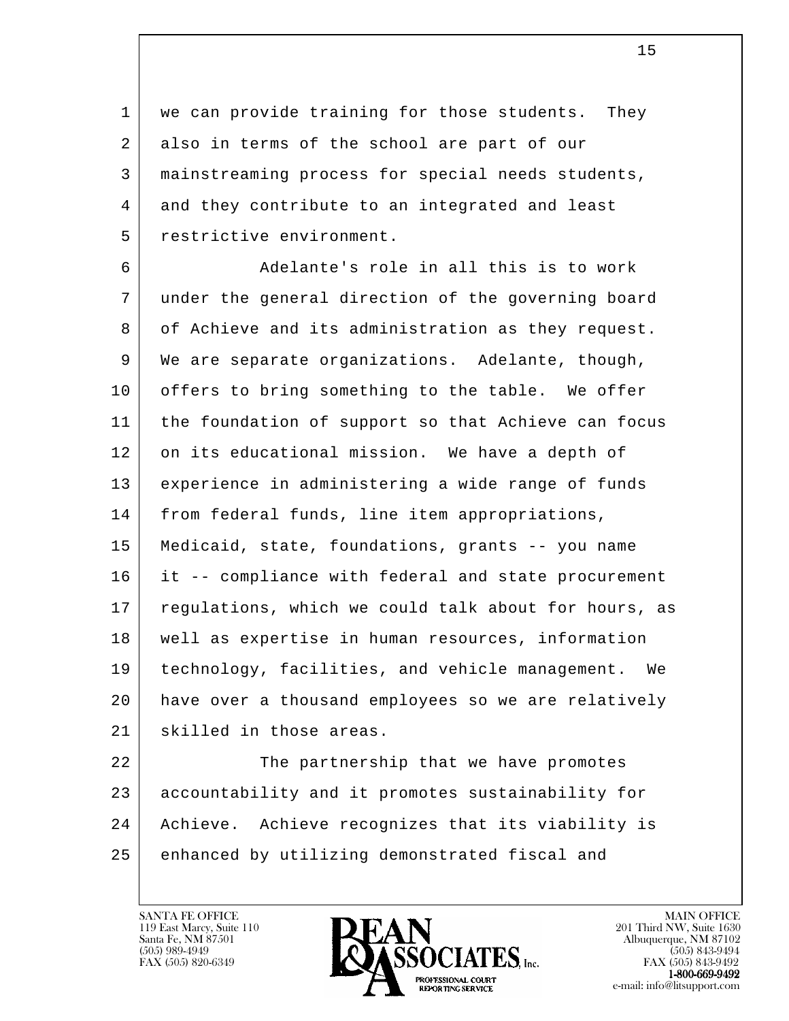1 | we can provide training for those students. They 2 also in terms of the school are part of our 3 mainstreaming process for special needs students, 4 and they contribute to an integrated and least 5 restrictive environment.

 6 Adelante's role in all this is to work 7 under the general direction of the governing board 8 of Achieve and its administration as they request. 9 We are separate organizations. Adelante, though, 10 offers to bring something to the table. We offer 11 the foundation of support so that Achieve can focus 12 on its educational mission. We have a depth of 13 experience in administering a wide range of funds 14 | from federal funds, line item appropriations, 15 Medicaid, state, foundations, grants -- you name 16 it -- compliance with federal and state procurement 17 regulations, which we could talk about for hours, as 18 well as expertise in human resources, information 19 technology, facilities, and vehicle management. We 20 have over a thousand employees so we are relatively 21 skilled in those areas.

l 22 The partnership that we have promotes 23 accountability and it promotes sustainability for 24 Achieve. Achieve recognizes that its viability is 25 enhanced by utilizing demonstrated fiscal and

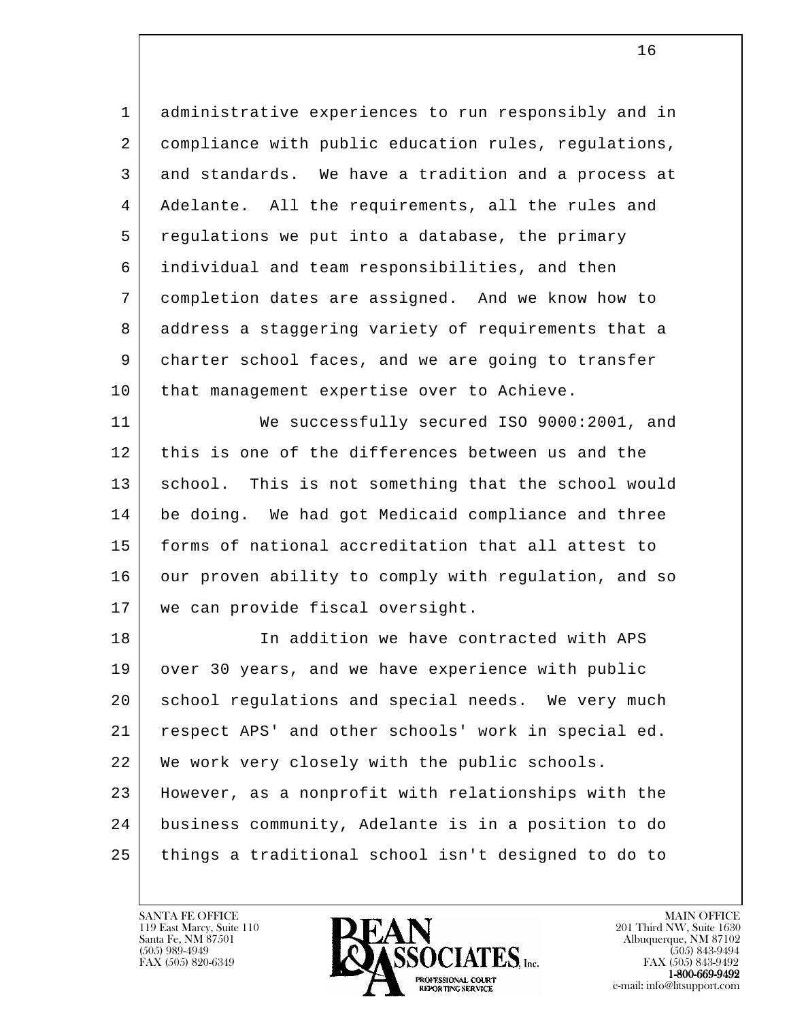1 administrative experiences to run responsibly and in 2 compliance with public education rules, regulations, 3 and standards. We have a tradition and a process at 4 | Adelante. All the requirements, all the rules and 5 regulations we put into a database, the primary 6 individual and team responsibilities, and then 7 completion dates are assigned. And we know how to 8 address a staggering variety of requirements that a 9 | charter school faces, and we are going to transfer 10 | that management expertise over to Achieve.

 11 We successfully secured ISO 9000:2001, and 12 this is one of the differences between us and the 13 | school. This is not something that the school would 14 be doing. We had got Medicaid compliance and three 15 forms of national accreditation that all attest to 16 our proven ability to comply with regulation, and so 17 we can provide fiscal oversight.

l 18 In addition we have contracted with APS 19 over 30 years, and we have experience with public 20 | school regulations and special needs. We very much 21 respect APS' and other schools' work in special ed. 22 We work very closely with the public schools. 23 However, as a nonprofit with relationships with the 24 business community, Adelante is in a position to do 25 things a traditional school isn't designed to do to

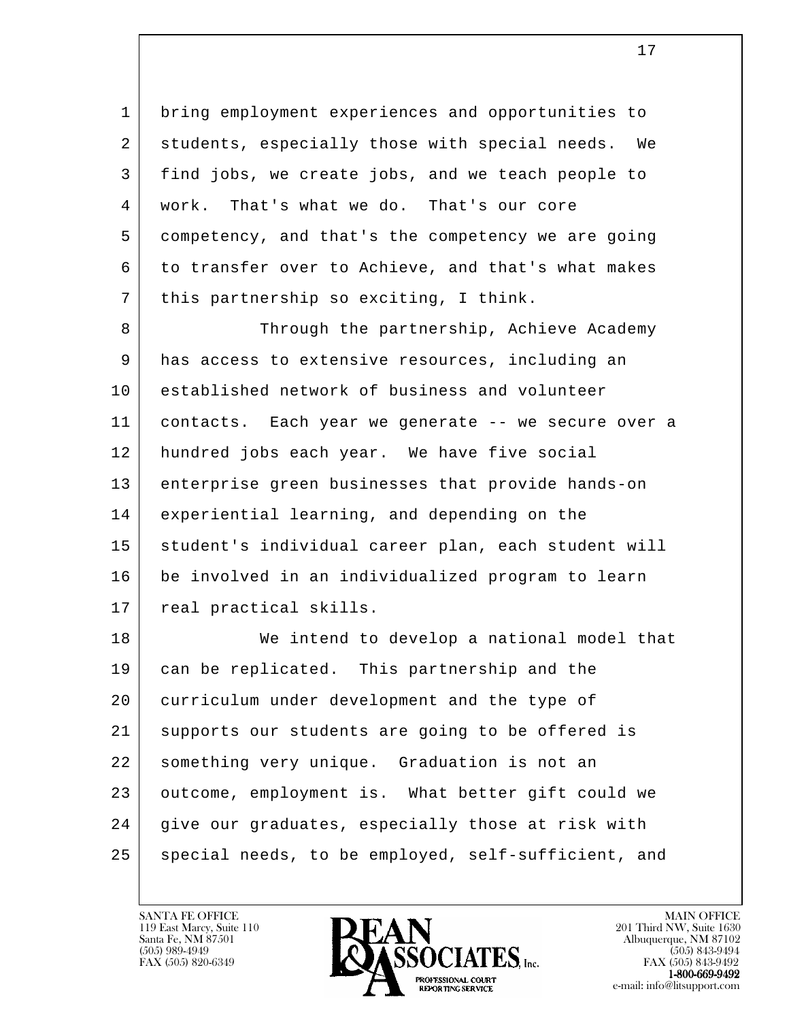1 bring employment experiences and opportunities to 2 students, especially those with special needs. We 3 find jobs, we create jobs, and we teach people to 4 work. That's what we do. That's our core 5 competency, and that's the competency we are going 6 to transfer over to Achieve, and that's what makes 7 | this partnership so exciting, I think.

8 Through the partnership, Achieve Academy 9 has access to extensive resources, including an 10 established network of business and volunteer 11 contacts. Each year we generate -- we secure over a 12 hundred jobs each year. We have five social 13 enterprise green businesses that provide hands-on 14 experiential learning, and depending on the 15 | student's individual career plan, each student will 16 be involved in an individualized program to learn 17 | real practical skills.

l 18 We intend to develop a national model that 19 can be replicated. This partnership and the 20 curriculum under development and the type of 21 supports our students are going to be offered is 22 something very unique. Graduation is not an 23 outcome, employment is. What better gift could we 24 give our graduates, especially those at risk with 25 | special needs, to be employed, self-sufficient, and

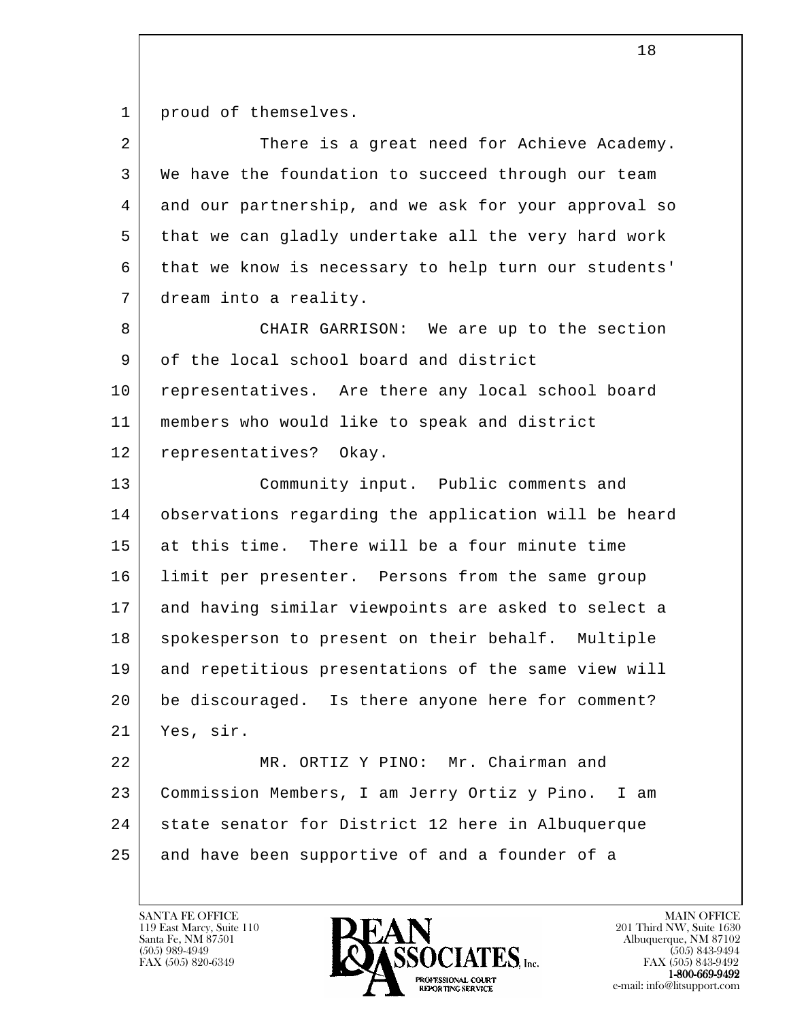1 | proud of themselves.

| 2               | There is a great need for Achieve Academy.           |
|-----------------|------------------------------------------------------|
| 3               | We have the foundation to succeed through our team   |
| 4               | and our partnership, and we ask for your approval so |
| 5               | that we can gladly undertake all the very hard work  |
| 6               | that we know is necessary to help turn our students' |
| 7               | dream into a reality.                                |
| 8               | CHAIR GARRISON: We are up to the section             |
| 9               | of the local school board and district               |
| 10              | representatives. Are there any local school board    |
| 11              | members who would like to speak and district         |
| 12              | representatives? Okay.                               |
| 13              | Community input. Public comments and                 |
| 14              | observations regarding the application will be heard |
| 15              | at this time. There will be a four minute time       |
| 16              | limit per presenter. Persons from the same group     |
| 17              | and having similar viewpoints are asked to select a  |
| 18              | spokesperson to present on their behalf. Multiple    |
| 19              | and repetitious presentations of the same view will  |
| 20 <sub>o</sub> | be discouraged. Is there anyone here for comment?    |
| 21              | Yes, sir.                                            |
| 22              | MR. ORTIZ Y PINO: Mr. Chairman and                   |
| 23              | Commission Members, I am Jerry Ortiz y Pino. I am    |
| 24              | state senator for District 12 here in Albuquerque    |
| 25              | and have been supportive of and a founder of a       |

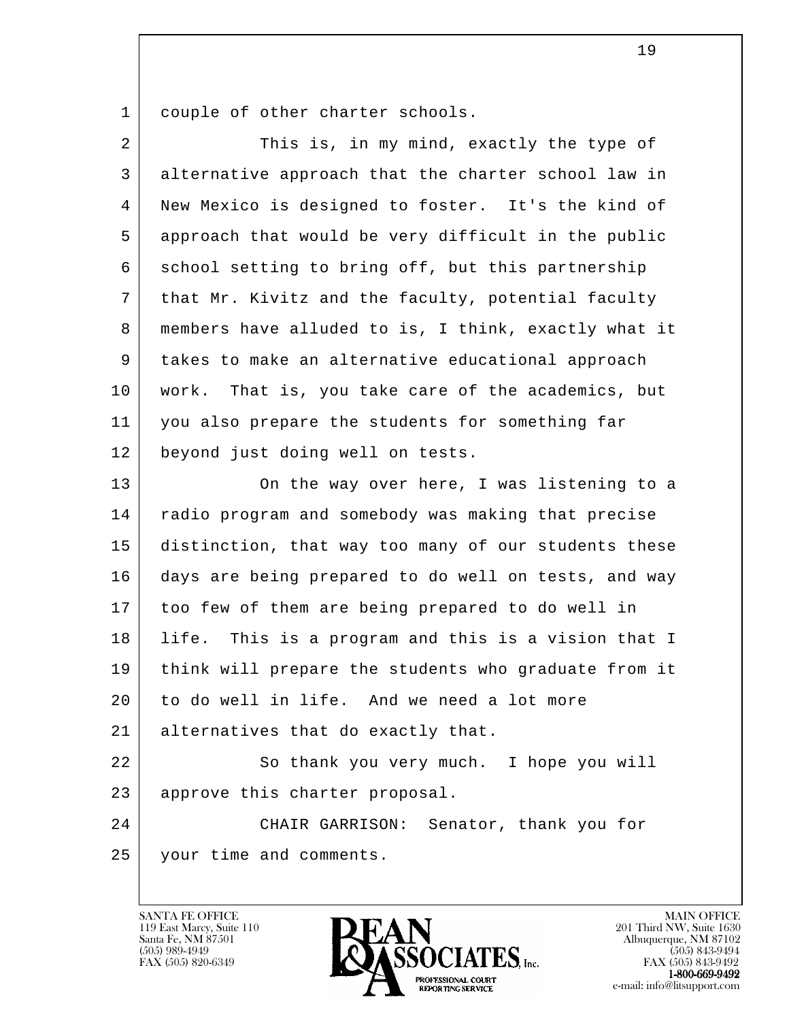1 couple of other charter schools.

| $\overline{2}$ | This is, in my mind, exactly the type of              |
|----------------|-------------------------------------------------------|
| 3              | alternative approach that the charter school law in   |
| 4              | New Mexico is designed to foster. It's the kind of    |
| 5              | approach that would be very difficult in the public   |
| 6              | school setting to bring off, but this partnership     |
| 7              | that Mr. Kivitz and the faculty, potential faculty    |
| 8              | members have alluded to is, I think, exactly what it  |
| 9              | takes to make an alternative educational approach     |
| 10             | That is, you take care of the academics, but<br>work. |
| 11             | you also prepare the students for something far       |
| 12             | beyond just doing well on tests.                      |
| 13             | On the way over here, I was listening to a            |
| 14             | radio program and somebody was making that precise    |
| 15             | distinction, that way too many of our students these  |
| 16             | days are being prepared to do well on tests, and way  |
| 17             | too few of them are being prepared to do well in      |
| 18             | life. This is a program and this is a vision that I   |
| 19             | think will prepare the students who graduate from it  |
| 20             | to do well in life. And we need a lot more            |
| 21             | alternatives that do exactly that.                    |
| 22             | So thank you very much. I hope you will               |
| 23             | approve this charter proposal.                        |
| 24             | CHAIR GARRISON: Senator, thank you for                |
| 25             | your time and comments.                               |
|                |                                                       |

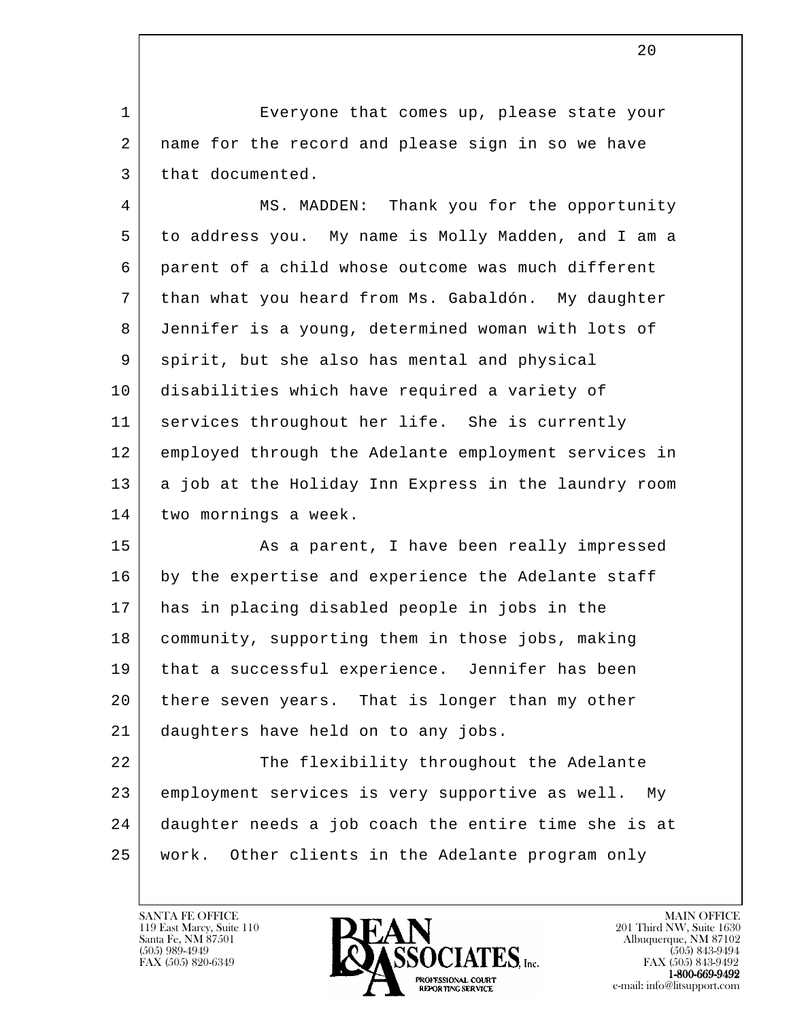1 Everyone that comes up, please state your 2 name for the record and please sign in so we have 3 | that documented.

4 | MS. MADDEN: Thank you for the opportunity 5 to address you. My name is Molly Madden, and I am a 6 parent of a child whose outcome was much different 7 than what you heard from Ms. Gabaldón. My daughter 8 Jennifer is a young, determined woman with lots of 9 | spirit, but she also has mental and physical 10 disabilities which have required a variety of 11 services throughout her life. She is currently 12 employed through the Adelante employment services in 13 a job at the Holiday Inn Express in the laundry room 14 two mornings a week.

15 | Ris a parent, I have been really impressed 16 by the expertise and experience the Adelante staff 17 has in placing disabled people in jobs in the 18 community, supporting them in those jobs, making 19 that a successful experience. Jennifer has been 20 there seven years. That is longer than my other 21 daughters have held on to any jobs.

l 22 The flexibility throughout the Adelante 23 employment services is very supportive as well. My 24 daughter needs a job coach the entire time she is at 25 work. Other clients in the Adelante program only

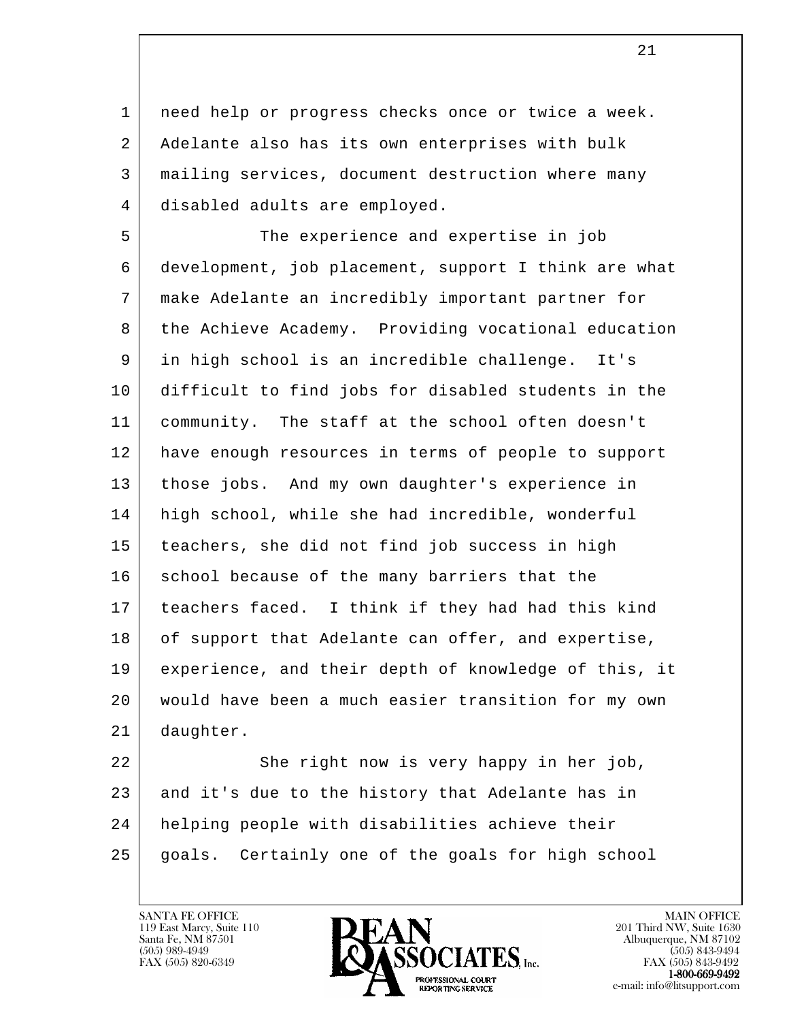1 | need help or progress checks once or twice a week. 2 Adelante also has its own enterprises with bulk 3 mailing services, document destruction where many 4 disabled adults are employed.

 5 The experience and expertise in job 6 development, job placement, support I think are what 7 make Adelante an incredibly important partner for 8 | the Achieve Academy. Providing vocational education 9 in high school is an incredible challenge. It's 10 difficult to find jobs for disabled students in the 11 community. The staff at the school often doesn't 12 have enough resources in terms of people to support 13 those jobs. And my own daughter's experience in 14 high school, while she had incredible, wonderful 15 teachers, she did not find job success in high 16 school because of the many barriers that the 17 teachers faced. I think if they had had this kind 18 of support that Adelante can offer, and expertise, 19 experience, and their depth of knowledge of this, it 20 would have been a much easier transition for my own 21 daughter.

l 22 She right now is very happy in her job, 23 and it's due to the history that Adelante has in 24 helping people with disabilities achieve their 25 goals. Certainly one of the goals for high school

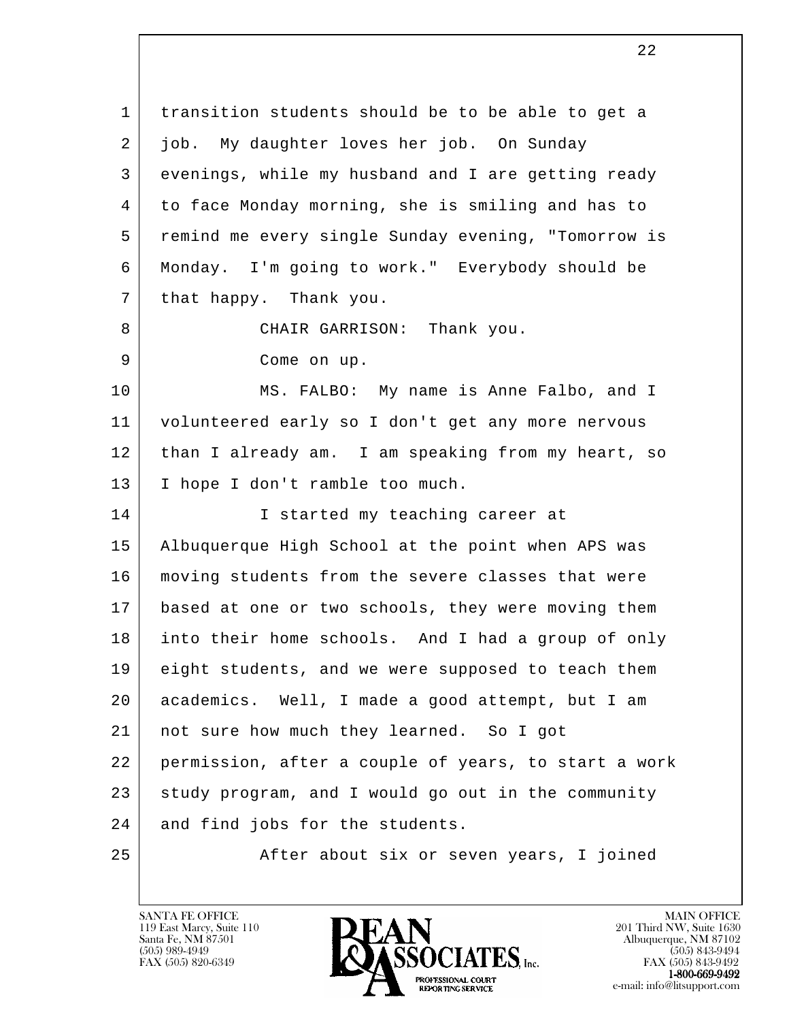l 1 transition students should be to be able to get a 2 job. My daughter loves her job. On Sunday 3 evenings, while my husband and I are getting ready 4 to face Monday morning, she is smiling and has to 5 remind me every single Sunday evening, "Tomorrow is 6 Monday. I'm going to work." Everybody should be 7 that happy. Thank you. 8 | CHAIR GARRISON: Thank you. 9 Come on up. 10 MS. FALBO: My name is Anne Falbo, and I 11 volunteered early so I don't get any more nervous 12 | than I already am. I am speaking from my heart, so 13 I hope I don't ramble too much. 14 I started my teaching career at 15 Albuquerque High School at the point when APS was 16 moving students from the severe classes that were 17 based at one or two schools, they were moving them 18 into their home schools. And I had a group of only 19 eight students, and we were supposed to teach them 20 academics. Well, I made a good attempt, but I am 21 not sure how much they learned. So I got 22 permission, after a couple of years, to start a work 23 study program, and I would go out in the community 24 and find jobs for the students. 25 | After about six or seven years, I joined

119 East Marcy, Suite 110<br>Santa Fe, NM 87501

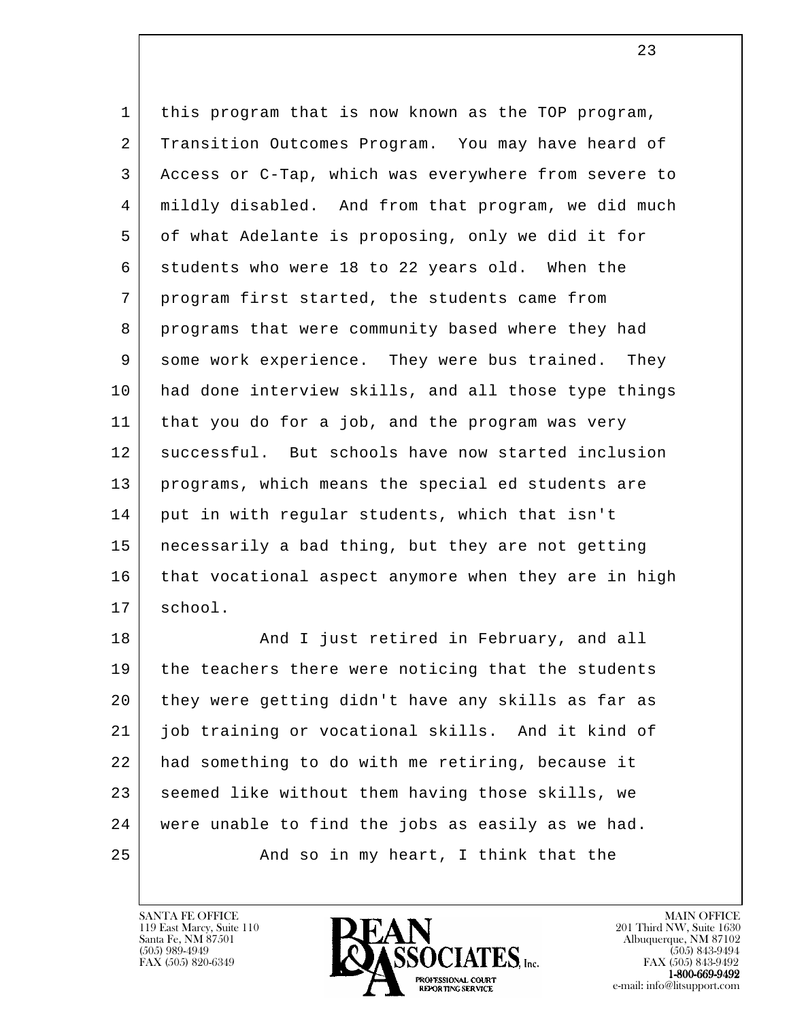1 this program that is now known as the TOP program, 2 Transition Outcomes Program. You may have heard of 3 Access or C-Tap, which was everywhere from severe to 4 mildly disabled. And from that program, we did much 5 of what Adelante is proposing, only we did it for 6 students who were 18 to 22 years old. When the 7 program first started, the students came from 8 | programs that were community based where they had 9 some work experience. They were bus trained. They 10 had done interview skills, and all those type things 11 that you do for a job, and the program was very 12 | successful. But schools have now started inclusion 13 programs, which means the special ed students are 14 | put in with regular students, which that isn't 15 necessarily a bad thing, but they are not getting 16 that vocational aspect anymore when they are in high 17 school.

l 18 | The Rand I just retired in February, and all 19 the teachers there were noticing that the students 20 they were getting didn't have any skills as far as 21 job training or vocational skills. And it kind of 22 had something to do with me retiring, because it 23 seemed like without them having those skills, we 24 were unable to find the jobs as easily as we had. 25 | And so in my heart, I think that the

119 East Marcy, Suite 110<br>Santa Fe, NM 87501



<u>23</u>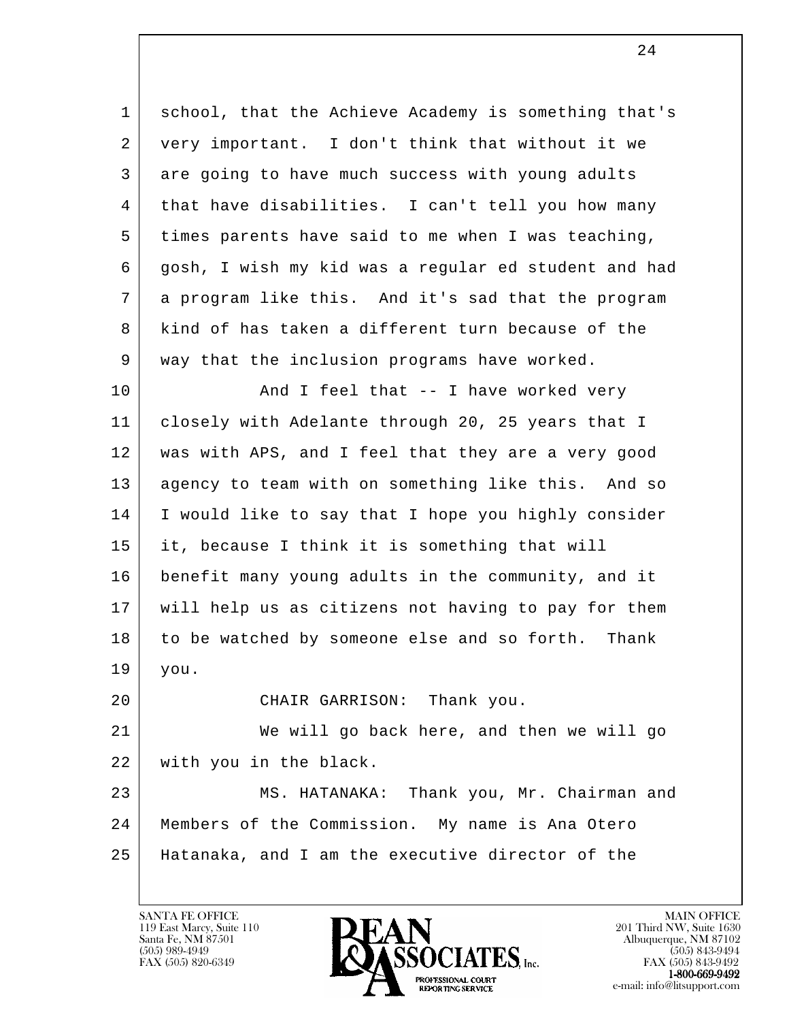| 1  | school, that the Achieve Academy is something that's |
|----|------------------------------------------------------|
| 2  | very important. I don't think that without it we     |
| 3  | are going to have much success with young adults     |
| 4  | that have disabilities. I can't tell you how many    |
| 5  | times parents have said to me when I was teaching,   |
| 6  | gosh, I wish my kid was a regular ed student and had |
| 7  | a program like this. And it's sad that the program   |
| 8  | kind of has taken a different turn because of the    |
| 9  | way that the inclusion programs have worked.         |
| 10 | And I feel that -- I have worked very                |
| 11 | closely with Adelante through 20, 25 years that I    |
| 12 | was with APS, and I feel that they are a very good   |
| 13 | agency to team with on something like this. And so   |
| 14 | I would like to say that I hope you highly consider  |
| 15 | it, because I think it is something that will        |
| 16 | benefit many young adults in the community, and it   |
| 17 | will help us as citizens not having to pay for them  |
| 18 | to be watched by someone else and so forth. Thank    |
| 19 | you.                                                 |
| 20 | CHAIR GARRISON: Thank you.                           |
| 21 | We will go back here, and then we will go            |
| 22 | with you in the black.                               |
| 23 | MS. HATANAKA: Thank you, Mr. Chairman and            |
| 24 | Members of the Commission. My name is Ana Otero      |
| 25 | Hatanaka, and I am the executive director of the     |
|    |                                                      |

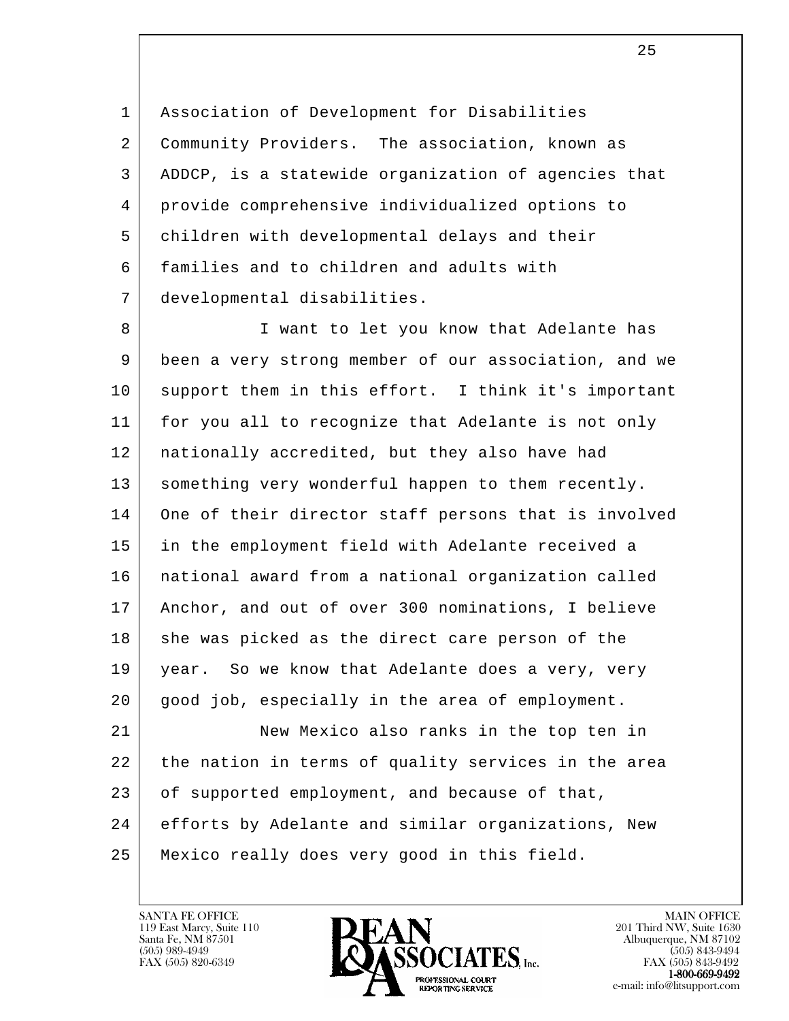1 Association of Development for Disabilities 2 Community Providers. The association, known as 3 ADDCP, is a statewide organization of agencies that 4 provide comprehensive individualized options to 5 children with developmental delays and their 6 families and to children and adults with 7 developmental disabilities.

l 8 I want to let you know that Adelante has 9 been a very strong member of our association, and we 10 support them in this effort. I think it's important 11 for you all to recognize that Adelante is not only 12 nationally accredited, but they also have had 13 something very wonderful happen to them recently. 14 One of their director staff persons that is involved 15 in the employment field with Adelante received a 16 national award from a national organization called 17 Anchor, and out of over 300 nominations, I believe 18 she was picked as the direct care person of the 19 | year. So we know that Adelante does a very, very 20 good job, especially in the area of employment. 21 New Mexico also ranks in the top ten in 22 the nation in terms of quality services in the area 23 of supported employment, and because of that, 24 efforts by Adelante and similar organizations, New 25 Mexico really does very good in this field.

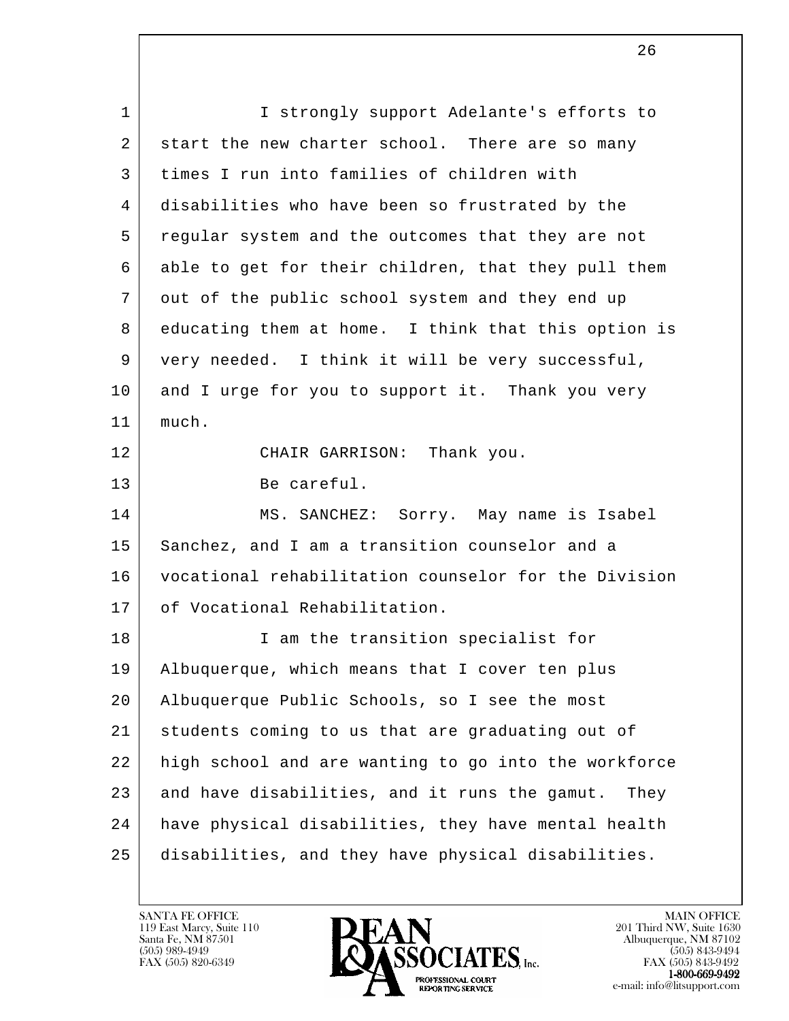l 1 | I strongly support Adelante's efforts to 2 start the new charter school. There are so many 3 times I run into families of children with 4 disabilities who have been so frustrated by the 5 regular system and the outcomes that they are not 6 able to get for their children, that they pull them 7 out of the public school system and they end up 8 educating them at home. I think that this option is 9 very needed. I think it will be very successful, 10 and I urge for you to support it. Thank you very 11 much. 12 CHAIR GARRISON: Thank you. 13 Be careful. 14 MS. SANCHEZ: Sorry. May name is Isabel 15 | Sanchez, and I am a transition counselor and a 16 vocational rehabilitation counselor for the Division 17 of Vocational Rehabilitation. 18 I am the transition specialist for 19 Albuquerque, which means that I cover ten plus 20 Albuquerque Public Schools, so I see the most 21 students coming to us that are graduating out of 22 high school and are wanting to go into the workforce 23 and have disabilities, and it runs the gamut. They 24 have physical disabilities, they have mental health 25 disabilities, and they have physical disabilities.

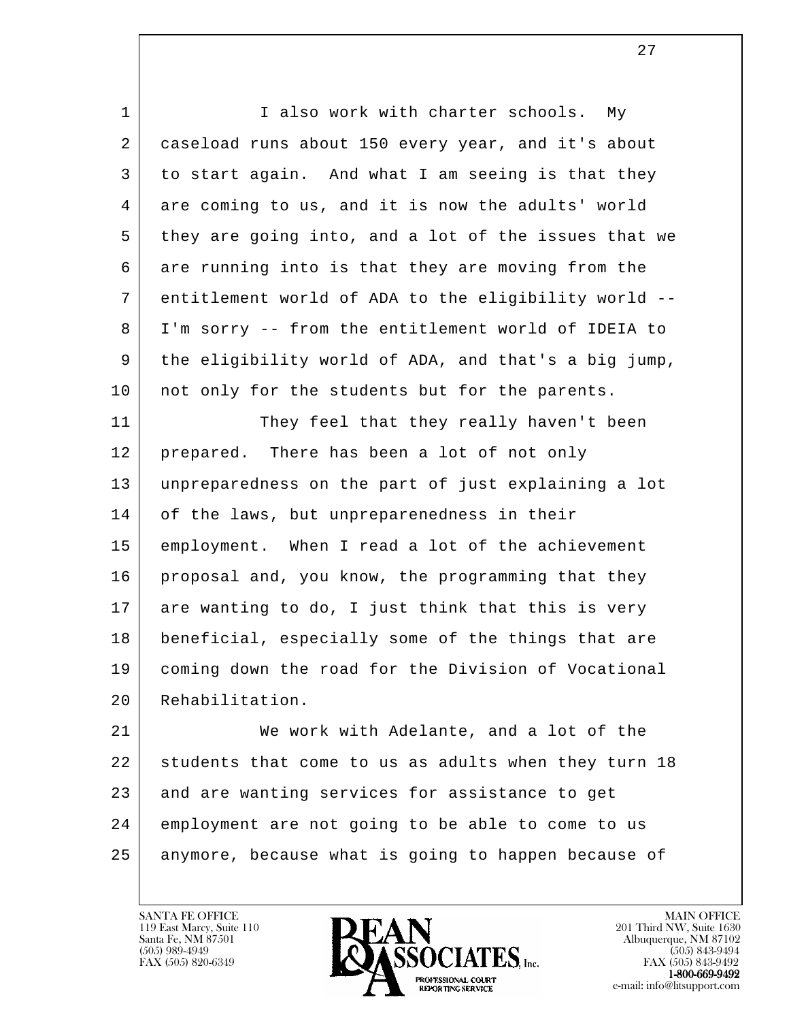l 1 I also work with charter schools. My 2 caseload runs about 150 every year, and it's about 3 to start again. And what I am seeing is that they 4 are coming to us, and it is now the adults' world 5 they are going into, and a lot of the issues that we 6 are running into is that they are moving from the 7 entitlement world of ADA to the eligibility world -- 8 I'm sorry -- from the entitlement world of IDEIA to 9 the eligibility world of ADA, and that's a big jump, 10 | not only for the students but for the parents. 11 They feel that they really haven't been 12 | prepared. There has been a lot of not only 13 unpreparedness on the part of just explaining a lot 14 of the laws, but unpreparenedness in their 15 employment. When I read a lot of the achievement 16 proposal and, you know, the programming that they 17 are wanting to do, I just think that this is very 18 beneficial, especially some of the things that are 19 coming down the road for the Division of Vocational 20 Rehabilitation. 21 | We work with Adelante, and a lot of the 22 students that come to us as adults when they turn 18 23 and are wanting services for assistance to get 24 employment are not going to be able to come to us 25 anymore, because what is going to happen because of

119 East Marcy, Suite 110<br>Santa Fe, NM 87501



FAX (505) 843-9492 e-mail: info@litsupport.com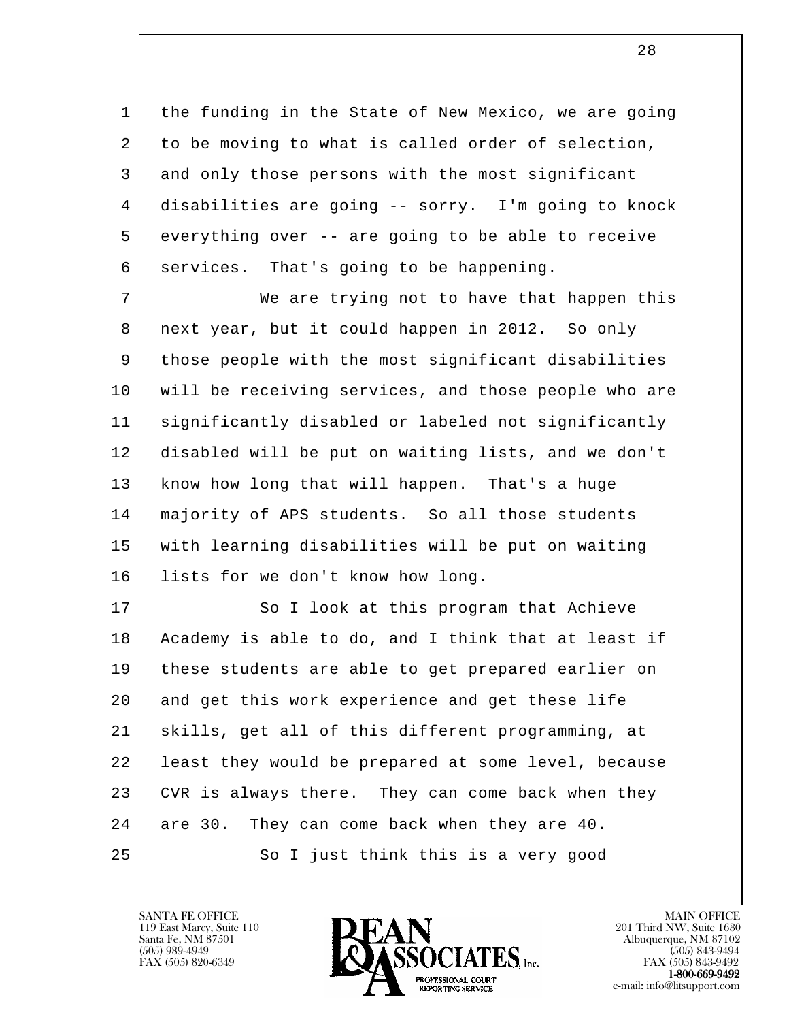1 | the funding in the State of New Mexico, we are going 2 to be moving to what is called order of selection, 3 and only those persons with the most significant 4 disabilities are going -- sorry. I'm going to knock 5 everything over -- are going to be able to receive 6 | services. That's going to be happening.

7 We are trying not to have that happen this 8 | next year, but it could happen in 2012. So only 9 | those people with the most significant disabilities 10 will be receiving services, and those people who are 11 significantly disabled or labeled not significantly 12 disabled will be put on waiting lists, and we don't 13 know how long that will happen. That's a huge 14 majority of APS students. So all those students 15 with learning disabilities will be put on waiting 16 lists for we don't know how long.

l 17 So I look at this program that Achieve 18 Academy is able to do, and I think that at least if 19 these students are able to get prepared earlier on 20 and get this work experience and get these life 21 skills, get all of this different programming, at 22 least they would be prepared at some level, because 23 CVR is always there. They can come back when they 24 are 30. They can come back when they are 40. 25 So I just think this is a very good

119 East Marcy, Suite 110<br>Santa Fe, NM 87501

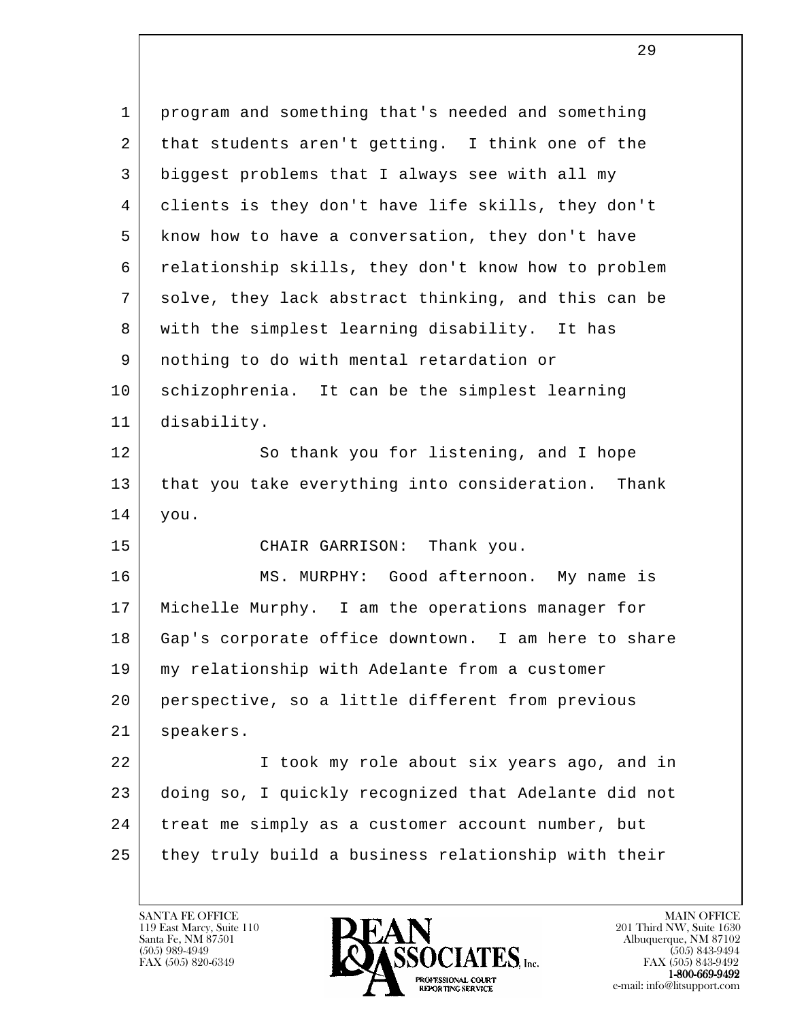l 1 program and something that's needed and something 2 that students aren't getting. I think one of the 3 biggest problems that I always see with all my 4 clients is they don't have life skills, they don't 5 know how to have a conversation, they don't have 6 relationship skills, they don't know how to problem 7 solve, they lack abstract thinking, and this can be 8 with the simplest learning disability. It has 9 nothing to do with mental retardation or 10 schizophrenia. It can be the simplest learning 11 disability. 12 So thank you for listening, and I hope 13 that you take everything into consideration. Thank 14 you. 15 CHAIR GARRISON: Thank you. 16 MS. MURPHY: Good afternoon. My name is 17 Michelle Murphy. I am the operations manager for 18 Gap's corporate office downtown. I am here to share 19 my relationship with Adelante from a customer 20 perspective, so a little different from previous 21 speakers. 22 I took my role about six years ago, and in 23 doing so, I quickly recognized that Adelante did not 24 treat me simply as a customer account number, but 25 they truly build a business relationship with their

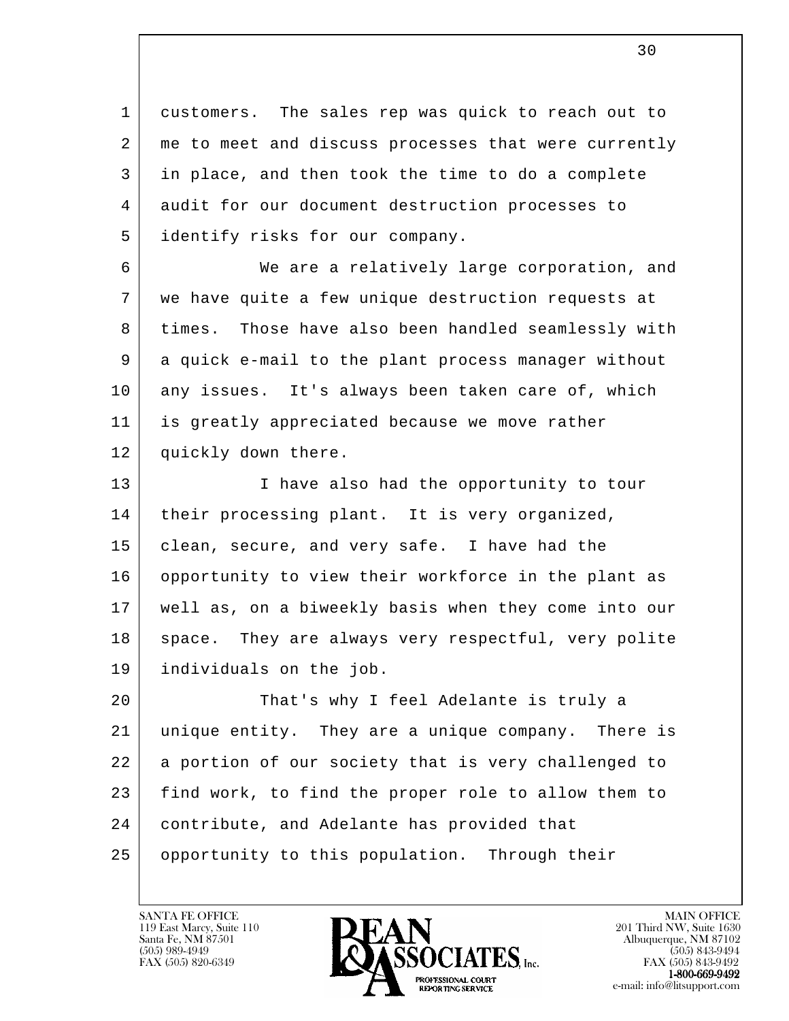1 customers. The sales rep was quick to reach out to 2 | me to meet and discuss processes that were currently 3 in place, and then took the time to do a complete 4 audit for our document destruction processes to 5 identify risks for our company.

 6 We are a relatively large corporation, and 7 we have quite a few unique destruction requests at 8 times. Those have also been handled seamlessly with 9 a quick e-mail to the plant process manager without 10 any issues. It's always been taken care of, which 11 is greatly appreciated because we move rather 12 quickly down there.

13 I have also had the opportunity to tour 14 | their processing plant. It is very organized, 15 | clean, secure, and very safe. I have had the 16 opportunity to view their workforce in the plant as 17 well as, on a biweekly basis when they come into our 18 space. They are always very respectful, very polite 19 individuals on the job.

l 20 That's why I feel Adelante is truly a 21 unique entity. They are a unique company. There is 22 a portion of our society that is very challenged to 23 find work, to find the proper role to allow them to 24 contribute, and Adelante has provided that 25 opportunity to this population. Through their

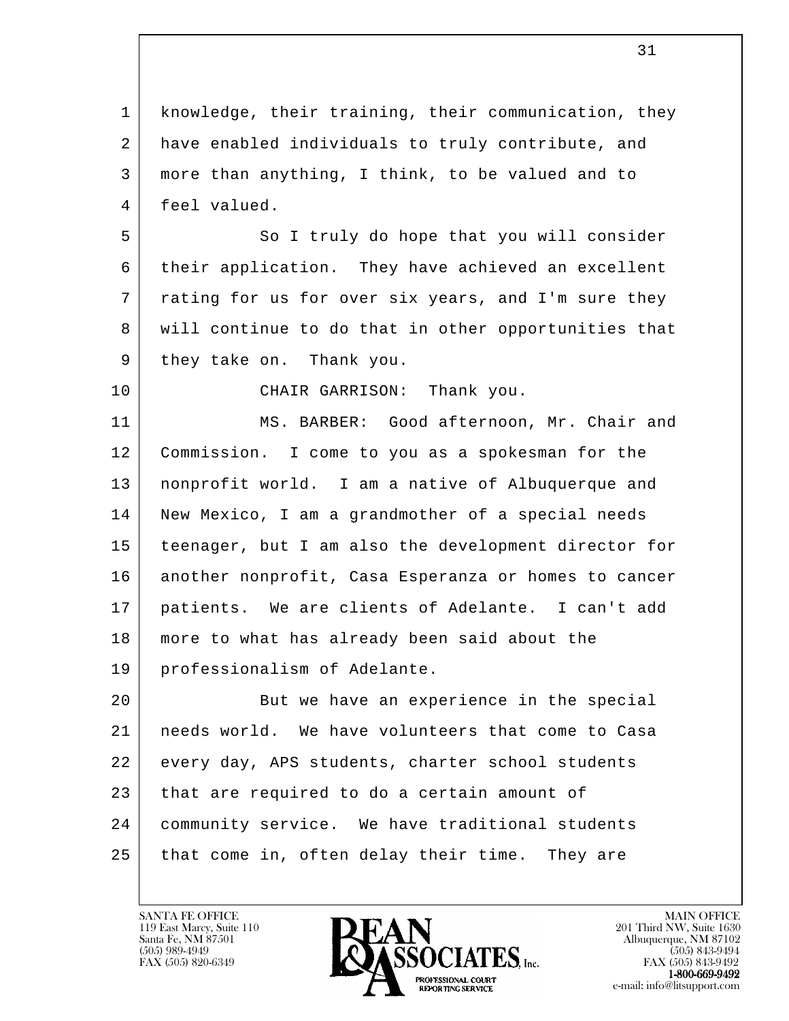l 1 | knowledge, their training, their communication, they 2 have enabled individuals to truly contribute, and 3 more than anything, I think, to be valued and to 4 feel valued. 5 | So I truly do hope that you will consider 6 their application. They have achieved an excellent 7 | rating for us for over six years, and I'm sure they 8 will continue to do that in other opportunities that 9 | they take on. Thank you. 10 CHAIR GARRISON: Thank you. 11 MS. BARBER: Good afternoon, Mr. Chair and 12 Commission. I come to you as a spokesman for the 13 nonprofit world. I am a native of Albuquerque and 14 | New Mexico, I am a grandmother of a special needs 15 teenager, but I am also the development director for 16 another nonprofit, Casa Esperanza or homes to cancer 17 patients. We are clients of Adelante. I can't add 18 more to what has already been said about the 19 professionalism of Adelante. 20 But we have an experience in the special 21 needs world. We have volunteers that come to Casa 22 every day, APS students, charter school students 23 that are required to do a certain amount of 24 community service. We have traditional students 25 that come in, often delay their time. They are

31

119 East Marcy, Suite 110<br>Santa Fe, NM 87501



FAX (505) 843-9492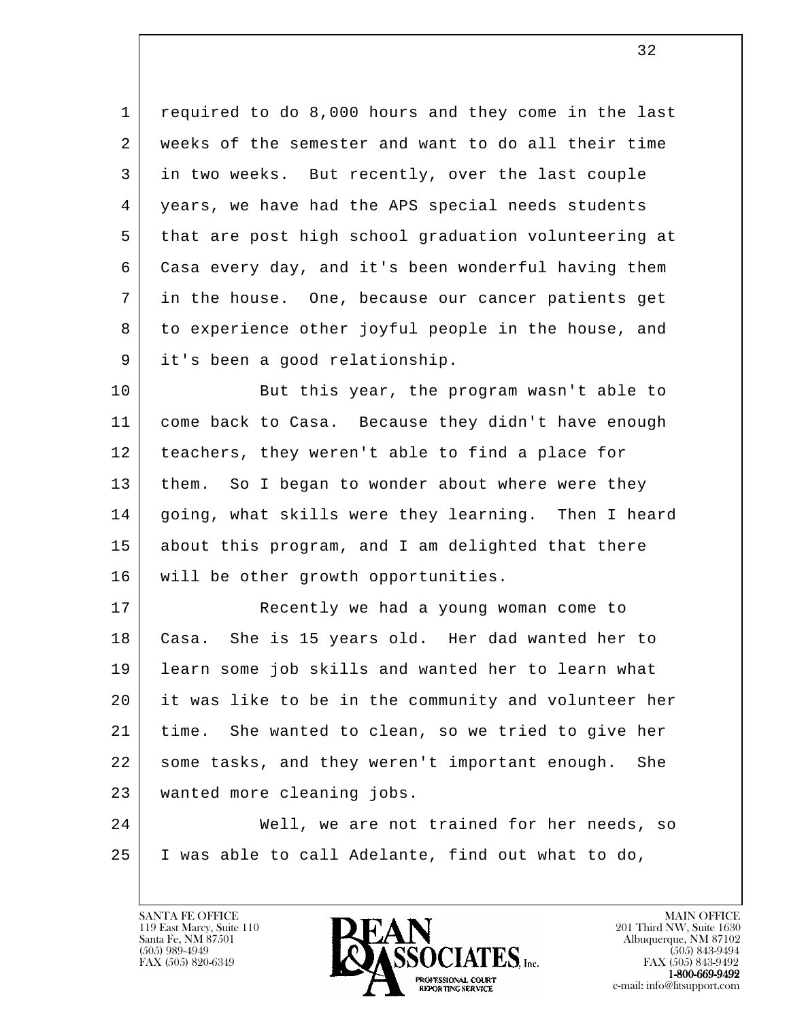1 required to do 8,000 hours and they come in the last 2 weeks of the semester and want to do all their time 3 in two weeks. But recently, over the last couple 4 years, we have had the APS special needs students 5 that are post high school graduation volunteering at 6 Casa every day, and it's been wonderful having them 7 in the house. One, because our cancer patients get 8 to experience other joyful people in the house, and 9 it's been a good relationship.

10 But this year, the program wasn't able to 11 come back to Casa. Because they didn't have enough 12 | teachers, they weren't able to find a place for 13 | them. So I began to wonder about where were they 14 | going, what skills were they learning. Then I heard 15 about this program, and I am delighted that there 16 | will be other growth opportunities.

 17 Recently we had a young woman come to 18 Casa. She is 15 years old. Her dad wanted her to 19 learn some job skills and wanted her to learn what 20 it was like to be in the community and volunteer her 21 time. She wanted to clean, so we tried to give her 22 some tasks, and they weren't important enough. She 23 wanted more cleaning jobs.

l 24 Well, we are not trained for her needs, so 25 I was able to call Adelante, find out what to do,

119 East Marcy, Suite 110<br>Santa Fe, NM 87501

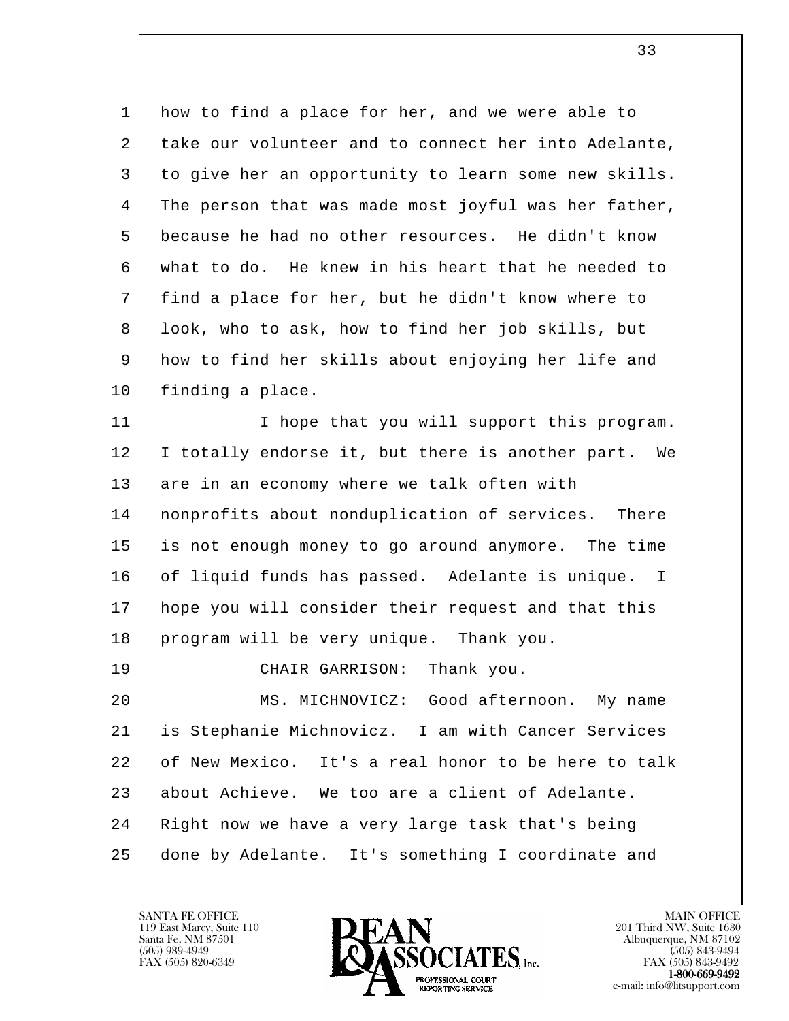1 how to find a place for her, and we were able to 2 take our volunteer and to connect her into Adelante, 3 to give her an opportunity to learn some new skills. 4 The person that was made most joyful was her father, 5 because he had no other resources. He didn't know 6 what to do. He knew in his heart that he needed to 7 find a place for her, but he didn't know where to 8 look, who to ask, how to find her job skills, but 9 how to find her skills about enjoying her life and 10 | finding a place. 11 | Thope that you will support this program.

33

12 | I totally endorse it, but there is another part. We 13 are in an economy where we talk often with 14 nonprofits about nonduplication of services. There 15 is not enough money to go around anymore. The time 16 of liquid funds has passed. Adelante is unique. I 17 hope you will consider their request and that this 18 | program will be very unique. Thank you.

l 19 CHAIR GARRISON: Thank you. 20 MS. MICHNOVICZ: Good afternoon. My name 21 is Stephanie Michnovicz. I am with Cancer Services 22 of New Mexico. It's a real honor to be here to talk 23 about Achieve. We too are a client of Adelante. 24 Right now we have a very large task that's being 25 done by Adelante. It's something I coordinate and

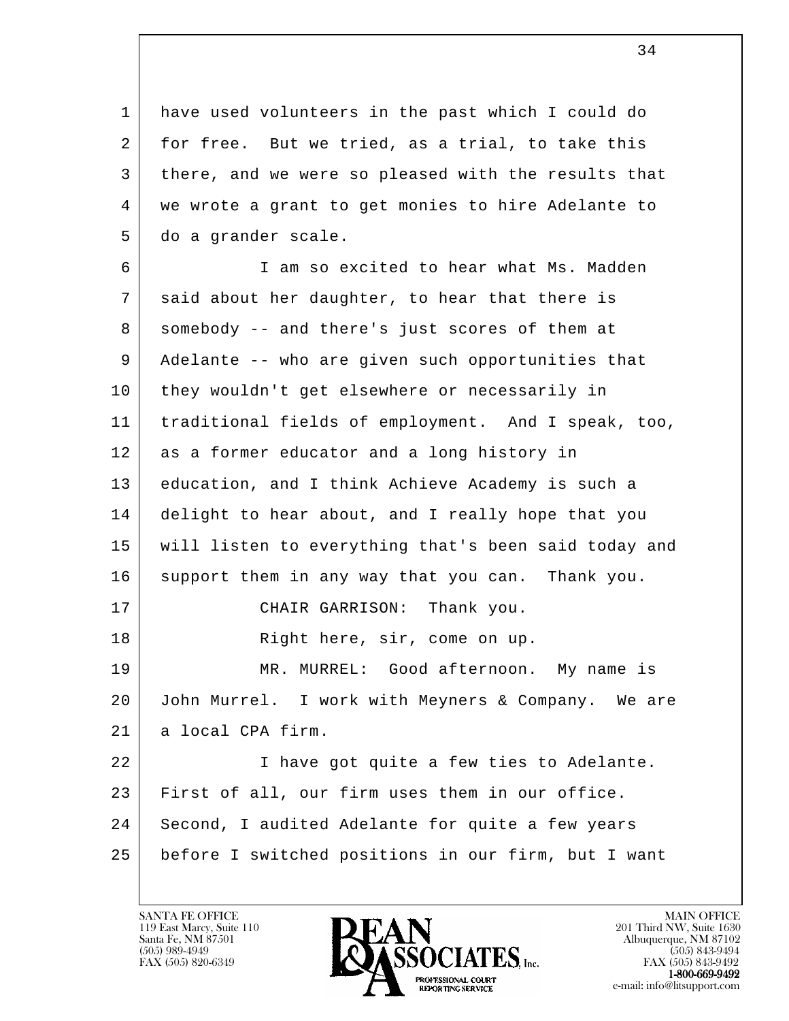1 have used volunteers in the past which I could do 2 for free. But we tried, as a trial, to take this 3 there, and we were so pleased with the results that 4 we wrote a grant to get monies to hire Adelante to 5 do a grander scale.

l 6 I am so excited to hear what Ms. Madden 7 said about her daughter, to hear that there is 8 somebody -- and there's just scores of them at 9 Adelante -- who are given such opportunities that 10 they wouldn't get elsewhere or necessarily in 11 traditional fields of employment. And I speak, too, 12 as a former educator and a long history in 13 education, and I think Achieve Academy is such a 14 delight to hear about, and I really hope that you 15 will listen to everything that's been said today and 16 support them in any way that you can. Thank you. 17 CHAIR GARRISON: Thank you. 18 Right here, sir, come on up. 19 MR. MURREL: Good afternoon. My name is 20 John Murrel. I work with Meyners & Company. We are 21 | a local CPA firm. 22 I have got quite a few ties to Adelante. 23 | First of all, our firm uses them in our office. 24 Second, I audited Adelante for quite a few years 25 before I switched positions in our firm, but I want

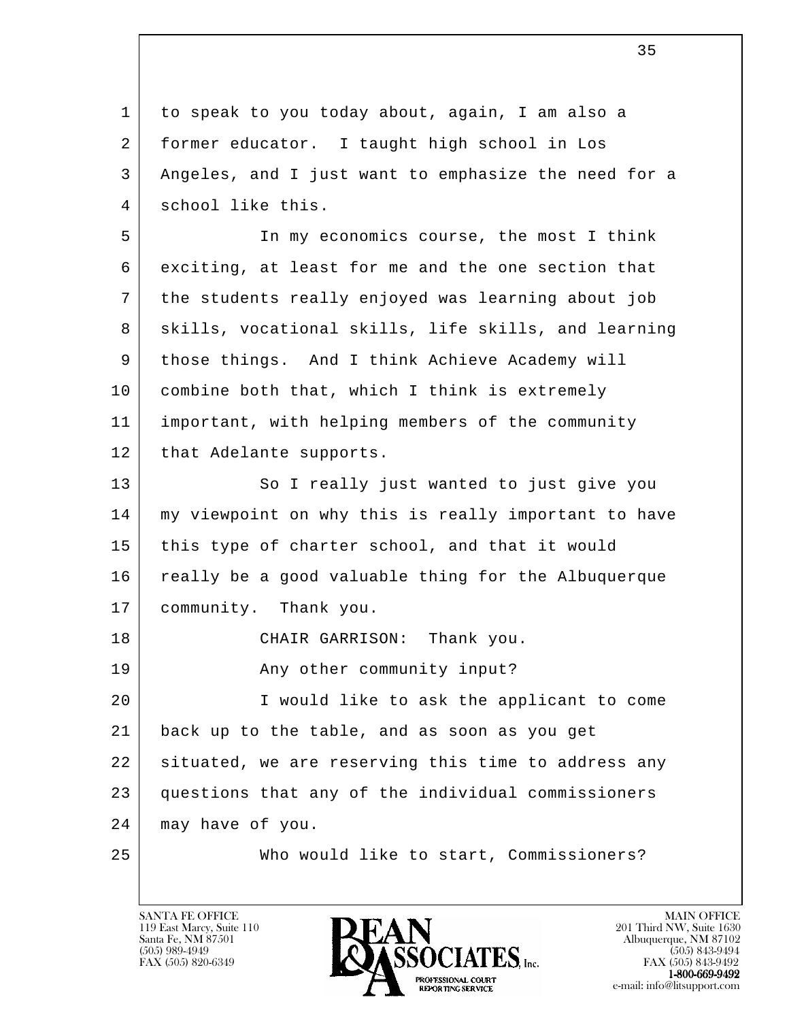l 1 to speak to you today about, again, I am also a 2 former educator. I taught high school in Los 3 Angeles, and I just want to emphasize the need for a 4 school like this. 5 In my economics course, the most I think 6 exciting, at least for me and the one section that 7 the students really enjoyed was learning about job 8 | skills, vocational skills, life skills, and learning 9 | those things. And I think Achieve Academy will 10 combine both that, which I think is extremely 11 important, with helping members of the community 12 | that Adelante supports. 13 So I really just wanted to just give you 14 my viewpoint on why this is really important to have 15 this type of charter school, and that it would 16 really be a good valuable thing for the Albuquerque 17 community. Thank you. 18 CHAIR GARRISON: Thank you. 19 | The Community input? 20 I would like to ask the applicant to come 21 back up to the table, and as soon as you get 22 situated, we are reserving this time to address any 23 questions that any of the individual commissioners 24 may have of you. 25 Who would like to start, Commissioners?

119 East Marcy, Suite 110<br>Santa Fe, NM 87501

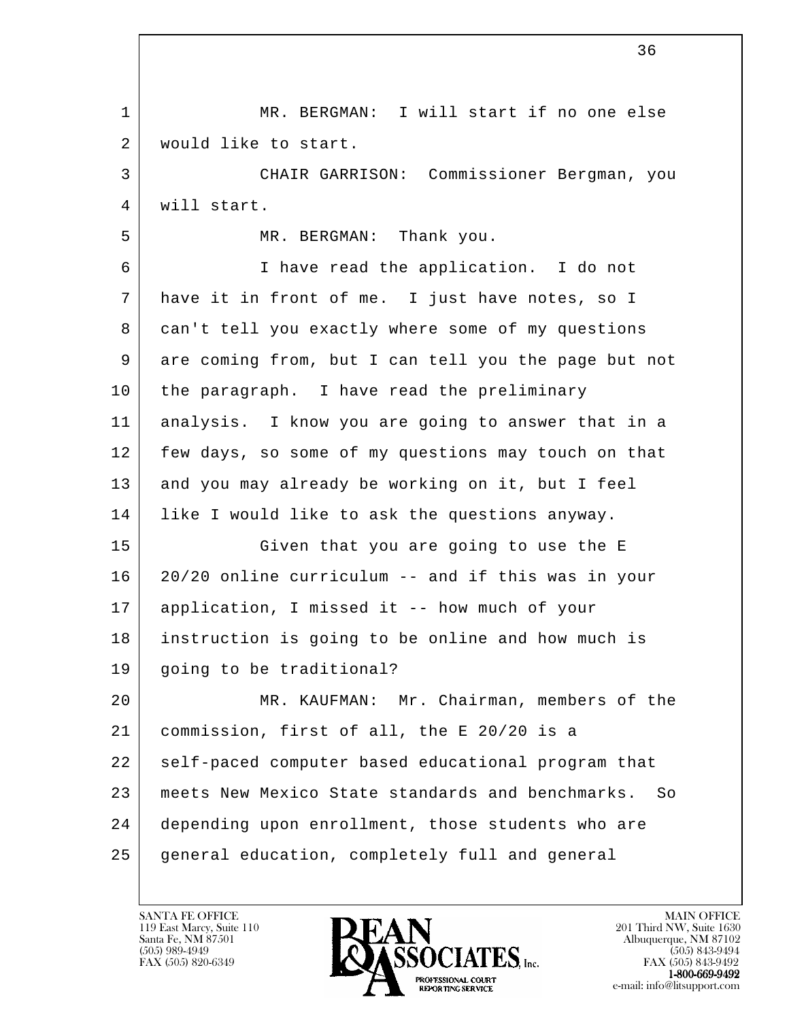l 1 | MR. BERGMAN: I will start if no one else 2 | would like to start. 3 CHAIR GARRISON: Commissioner Bergman, you 4 will start. 5 MR. BERGMAN: Thank you. 6 I have read the application. I do not 7 have it in front of me. I just have notes, so I 8 | can't tell you exactly where some of my questions 9 are coming from, but I can tell you the page but not 10 | the paragraph. I have read the preliminary 11 analysis. I know you are going to answer that in a 12 | few days, so some of my questions may touch on that 13 and you may already be working on it, but I feel 14 like I would like to ask the questions anyway. 15 Given that you are going to use the E 16 20/20 online curriculum -- and if this was in your 17 application, I missed it -- how much of your 18 instruction is going to be online and how much is 19 going to be traditional? 20 MR. KAUFMAN: Mr. Chairman, members of the 21 commission, first of all, the E 20/20 is a 22 self-paced computer based educational program that 23 meets New Mexico State standards and benchmarks. So 24 depending upon enrollment, those students who are 25 general education, completely full and general

119 East Marcy, Suite 110<br>Santa Fe, NM 87501



FAX (505) 843-9492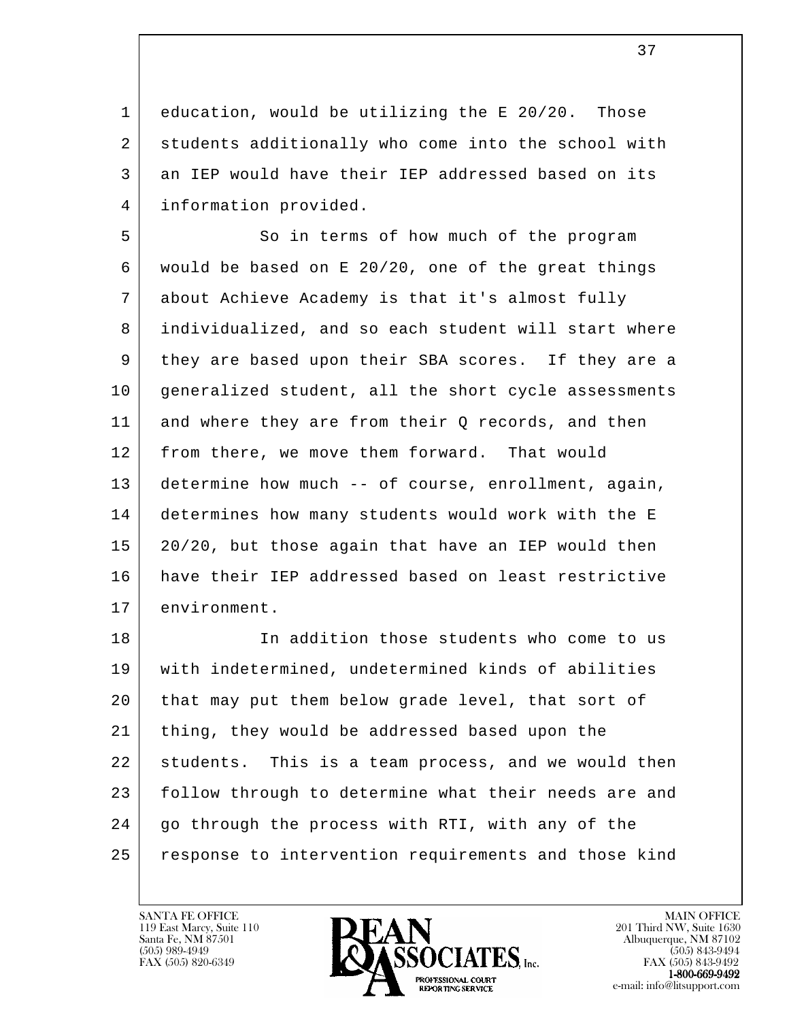1 education, would be utilizing the E 20/20. Those 2 students additionally who come into the school with 3 an IEP would have their IEP addressed based on its 4 information provided.

5 So in terms of how much of the program 6 would be based on E 20/20, one of the great things 7 about Achieve Academy is that it's almost fully 8 individualized, and so each student will start where 9 they are based upon their SBA scores. If they are a 10 | generalized student, all the short cycle assessments 11 and where they are from their Q records, and then 12 from there, we move them forward. That would 13 determine how much -- of course, enrollment, again, 14 determines how many students would work with the E 15 20/20, but those again that have an IEP would then 16 have their IEP addressed based on least restrictive 17 environment.

l 18 In addition those students who come to us 19 with indetermined, undetermined kinds of abilities 20 that may put them below grade level, that sort of 21 thing, they would be addressed based upon the 22 students. This is a team process, and we would then 23 | follow through to determine what their needs are and 24 | go through the process with RTI, with any of the 25 response to intervention requirements and those kind

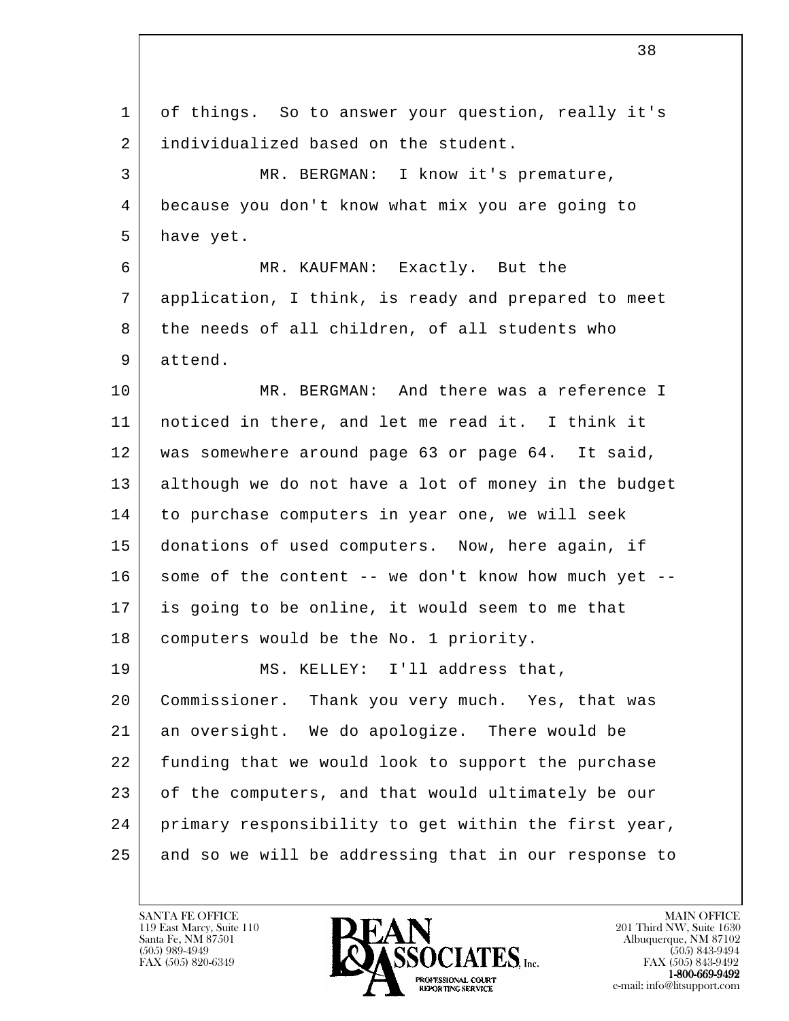| 1  | of things. So to answer your question, really it's   |
|----|------------------------------------------------------|
| 2  | individualized based on the student.                 |
| 3  | MR. BERGMAN: I know it's premature,                  |
| 4  | because you don't know what mix you are going to     |
| 5  | have yet.                                            |
| 6  | MR. KAUFMAN: Exactly. But the                        |
| 7  | application, I think, is ready and prepared to meet  |
| 8  | the needs of all children, of all students who       |
| 9  | attend.                                              |
| 10 | MR. BERGMAN: And there was a reference I             |
| 11 | noticed in there, and let me read it. I think it     |
| 12 | was somewhere around page 63 or page 64. It said,    |
| 13 | although we do not have a lot of money in the budget |
| 14 | to purchase computers in year one, we will seek      |
| 15 | donations of used computers. Now, here again, if     |
| 16 | some of the content -- we don't know how much yet -- |
| 17 | is going to be online, it would seem to me that      |
| 18 | computers would be the No. 1 priority.               |
| 19 | MS. KELLEY: I'll address that,                       |
| 20 | Commissioner. Thank you very much. Yes, that was     |
| 21 | an oversight. We do apologize. There would be        |
| 22 | funding that we would look to support the purchase   |
| 23 | of the computers, and that would ultimately be our   |
| 24 | primary responsibility to get within the first year, |
| 25 | and so we will be addressing that in our response to |

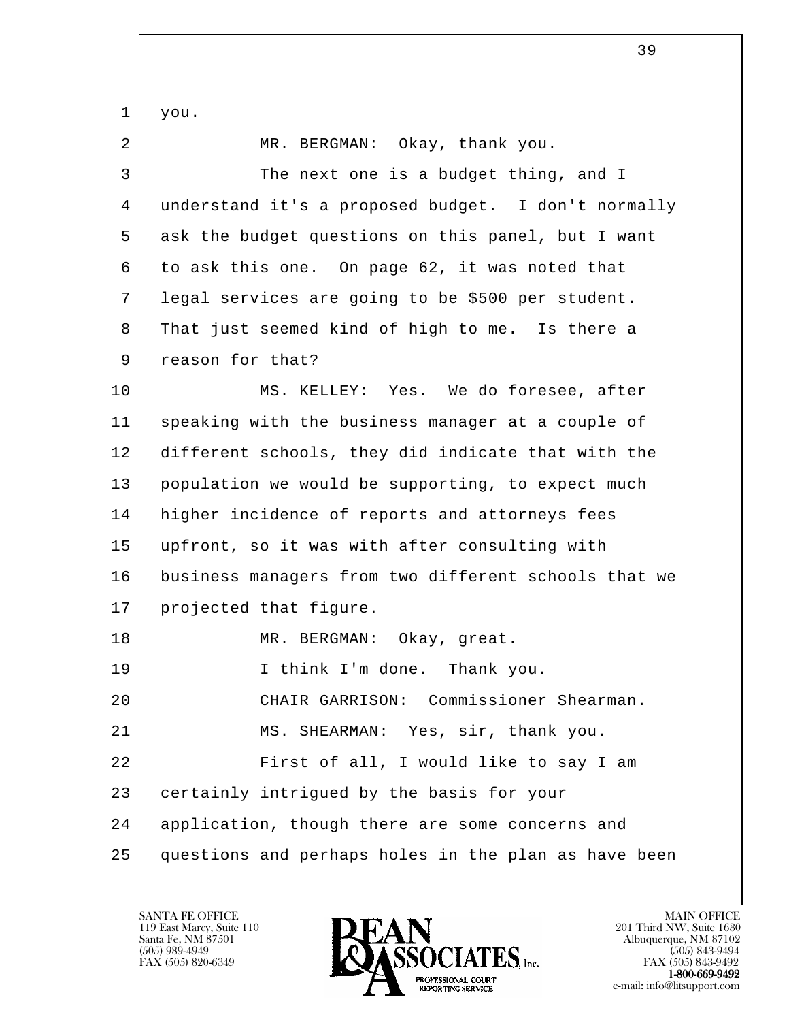l 1 you. 2 MR. BERGMAN: Okay, thank you. 3 The next one is a budget thing, and I 4 understand it's a proposed budget. I don't normally 5 ask the budget questions on this panel, but I want 6 to ask this one. On page 62, it was noted that 7 legal services are going to be \$500 per student. 8 That just seemed kind of high to me. Is there a 9 reason for that? 10 MS. KELLEY: Yes. We do foresee, after 11 speaking with the business manager at a couple of 12 different schools, they did indicate that with the 13 population we would be supporting, to expect much 14 | higher incidence of reports and attorneys fees 15 upfront, so it was with after consulting with 16 business managers from two different schools that we 17 projected that figure. 18 MR. BERGMAN: Okay, great. 19 I think I'm done. Thank you. 20 CHAIR GARRISON: Commissioner Shearman. 21 MS. SHEARMAN: Yes, sir, thank you. 22 First of all, I would like to say I am 23 certainly intrigued by the basis for your 24 | application, though there are some concerns and 25 questions and perhaps holes in the plan as have been

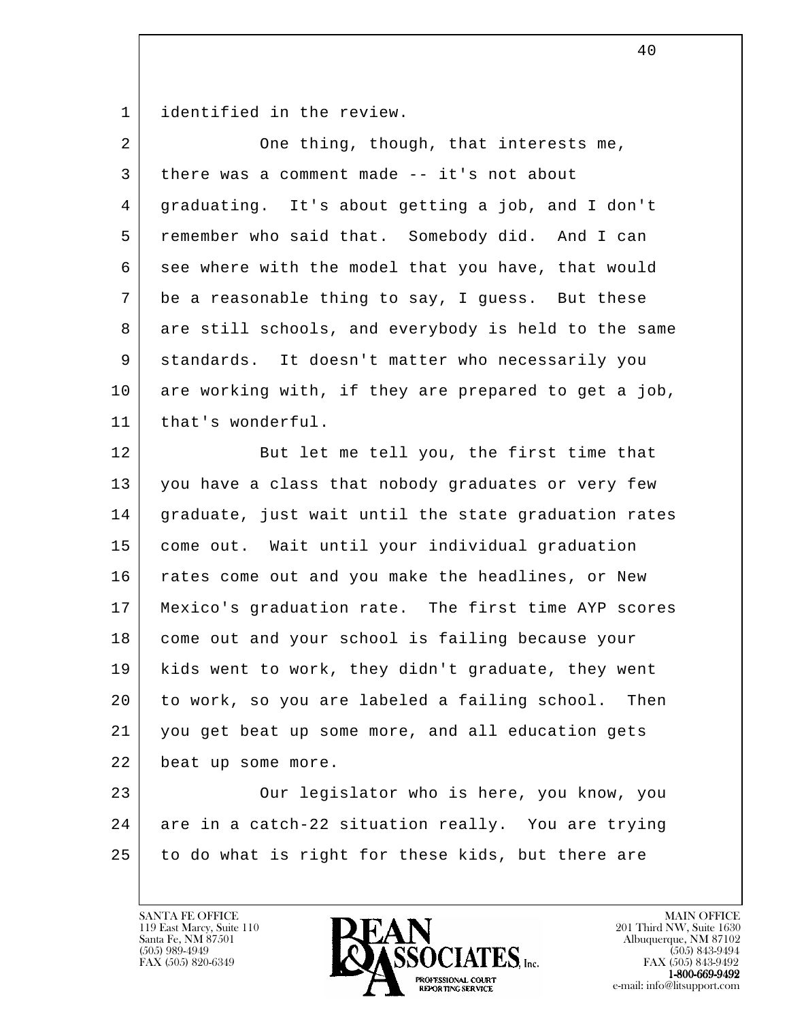1 identified in the review.

| $\overline{a}$ | One thing, though, that interests me,                 |
|----------------|-------------------------------------------------------|
| 3              | there was a comment made -- it's not about            |
| 4              | graduating. It's about getting a job, and I don't     |
| 5              | remember who said that. Somebody did. And I can       |
| 6              | see where with the model that you have, that would    |
| 7              | be a reasonable thing to say, I guess. But these      |
| 8              | are still schools, and everybody is held to the same  |
| 9              | standards. It doesn't matter who necessarily you      |
| 10             | are working with, if they are prepared to get a job,  |
| 11             | that's wonderful.                                     |
| 12             | But let me tell you, the first time that              |
| 13             | you have a class that nobody graduates or very few    |
| 14             | graduate, just wait until the state graduation rates  |
| 15             | come out. Wait until your individual graduation       |
| 16             | rates come out and you make the headlines, or New     |
| 17             | Mexico's graduation rate. The first time AYP scores   |
| 18             | come out and your school is failing because your      |
| 19             | kids went to work, they didn't graduate, they went    |
| 20             | to work, so you are labeled a failing school.<br>Then |
| 21             | you get beat up some more, and all education gets     |
| 22             | beat up some more.                                    |
| 23             | Our legislator who is here, you know, you             |
| 24             | are in a catch-22 situation really. You are trying    |
| 25             | to do what is right for these kids, but there are     |
|                |                                                       |

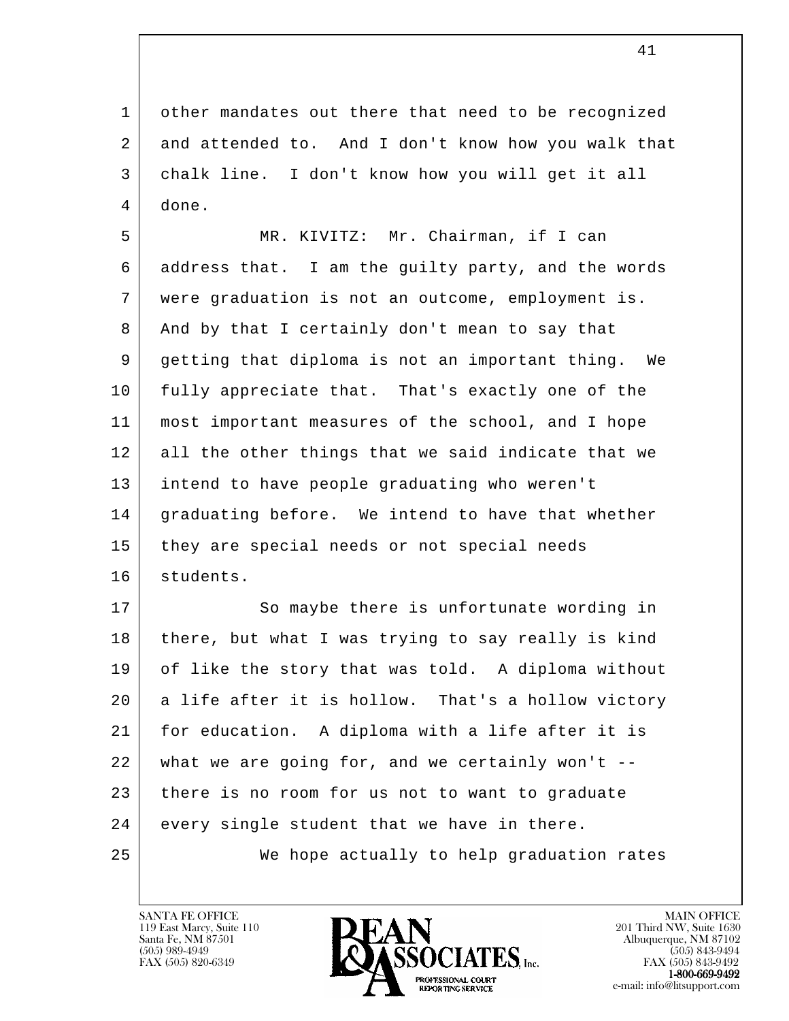1 other mandates out there that need to be recognized 2 and attended to. And I don't know how you walk that 3 chalk line. I don't know how you will get it all 4 done.

 5 MR. KIVITZ: Mr. Chairman, if I can 6 address that. I am the guilty party, and the words 7 were graduation is not an outcome, employment is. 8 And by that I certainly don't mean to say that 9 getting that diploma is not an important thing. We 10 fully appreciate that. That's exactly one of the 11 most important measures of the school, and I hope 12 all the other things that we said indicate that we 13 intend to have people graduating who weren't 14 | graduating before. We intend to have that whether 15 they are special needs or not special needs 16 students.

l 17 So maybe there is unfortunate wording in 18 | there, but what I was trying to say really is kind 19 of like the story that was told. A diploma without 20 a life after it is hollow. That's a hollow victory 21 for education. A diploma with a life after it is 22 what we are going for, and we certainly won't -- 23 there is no room for us not to want to graduate 24 every single student that we have in there. 25 We hope actually to help graduation rates

119 East Marcy, Suite 110<br>Santa Fe, NM 87501

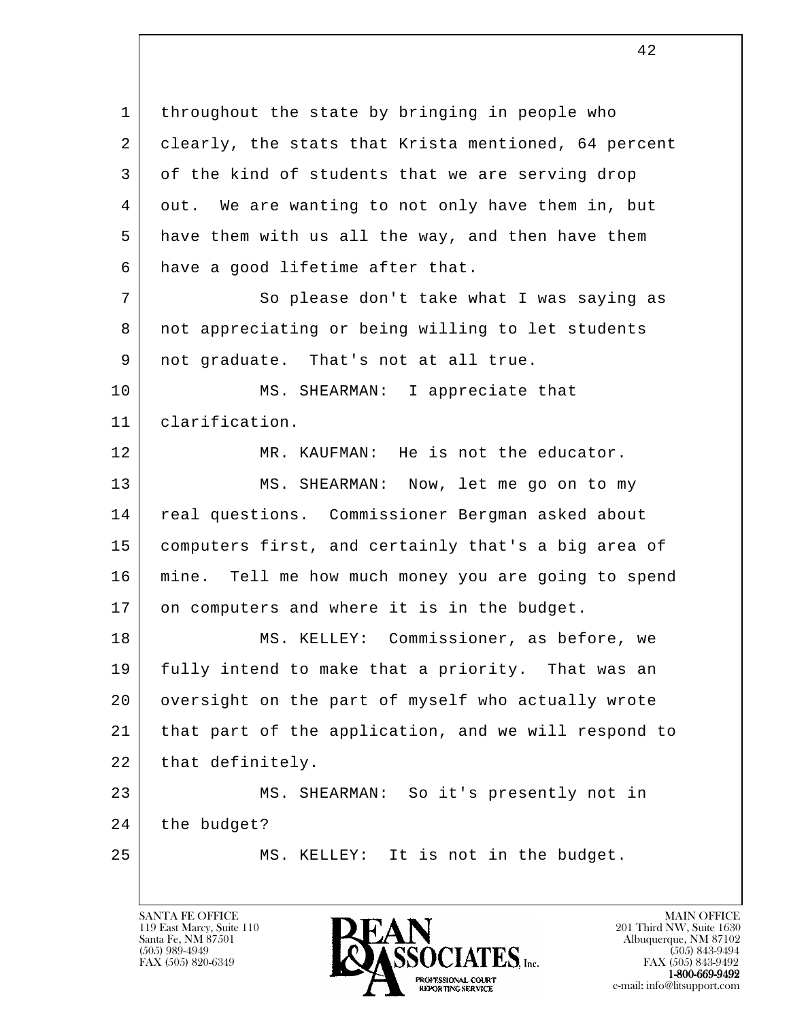l 1 | throughout the state by bringing in people who 2 clearly, the stats that Krista mentioned, 64 percent 3 of the kind of students that we are serving drop 4 out. We are wanting to not only have them in, but 5 have them with us all the way, and then have them 6 | have a good lifetime after that. 7 So please don't take what I was saying as 8 not appreciating or being willing to let students 9 | not graduate. That's not at all true. 10 MS. SHEARMAN: I appreciate that 11 clarification. 12 MR. KAUFMAN: He is not the educator. 13 MS. SHEARMAN: Now, let me go on to my 14 | real questions. Commissioner Bergman asked about 15 computers first, and certainly that's a big area of 16 mine. Tell me how much money you are going to spend 17 on computers and where it is in the budget. 18 | MS. KELLEY: Commissioner, as before, we 19 fully intend to make that a priority. That was an 20 | oversight on the part of myself who actually wrote 21 that part of the application, and we will respond to 22 | that definitely. 23 | MS. SHEARMAN: So it's presently not in 24 the budget? 25 MS. KELLEY: It is not in the budget.

119 East Marcy, Suite 110<br>Santa Fe, NM 87501

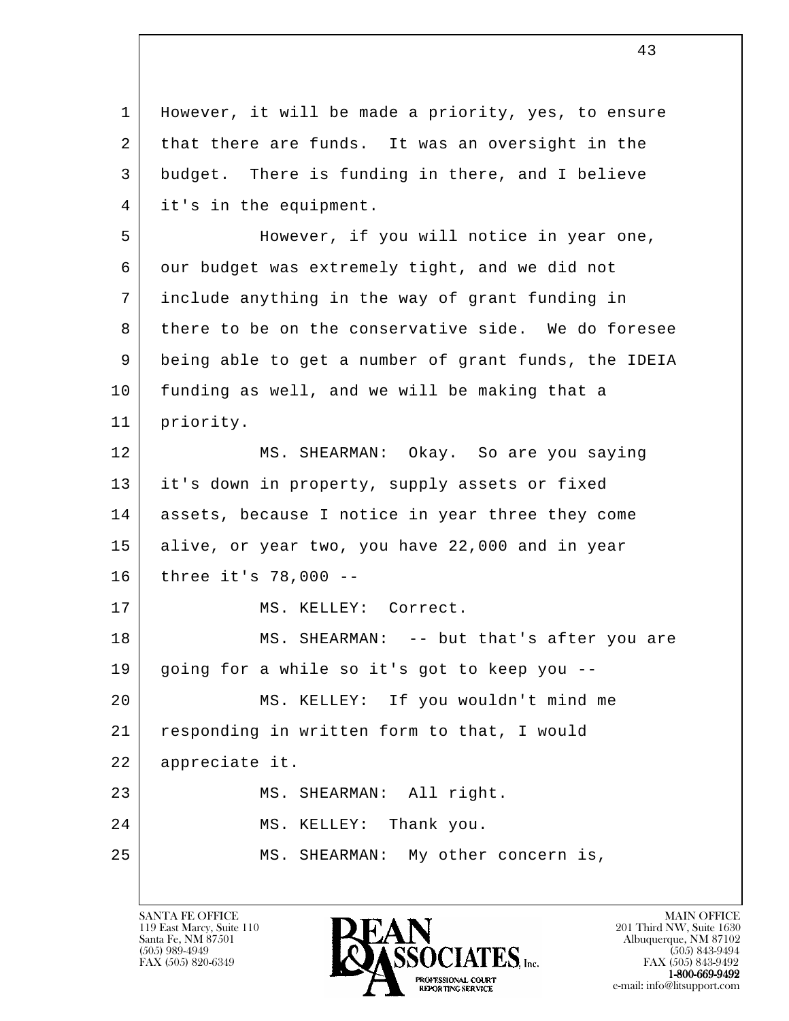l 1 | However, it will be made a priority, yes, to ensure 2 that there are funds. It was an oversight in the 3 budget. There is funding in there, and I believe 4 it's in the equipment. 5 However, if you will notice in year one, 6 our budget was extremely tight, and we did not 7 include anything in the way of grant funding in 8 there to be on the conservative side. We do foresee 9 being able to get a number of grant funds, the IDEIA 10 funding as well, and we will be making that a 11 priority. 12 MS. SHEARMAN: Okay. So are you saying 13 it's down in property, supply assets or fixed 14 assets, because I notice in year three they come 15 alive, or year two, you have 22,000 and in year 16 three it's 78,000 -- 17 | MS. KELLEY: Correct. 18 | MS. SHEARMAN: -- but that's after you are 19 going for a while so it's got to keep you -- 20 MS. KELLEY: If you wouldn't mind me 21 responding in written form to that, I would 22 appreciate it. 23 MS. SHEARMAN: All right. 24 MS. KELLEY: Thank you. 25 MS. SHEARMAN: My other concern is,

119 East Marcy, Suite 110<br>Santa Fe, NM 87501



FAX (505) 843-9492 e-mail: info@litsupport.com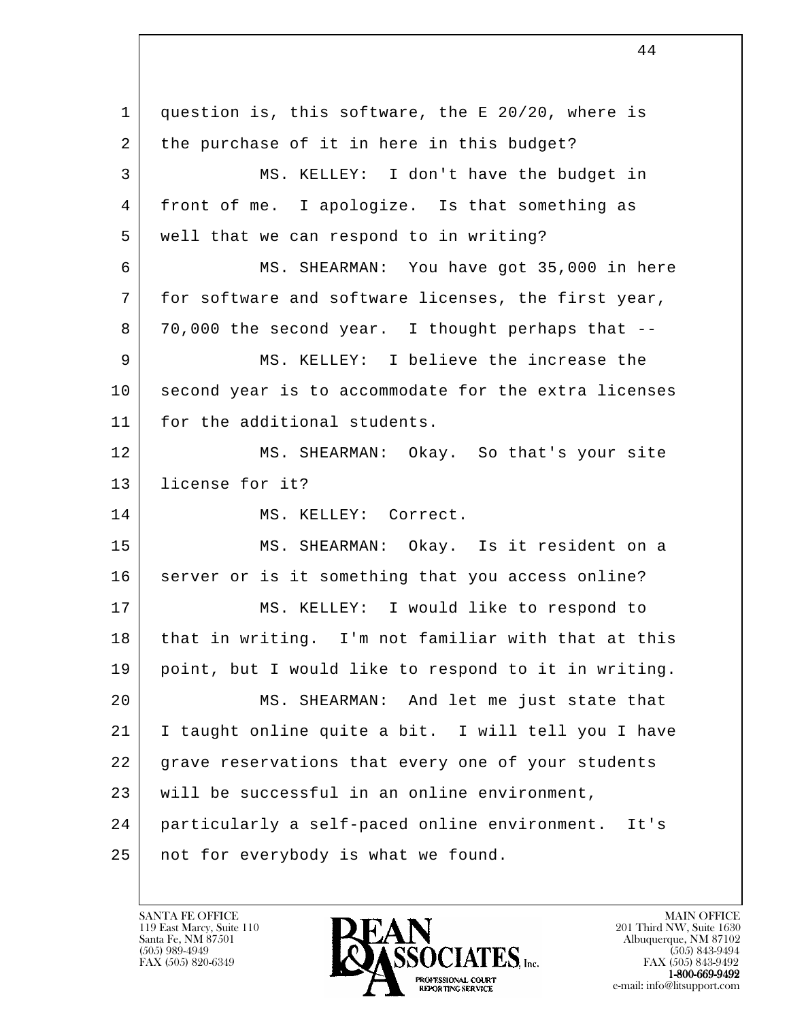l 1 | question is, this software, the E 20/20, where is 2 the purchase of it in here in this budget? 3 MS. KELLEY: I don't have the budget in 4 front of me. I apologize. Is that something as 5 well that we can respond to in writing? 6 MS. SHEARMAN: You have got 35,000 in here 7 for software and software licenses, the first year, 8 70,000 the second year. I thought perhaps that --9 MS. KELLEY: I believe the increase the 10 second year is to accommodate for the extra licenses 11 for the additional students. 12 MS. SHEARMAN: Okay. So that's your site 13 license for it? 14 MS. KELLEY: Correct. 15 MS. SHEARMAN: Okay. Is it resident on a 16 server or is it something that you access online? 17 MS. KELLEY: I would like to respond to 18 that in writing. I'm not familiar with that at this 19 point, but I would like to respond to it in writing. 20 MS. SHEARMAN: And let me just state that 21 I taught online quite a bit. I will tell you I have 22 grave reservations that every one of your students 23 will be successful in an online environment, 24 particularly a self-paced online environment. It's 25 not for everybody is what we found.

119 East Marcy, Suite 110<br>Santa Fe, NM 87501



FAX (505) 843-9492 e-mail: info@litsupport.com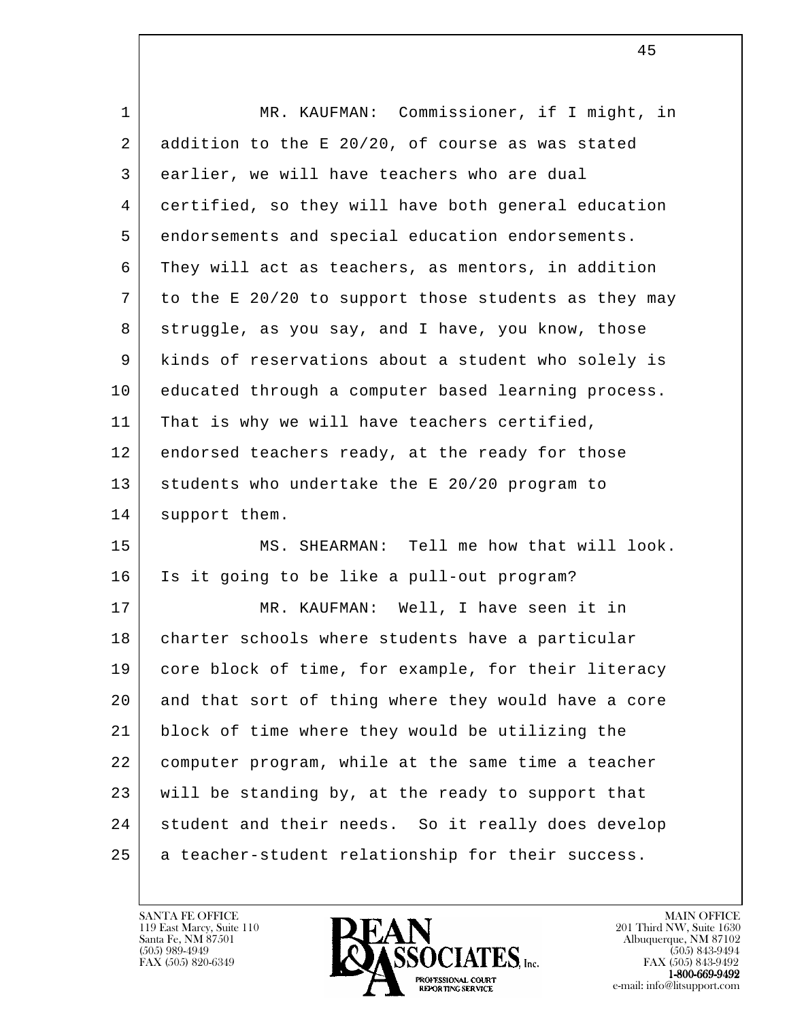| MR. KAUFMAN: Commissioner, if I might, in            |
|------------------------------------------------------|
| addition to the E 20/20, of course as was stated     |
| earlier, we will have teachers who are dual          |
| certified, so they will have both general education  |
| endorsements and special education endorsements.     |
| They will act as teachers, as mentors, in addition   |
| to the E 20/20 to support those students as they may |
| struggle, as you say, and I have, you know, those    |
| kinds of reservations about a student who solely is  |
| educated through a computer based learning process.  |
| That is why we will have teachers certified,         |
| endorsed teachers ready, at the ready for those      |
| students who undertake the E 20/20 program to        |
| support them.                                        |
| MS. SHEARMAN: Tell me how that will look.            |
| Is it going to be like a pull-out program?           |
| MR. KAUFMAN: Well, I have seen it in                 |
| charter schools where students have a particular     |
| core block of time, for example, for their literacy  |
| and that sort of thing where they would have a core  |
| block of time where they would be utilizing the      |
| computer program, while at the same time a teacher   |
| will be standing by, at the ready to support that    |
| student and their needs. So it really does develop   |
| a teacher-student relationship for their success.    |
|                                                      |

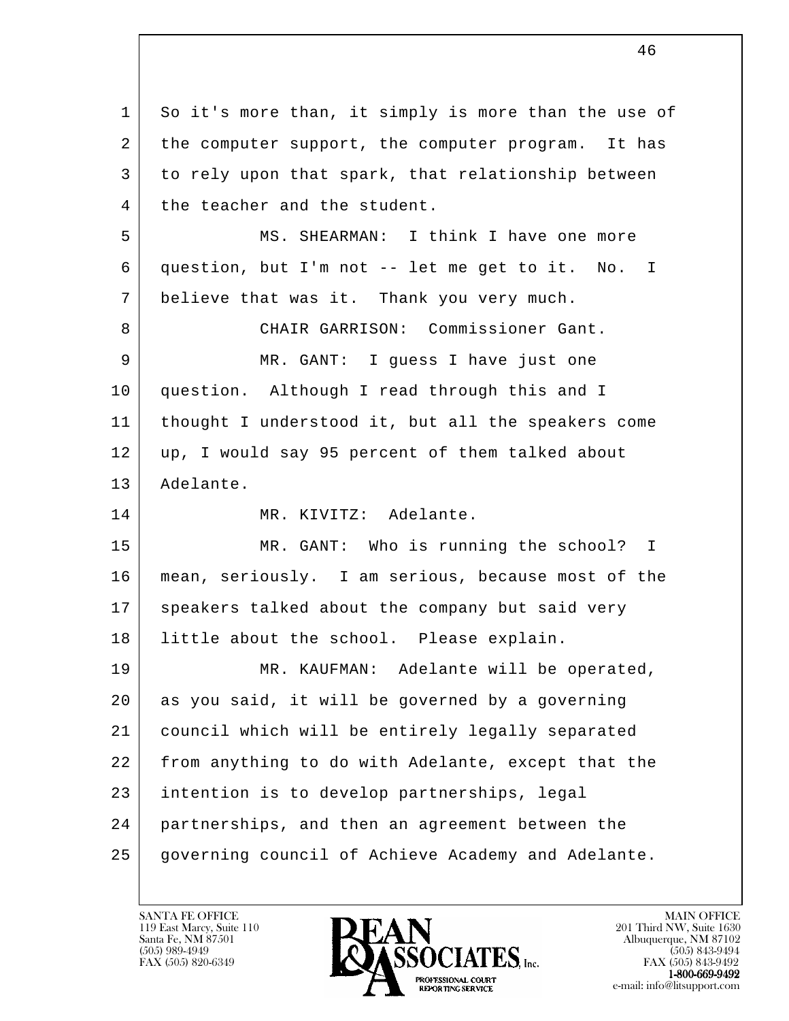l 1 So it's more than, it simply is more than the use of 2 the computer support, the computer program. It has 3 to rely upon that spark, that relationship between 4 the teacher and the student. 5 MS. SHEARMAN: I think I have one more 6 question, but I'm not -- let me get to it. No. I 7 believe that was it. Thank you very much. 8 CHAIR GARRISON: Commissioner Gant. 9 | MR. GANT: I guess I have just one 10 question. Although I read through this and I 11 thought I understood it, but all the speakers come 12 | up, I would say 95 percent of them talked about 13 Adelante. 14 MR. KIVITZ: Adelante. 15 | MR. GANT: Who is running the school? I 16 mean, seriously. I am serious, because most of the 17 speakers talked about the company but said very 18 | little about the school. Please explain. 19 MR. KAUFMAN: Adelante will be operated, 20 as you said, it will be governed by a governing 21 council which will be entirely legally separated 22 from anything to do with Adelante, except that the 23 intention is to develop partnerships, legal 24 partnerships, and then an agreement between the 25 governing council of Achieve Academy and Adelante.

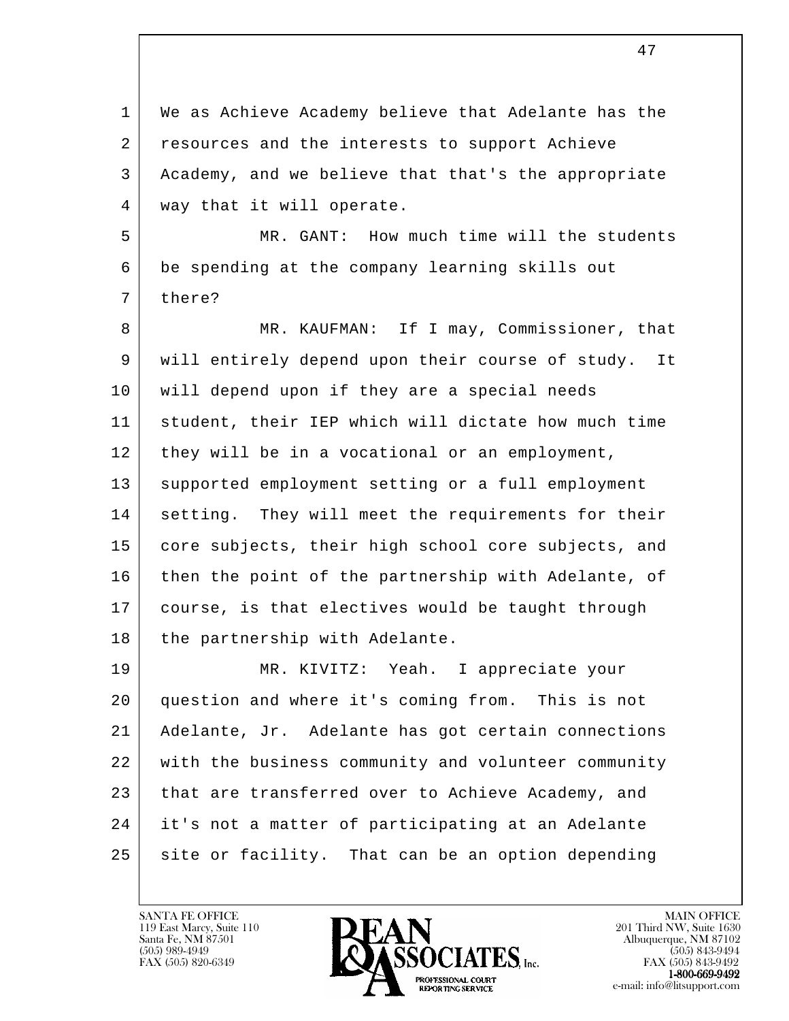l 1 | We as Achieve Academy believe that Adelante has the 2 resources and the interests to support Achieve 3 Academy, and we believe that that's the appropriate 4 | way that it will operate. 5 MR. GANT: How much time will the students 6 be spending at the company learning skills out 7 there? 8 MR. KAUFMAN: If I may, Commissioner, that 9 will entirely depend upon their course of study. It 10 | will depend upon if they are a special needs 11 student, their IEP which will dictate how much time 12 | they will be in a vocational or an employment, 13 supported employment setting or a full employment 14 | setting. They will meet the requirements for their 15 core subjects, their high school core subjects, and 16 then the point of the partnership with Adelante, of 17 course, is that electives would be taught through 18 | the partnership with Adelante. 19 MR. KIVITZ: Yeah. I appreciate your 20 question and where it's coming from. This is not 21 Adelante, Jr. Adelante has got certain connections 22 with the business community and volunteer community 23 that are transferred over to Achieve Academy, and 24 it's not a matter of participating at an Adelante 25 site or facility. That can be an option depending

119 East Marcy, Suite 110<br>Santa Fe, NM 87501

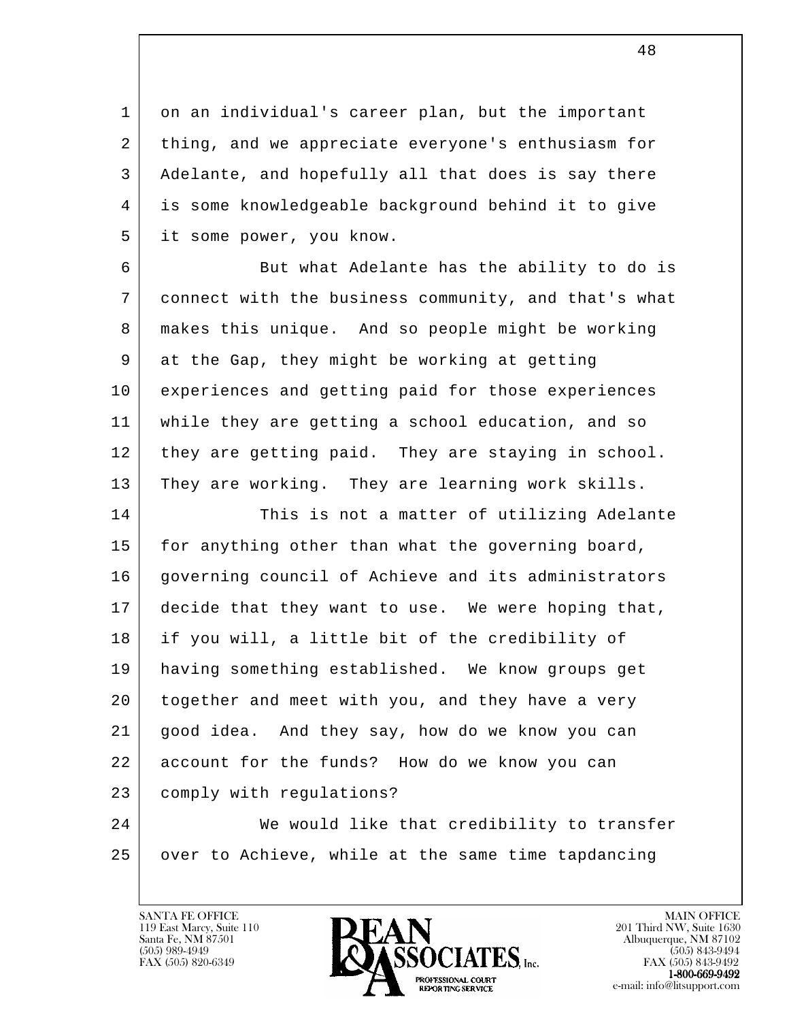1 on an individual's career plan, but the important 2 thing, and we appreciate everyone's enthusiasm for 3 Adelante, and hopefully all that does is say there 4 is some knowledgeable background behind it to give 5 it some power, you know.

6 But what Adelante has the ability to do is 7 connect with the business community, and that's what 8 makes this unique. And so people might be working 9 at the Gap, they might be working at getting 10 experiences and getting paid for those experiences 11 while they are getting a school education, and so 12 they are getting paid. They are staying in school. 13 They are working. They are learning work skills.

14 This is not a matter of utilizing Adelante 15 | for anything other than what the governing board, 16 governing council of Achieve and its administrators 17 decide that they want to use. We were hoping that, 18 if you will, a little bit of the credibility of 19 having something established. We know groups get 20 together and meet with you, and they have a very 21 good idea. And they say, how do we know you can 22 account for the funds? How do we know you can 23 comply with regulations?

l 24 We would like that credibility to transfer 25 over to Achieve, while at the same time tapdancing

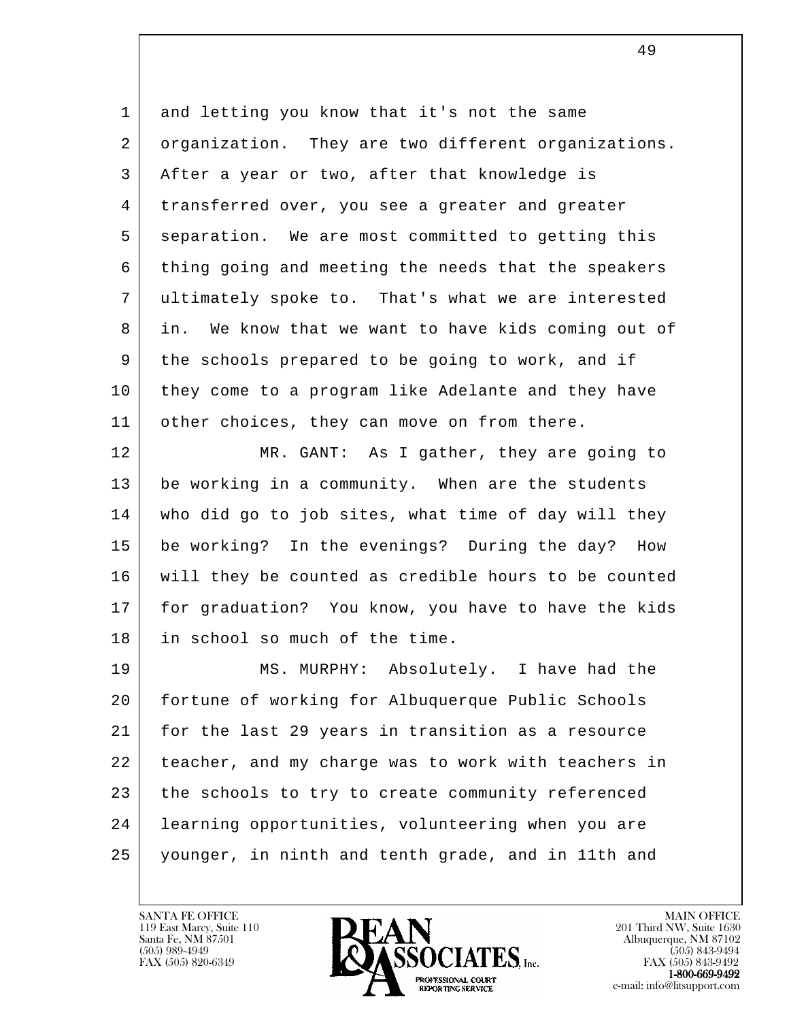1 and letting you know that it's not the same 2 organization. They are two different organizations. 3 After a year or two, after that knowledge is 4 transferred over, you see a greater and greater 5 separation. We are most committed to getting this 6 thing going and meeting the needs that the speakers 7 ultimately spoke to. That's what we are interested 8 in. We know that we want to have kids coming out of 9 the schools prepared to be going to work, and if 10 they come to a program like Adelante and they have 11 | other choices, they can move on from there.

12 MR. GANT: As I gather, they are going to 13 be working in a community. When are the students 14 who did go to job sites, what time of day will they 15 be working? In the evenings? During the day? How 16 will they be counted as credible hours to be counted 17 | for graduation? You know, you have to have the kids 18 in school so much of the time.

l 19 MS. MURPHY: Absolutely. I have had the 20 fortune of working for Albuquerque Public Schools 21 for the last 29 years in transition as a resource 22 teacher, and my charge was to work with teachers in 23 the schools to try to create community referenced 24 | learning opportunities, volunteering when you are 25 younger, in ninth and tenth grade, and in 11th and

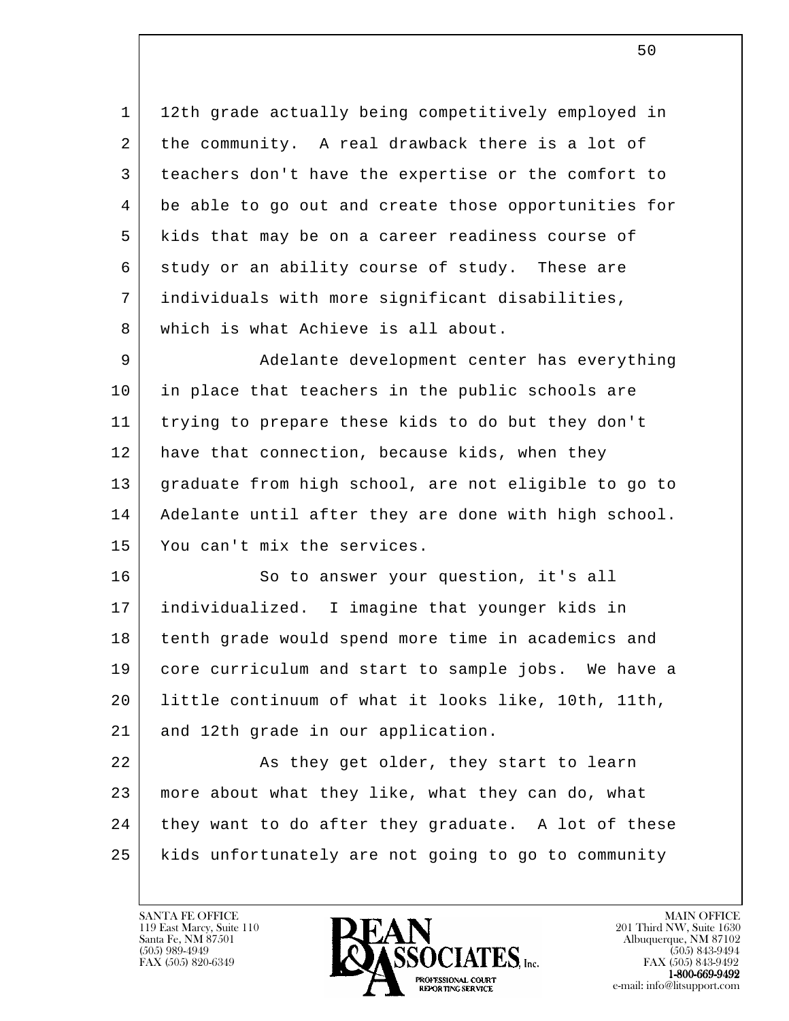1 | 12th grade actually being competitively employed in 2 the community. A real drawback there is a lot of 3 teachers don't have the expertise or the comfort to 4 be able to go out and create those opportunities for 5 kids that may be on a career readiness course of  $6$  study or an ability course of study. These are 7 individuals with more significant disabilities, 8 which is what Achieve is all about.

9 Adelante development center has everything 10 in place that teachers in the public schools are 11 trying to prepare these kids to do but they don't 12 have that connection, because kids, when they 13 graduate from high school, are not eligible to go to 14 | Adelante until after they are done with high school. 15 You can't mix the services.

16 So to answer your question, it's all 17 individualized. I imagine that younger kids in 18 tenth grade would spend more time in academics and 19 core curriculum and start to sample jobs. We have a 20 little continuum of what it looks like, 10th, 11th, 21 and 12th grade in our application.

l 22 As they get older, they start to learn 23 more about what they like, what they can do, what 24 they want to do after they graduate. A lot of these 25 kids unfortunately are not going to go to community

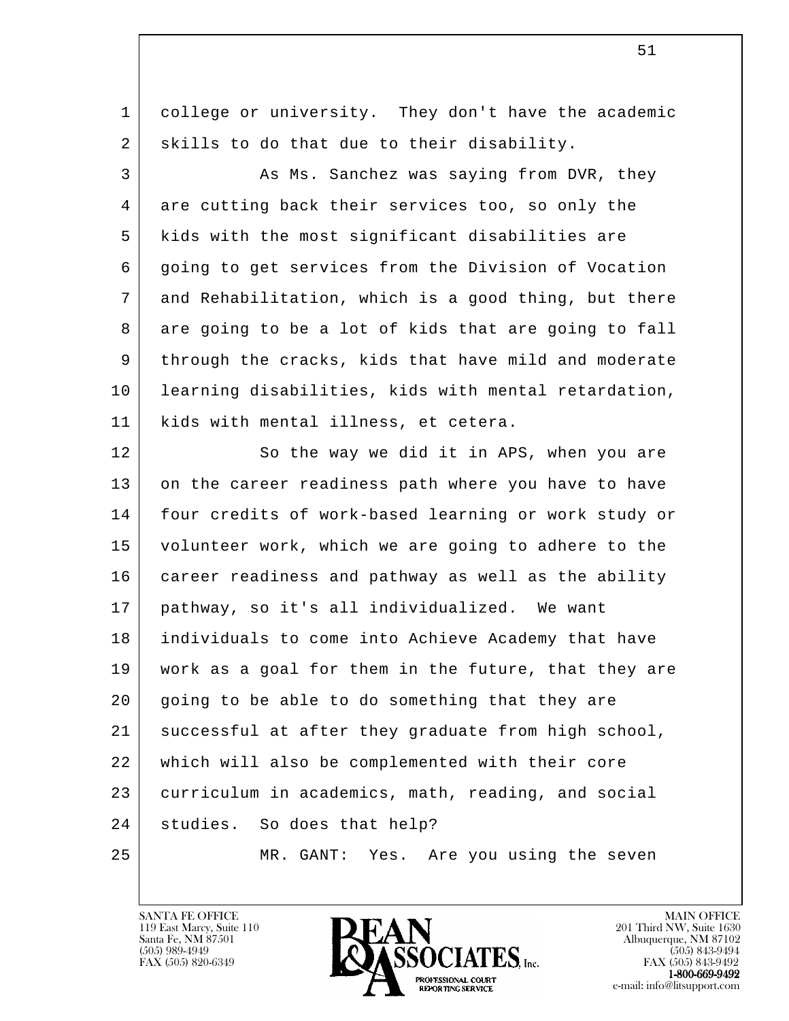l 1 college or university. They don't have the academic 2 skills to do that due to their disability. 3 As Ms. Sanchez was saying from DVR, they 4 are cutting back their services too, so only the 5 kids with the most significant disabilities are 6 | going to get services from the Division of Vocation 7 and Rehabilitation, which is a good thing, but there 8 are going to be a lot of kids that are going to fall 9 through the cracks, kids that have mild and moderate 10 learning disabilities, kids with mental retardation, 11 kids with mental illness, et cetera. 12 So the way we did it in APS, when you are 13 on the career readiness path where you have to have 14 four credits of work-based learning or work study or 15 volunteer work, which we are going to adhere to the 16 career readiness and pathway as well as the ability 17 pathway, so it's all individualized. We want 18 individuals to come into Achieve Academy that have 19 work as a goal for them in the future, that they are 20 going to be able to do something that they are 21 successful at after they graduate from high school, 22 which will also be complemented with their core 23 curriculum in academics, math, reading, and social 24 studies. So does that help? 25 MR. GANT: Yes. Are you using the seven

119 East Marcy, Suite 110<br>Santa Fe, NM 87501

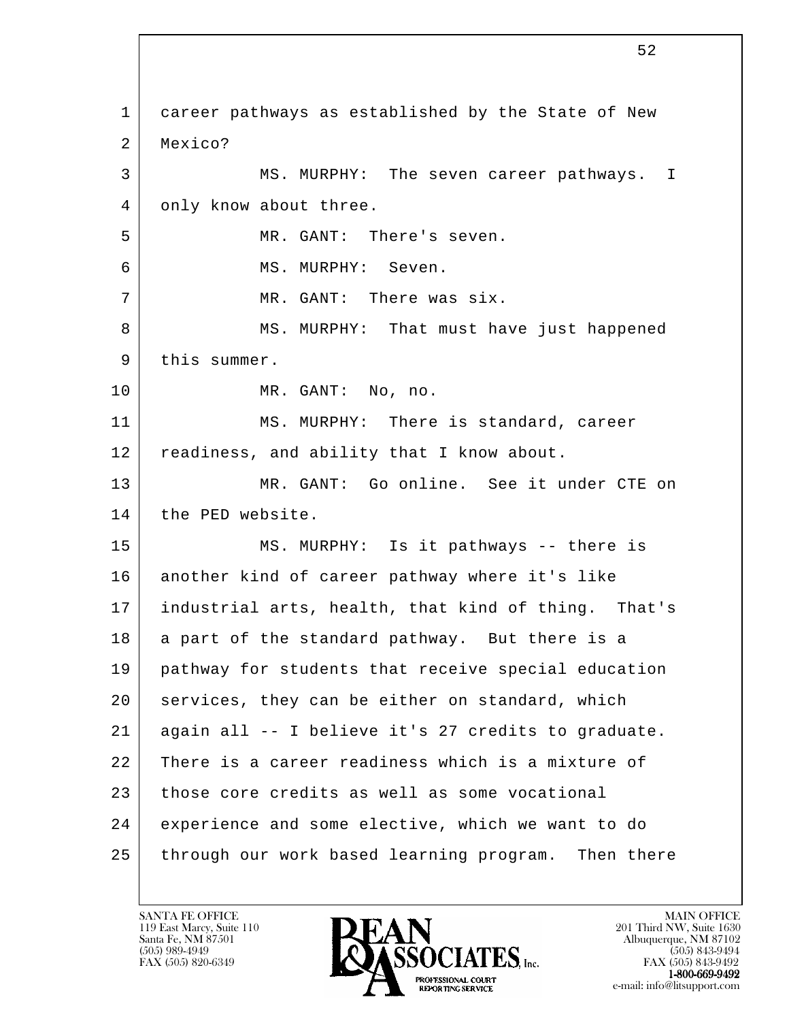l 1 career pathways as established by the State of New 2 Mexico? 3 MS. MURPHY: The seven career pathways. I 4 only know about three. 5 MR. GANT: There's seven. 6 MS. MURPHY: Seven. 7 | MR. GANT: There was six. 8 | MS. MURPHY: That must have just happened 9 | this summer. 10 MR. GANT: No, no. 11 MS. MURPHY: There is standard, career 12 readiness, and ability that I know about. 13 MR. GANT: Go online. See it under CTE on 14 | the PED website. 15 MS. MURPHY: Is it pathways -- there is 16 another kind of career pathway where it's like 17 industrial arts, health, that kind of thing. That's 18 a part of the standard pathway. But there is a 19 pathway for students that receive special education 20 services, they can be either on standard, which 21 again all -- I believe it's 27 credits to graduate. 22 There is a career readiness which is a mixture of 23 those core credits as well as some vocational 24 experience and some elective, which we want to do 25 through our work based learning program. Then there

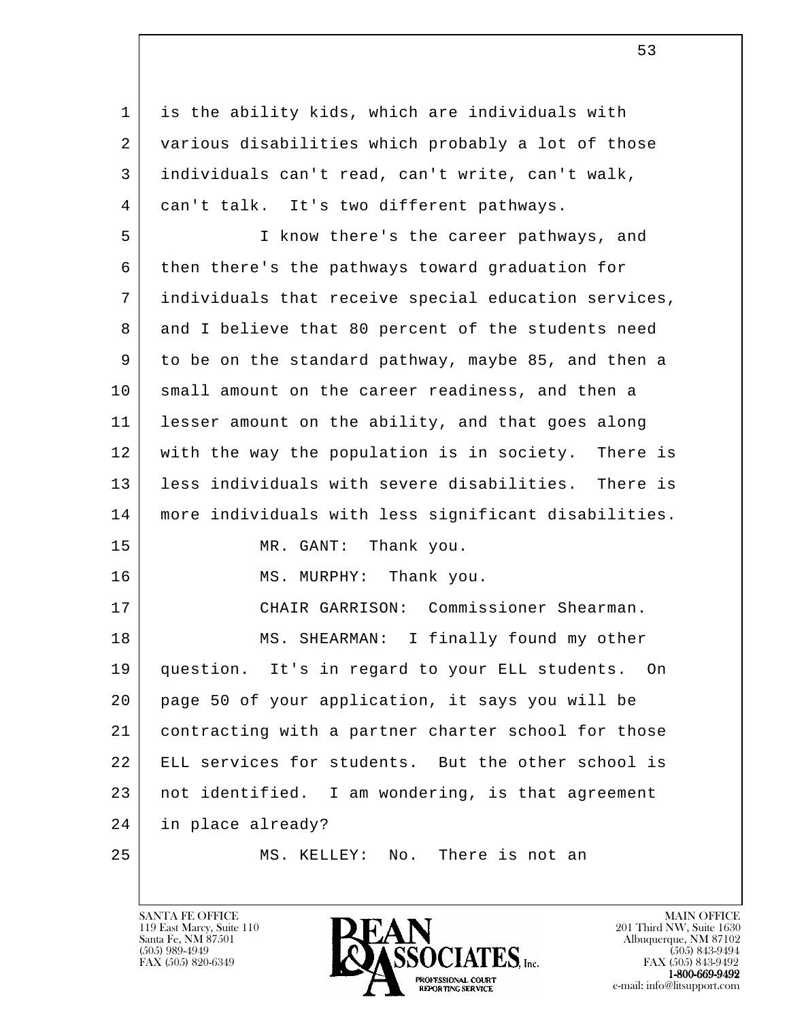l 1 is the ability kids, which are individuals with 2 various disabilities which probably a lot of those 3 individuals can't read, can't write, can't walk, 4 can't talk. It's two different pathways. 5 I know there's the career pathways, and 6 then there's the pathways toward graduation for 7 individuals that receive special education services, 8 and I believe that 80 percent of the students need 9 to be on the standard pathway, maybe 85, and then a 10 small amount on the career readiness, and then a 11 lesser amount on the ability, and that goes along 12 with the way the population is in society. There is 13 less individuals with severe disabilities. There is 14 more individuals with less significant disabilities. 15 MR. GANT: Thank you. 16 MS. MURPHY: Thank you. 17 | CHAIR GARRISON: Commissioner Shearman. 18 | MS. SHEARMAN: I finally found my other 19 question. It's in regard to your ELL students. On 20 page 50 of your application, it says you will be 21 contracting with a partner charter school for those 22 ELL services for students. But the other school is 23 not identified. I am wondering, is that agreement 24 in place already? 25 | MS. KELLEY: No. There is not an

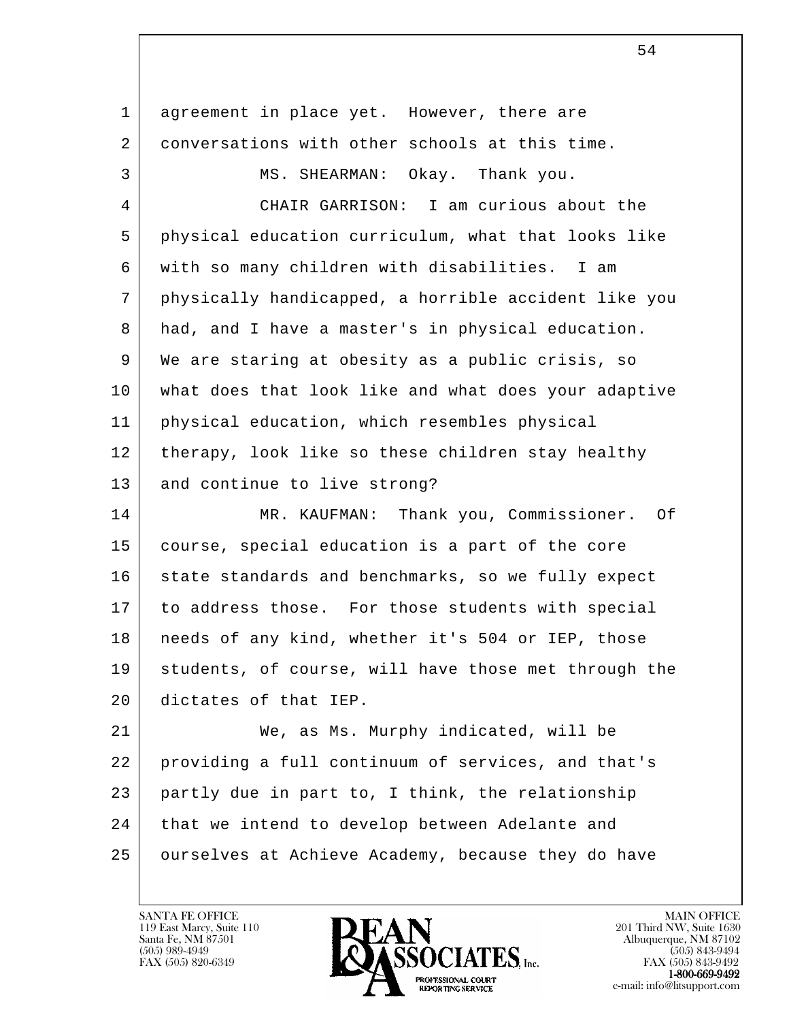| agreement in place yet. However, there are           |
|------------------------------------------------------|
| conversations with other schools at this time.       |
| MS. SHEARMAN: Okay. Thank you.                       |
| CHAIR GARRISON: I am curious about the               |
| physical education curriculum, what that looks like  |
| with so many children with disabilities. I am        |
| physically handicapped, a horrible accident like you |
| had, and I have a master's in physical education.    |
| We are staring at obesity as a public crisis, so     |
| what does that look like and what does your adaptive |
| physical education, which resembles physical         |
| therapy, look like so these children stay healthy    |
| and continue to live strong?                         |
| MR. KAUFMAN: Thank you, Commissioner. Of             |
| course, special education is a part of the core      |
| state standards and benchmarks, so we fully expect   |
| to address those. For those students with special    |
| needs of any kind, whether it's 504 or IEP, those    |
| students, of course, will have those met through the |
| dictates of that IEP.                                |
| We, as Ms. Murphy indicated, will be                 |
| providing a full continuum of services, and that's   |
| partly due in part to, I think, the relationship     |
| that we intend to develop between Adelante and       |
| ourselves at Achieve Academy, because they do have   |
|                                                      |

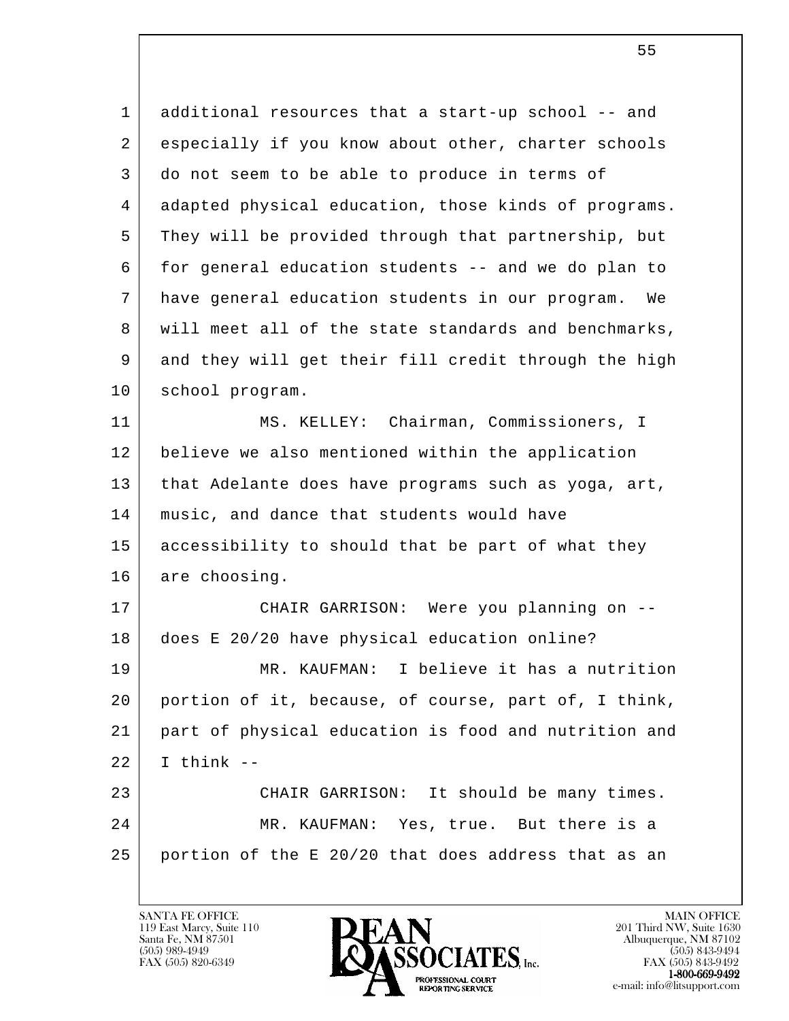l 1 additional resources that a start-up school -- and 2 especially if you know about other, charter schools 3 do not seem to be able to produce in terms of 4 adapted physical education, those kinds of programs. 5 They will be provided through that partnership, but 6 for general education students -- and we do plan to 7 have general education students in our program. We 8 will meet all of the state standards and benchmarks, 9 and they will get their fill credit through the high 10 school program. 11 MS. KELLEY: Chairman, Commissioners, I 12 believe we also mentioned within the application 13 | that Adelante does have programs such as yoga, art, 14 music, and dance that students would have 15 accessibility to should that be part of what they 16 are choosing. 17 CHAIR GARRISON: Were you planning on -- 18 does E 20/20 have physical education online? 19 MR. KAUFMAN: I believe it has a nutrition 20 portion of it, because, of course, part of, I think, 21 part of physical education is food and nutrition and  $22$  | I think  $-$  23 CHAIR GARRISON: It should be many times. 24 MR. KAUFMAN: Yes, true. But there is a

 25 portion of the E 20/20 that does address that as an

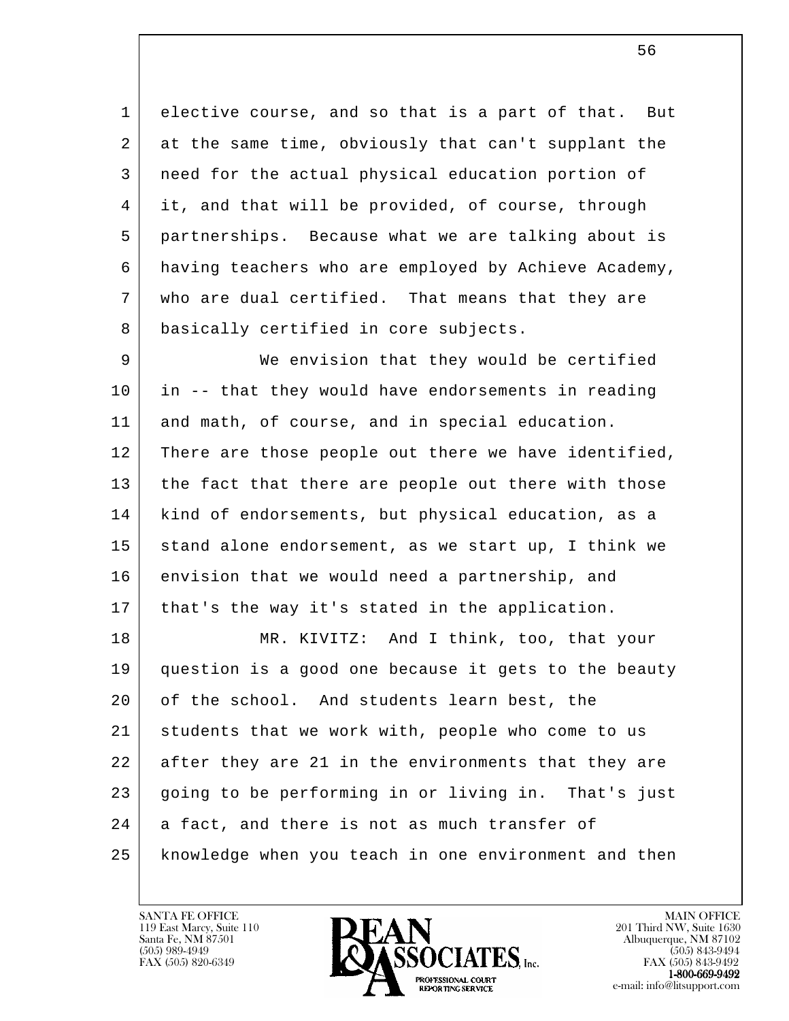1 elective course, and so that is a part of that. But 2 at the same time, obviously that can't supplant the 3 need for the actual physical education portion of 4 it, and that will be provided, of course, through 5 partnerships. Because what we are talking about is 6 having teachers who are employed by Achieve Academy, 7 who are dual certified. That means that they are 8 basically certified in core subjects.

 9 We envision that they would be certified 10 in -- that they would have endorsements in reading 11 and math, of course, and in special education. 12 | There are those people out there we have identified, 13 the fact that there are people out there with those 14 kind of endorsements, but physical education, as a 15 stand alone endorsement, as we start up, I think we 16 envision that we would need a partnership, and 17 that's the way it's stated in the application.

l 18 MR. KIVITZ: And I think, too, that your 19 question is a good one because it gets to the beauty 20 of the school. And students learn best, the 21 students that we work with, people who come to us 22 after they are 21 in the environments that they are 23 going to be performing in or living in. That's just 24 a fact, and there is not as much transfer of 25 knowledge when you teach in one environment and then

119 East Marcy, Suite 110<br>Santa Fe, NM 87501



FAX (505) 843-9492 e-mail: info@litsupport.com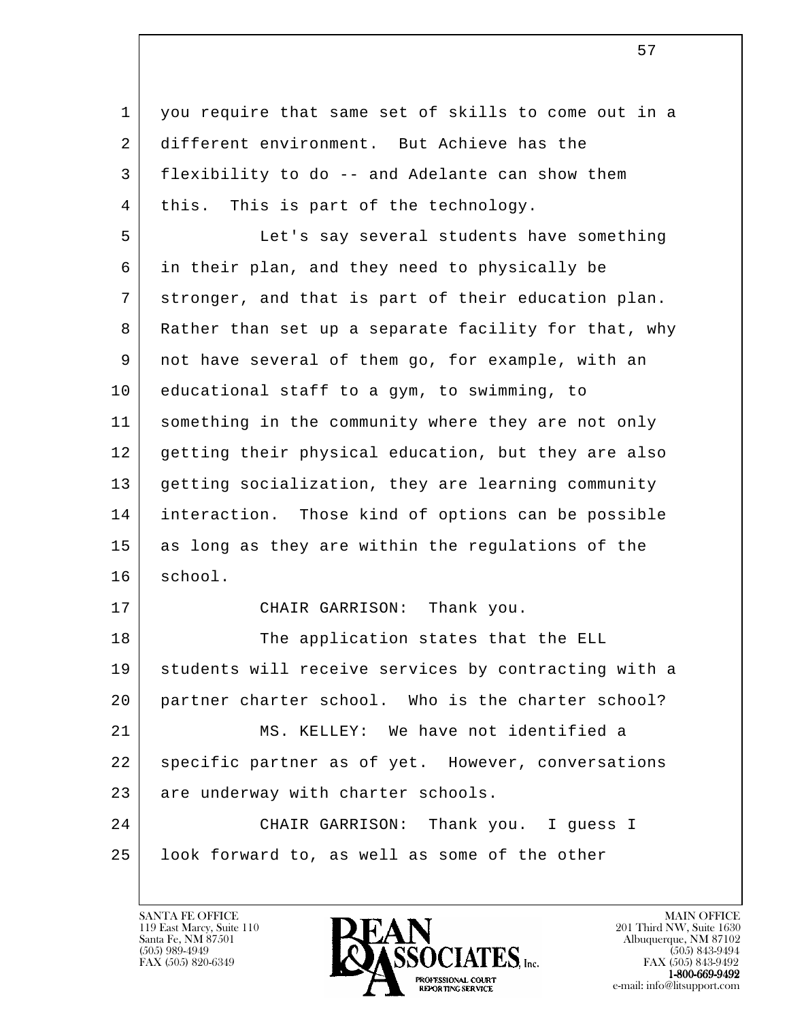l 1 | you require that same set of skills to come out in a 2 different environment. But Achieve has the 3 flexibility to do -- and Adelante can show them 4 | this. This is part of the technology. 5 Let's say several students have something 6 in their plan, and they need to physically be 7 stronger, and that is part of their education plan. 8 Rather than set up a separate facility for that, why 9 not have several of them go, for example, with an 10 educational staff to a gym, to swimming, to 11 something in the community where they are not only 12 getting their physical education, but they are also 13 getting socialization, they are learning community 14 interaction. Those kind of options can be possible 15 as long as they are within the regulations of the 16 school. 17 CHAIR GARRISON: Thank you. 18 The application states that the ELL 19 students will receive services by contracting with a 20 partner charter school. Who is the charter school? 21 MS. KELLEY: We have not identified a 22 | specific partner as of yet. However, conversations 23 are underway with charter schools. 24 CHAIR GARRISON: Thank you. I guess I 25 look forward to, as well as some of the other

119 East Marcy, Suite 110<br>Santa Fe, NM 87501



FAX (505) 843-9492 e-mail: info@litsupport.com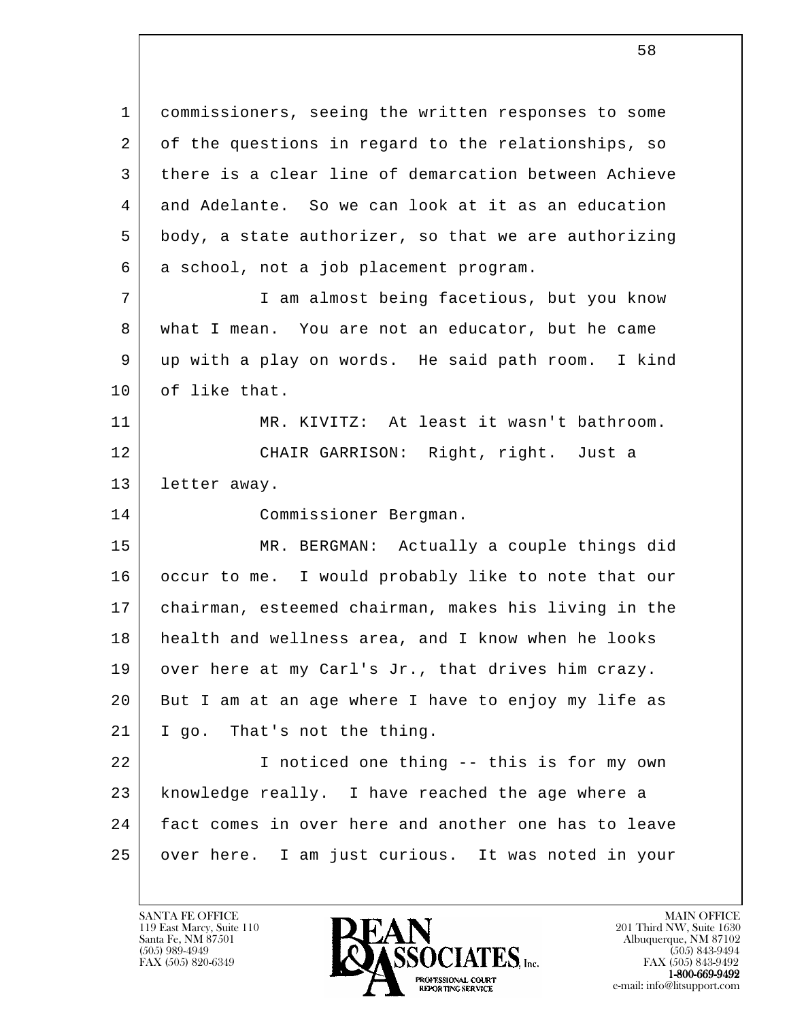1 commissioners, seeing the written responses to some 2 of the questions in regard to the relationships, so 3 there is a clear line of demarcation between Achieve 4 and Adelante. So we can look at it as an education 5 body, a state authorizer, so that we are authorizing 6 a school, not a job placement program.

 7 I am almost being facetious, but you know 8 what I mean. You are not an educator, but he came 9 up with a play on words. He said path room. I kind 10 of like that.

 11 MR. KIVITZ: At least it wasn't bathroom. 12 CHAIR GARRISON: Right, right. Just a 13 letter away.

14 Commissioner Bergman.

 15 MR. BERGMAN: Actually a couple things did 16 occur to me. I would probably like to note that our 17 chairman, esteemed chairman, makes his living in the 18 health and wellness area, and I know when he looks 19 over here at my Carl's Jr., that drives him crazy. 20 But I am at an age where I have to enjoy my life as 21 | I go. That's not the thing.

l 22 I noticed one thing -- this is for my own 23 knowledge really. I have reached the age where a 24 fact comes in over here and another one has to leave 25 over here. I am just curious. It was noted in your

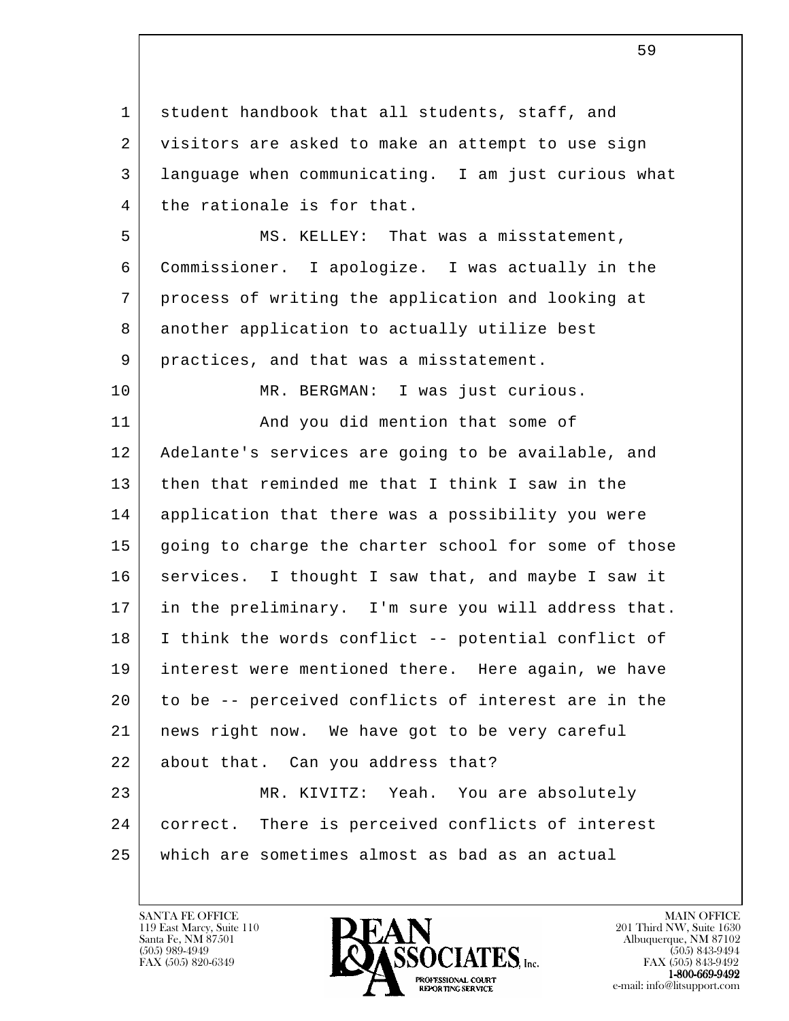l 1 student handbook that all students, staff, and 2 visitors are asked to make an attempt to use sign 3 language when communicating. I am just curious what 4 | the rationale is for that. 5 MS. KELLEY: That was a misstatement, 6 Commissioner. I apologize. I was actually in the 7 process of writing the application and looking at 8 another application to actually utilize best 9 | practices, and that was a misstatement. 10 MR. BERGMAN: I was just curious. 11 | And you did mention that some of 12 Adelante's services are going to be available, and 13 then that reminded me that I think I saw in the 14 application that there was a possibility you were 15 going to charge the charter school for some of those 16 services. I thought I saw that, and maybe I saw it 17 in the preliminary. I'm sure you will address that. 18 I think the words conflict -- potential conflict of 19 interest were mentioned there. Here again, we have 20 to be -- perceived conflicts of interest are in the 21 news right now. We have got to be very careful 22 about that. Can you address that? 23 MR. KIVITZ: Yeah. You are absolutely 24 correct. There is perceived conflicts of interest 25 which are sometimes almost as bad as an actual

119 East Marcy, Suite 110<br>Santa Fe, NM 87501



FAX (505) 843-9492 e-mail: info@litsupport.com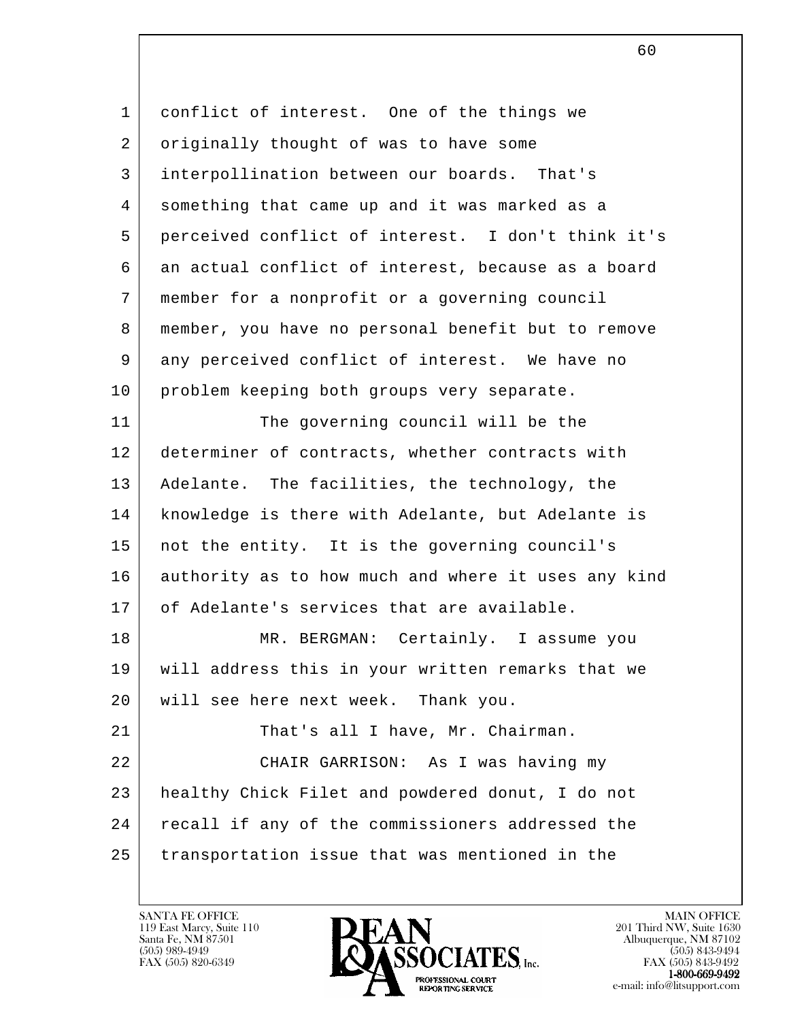l 1 conflict of interest. One of the things we 2 originally thought of was to have some 3 interpollination between our boards. That's 4 something that came up and it was marked as a 5 perceived conflict of interest. I don't think it's 6 an actual conflict of interest, because as a board 7 member for a nonprofit or a governing council 8 member, you have no personal benefit but to remove 9 any perceived conflict of interest. We have no 10 | problem keeping both groups very separate. 11 The governing council will be the 12 determiner of contracts, whether contracts with 13 Adelante. The facilities, the technology, the 14 knowledge is there with Adelante, but Adelante is 15 | not the entity. It is the governing council's 16 authority as to how much and where it uses any kind 17 of Adelante's services that are available. 18 MR. BERGMAN: Certainly. I assume you 19 will address this in your written remarks that we 20 will see here next week. Thank you. 21 That's all I have, Mr. Chairman. 22 CHAIR GARRISON: As I was having my 23 healthy Chick Filet and powdered donut, I do not 24 | recall if any of the commissioners addressed the 25 transportation issue that was mentioned in the

119 East Marcy, Suite 110<br>Santa Fe, NM 87501



FAX (505) 843-9492 e-mail: info@litsupport.com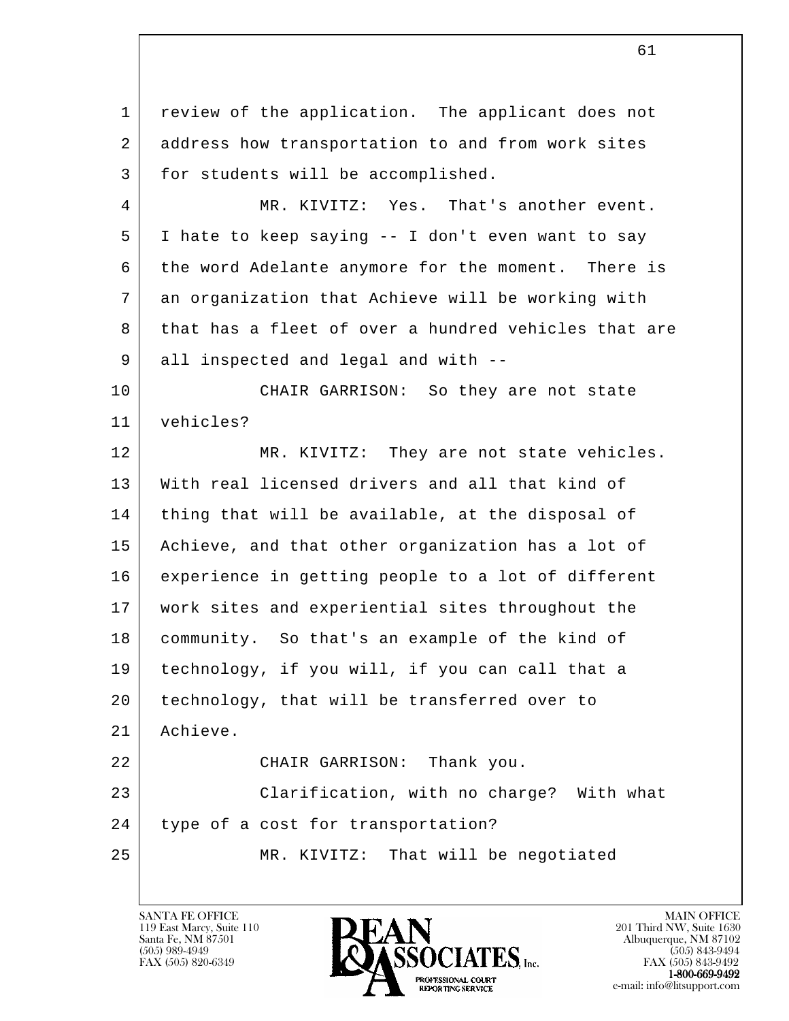l 1 | review of the application. The applicant does not 2 address how transportation to and from work sites 3 | for students will be accomplished. 4 | MR. KIVITZ: Yes. That's another event. 5 I hate to keep saying -- I don't even want to say 6 the word Adelante anymore for the moment. There is 7 an organization that Achieve will be working with 8 that has a fleet of over a hundred vehicles that are 9 all inspected and legal and with -- 10 CHAIR GARRISON: So they are not state 11 vehicles? 12 | MR. KIVITZ: They are not state vehicles. 13 With real licensed drivers and all that kind of 14 | thing that will be available, at the disposal of 15 Achieve, and that other organization has a lot of 16 experience in getting people to a lot of different 17 work sites and experiential sites throughout the 18 community. So that's an example of the kind of 19 technology, if you will, if you can call that a 20 technology, that will be transferred over to 21 Achieve. 22 CHAIR GARRISON: Thank you. 23 Clarification, with no charge? With what 24 type of a cost for transportation? 25 MR. KIVITZ: That will be negotiated

119 East Marcy, Suite 110<br>Santa Fe, NM 87501



FAX (505) 843-9492 e-mail: info@litsupport.com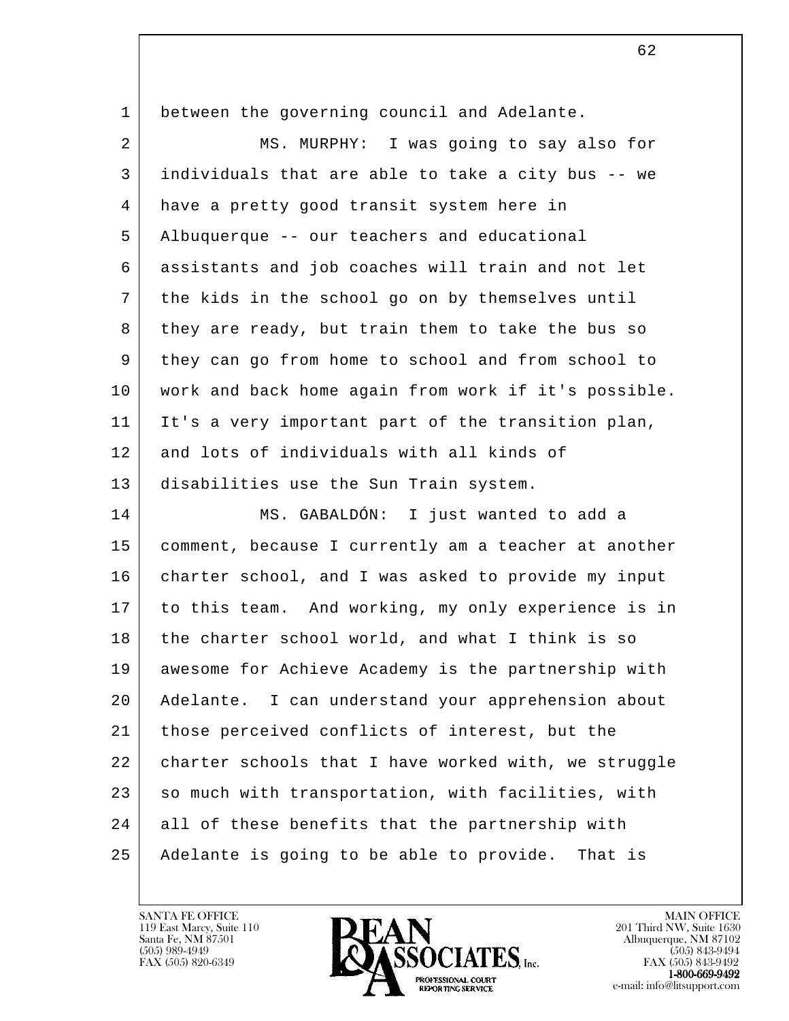| 1  | between the governing council and Adelante.          |
|----|------------------------------------------------------|
| 2  | MS. MURPHY: I was going to say also for              |
| 3  | individuals that are able to take a city bus -- we   |
| 4  | have a pretty good transit system here in            |
| 5  | Albuquerque -- our teachers and educational          |
| 6  | assistants and job coaches will train and not let    |
| 7  | the kids in the school go on by themselves until     |
| 8  | they are ready, but train them to take the bus so    |
| 9  | they can go from home to school and from school to   |
| 10 | work and back home again from work if it's possible. |
| 11 | It's a very important part of the transition plan,   |
| 12 | and lots of individuals with all kinds of            |
| 13 | disabilities use the Sun Train system.               |
| 14 | MS. GABALDÓN: I just wanted to add a                 |
| 15 | comment, because I currently am a teacher at another |
| 16 | charter school, and I was asked to provide my input  |
| 17 | to this team. And working, my only experience is in  |
| 18 | the charter school world, and what I think is so     |
| 19 | awesome for Achieve Academy is the partnership with  |
| 20 | Adelante. I can understand your apprehension about   |
| 21 | those perceived conflicts of interest, but the       |
| 22 | charter schools that I have worked with, we struggle |
| 23 | so much with transportation, with facilities, with   |
| 24 | all of these benefits that the partnership with      |
| 25 | Adelante is going to be able to provide.<br>That is  |

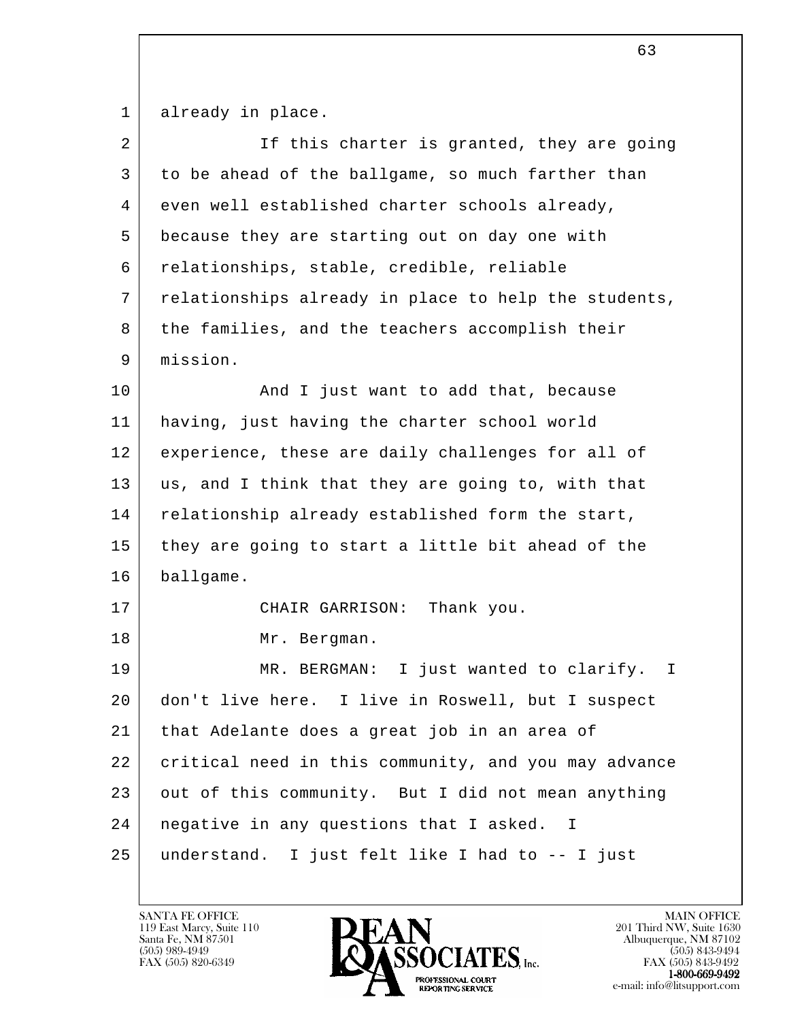1 already in place.

| $\overline{2}$ | If this charter is granted, they are going           |
|----------------|------------------------------------------------------|
| 3              | to be ahead of the ballgame, so much farther than    |
| 4              | even well established charter schools already,       |
| 5              | because they are starting out on day one with        |
| 6              | relationships, stable, credible, reliable            |
| 7              | relationships already in place to help the students, |
| 8              | the families, and the teachers accomplish their      |
| 9              | mission.                                             |
| 10             | And I just want to add that, because                 |
| 11             | having, just having the charter school world         |
| 12             | experience, these are daily challenges for all of    |
| 13             | us, and I think that they are going to, with that    |
| 14             | relationship already established form the start,     |
| 15             | they are going to start a little bit ahead of the    |
| 16             | ballgame.                                            |
| 17             | Thank you.<br>CHAIR GARRISON:                        |
| 18             | Mr. Bergman.                                         |
| 19             | MR. BERGMAN: I just wanted to clarify.<br>$\perp$    |
| 20             | don't live here. I live in Roswell, but I suspect    |
| 21             | that Adelante does a great job in an area of         |
| 22             | critical need in this community, and you may advance |
| 23             | out of this community. But I did not mean anything   |
| 24             | negative in any questions that I asked. I            |
| 25             | understand. I just felt like I had to -- I just      |

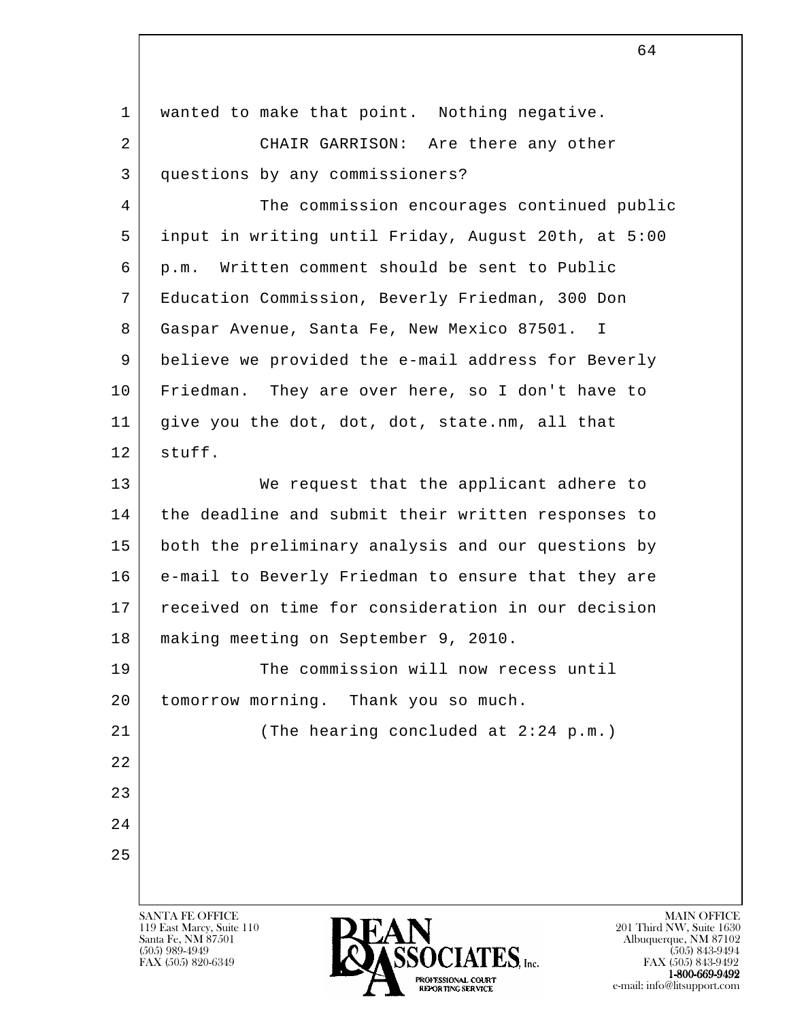| $\mathbf 1$ | wanted to make that point. Nothing negative.        |
|-------------|-----------------------------------------------------|
| 2           | CHAIR GARRISON: Are there any other                 |
| 3           | questions by any commissioners?                     |
| 4           | The commission encourages continued public          |
| 5           | input in writing until Friday, August 20th, at 5:00 |
| 6           | p.m. Written comment should be sent to Public       |
| 7           | Education Commission, Beverly Friedman, 300 Don     |
| 8           | Gaspar Avenue, Santa Fe, New Mexico 87501. I        |
| 9           | believe we provided the e-mail address for Beverly  |
| 10          | Friedman. They are over here, so I don't have to    |
| 11          | give you the dot, dot, dot, state.nm, all that      |
| 12          | stuff.                                              |
| 13          | We request that the applicant adhere to             |
| 14          | the deadline and submit their written responses to  |
| 15          | both the preliminary analysis and our questions by  |
| 16          | e-mail to Beverly Friedman to ensure that they are  |
| 17          | received on time for consideration in our decision  |
| 18          | making meeting on September 9, 2010.                |
| 19          | The commission will now recess until                |
| 20          | tomorrow morning. Thank you so much.                |
| 21          | (The hearing concluded at 2:24 p.m.)                |
| 22          |                                                     |
| 23          |                                                     |
| 24          |                                                     |
| 25          |                                                     |